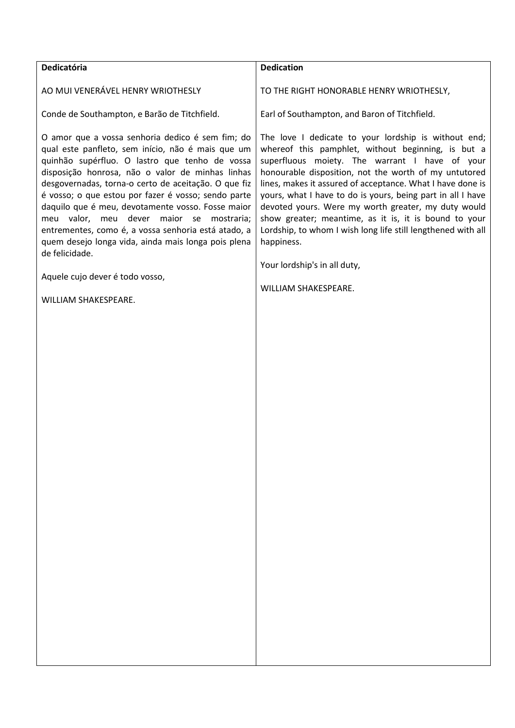| Dedicatória                                          | <b>Dedication</b>                                          |
|------------------------------------------------------|------------------------------------------------------------|
| AO MUI VENERÁVEL HENRY WRIOTHESLY                    | TO THE RIGHT HONORABLE HENRY WRIOTHESLY,                   |
| Conde de Southampton, e Barão de Titchfield.         | Earl of Southampton, and Baron of Titchfield.              |
| O amor que a vossa senhoria dedico é sem fim; do     | The love I dedicate to your lordship is without end;       |
| qual este panfleto, sem início, não é mais que um    | whereof this pamphlet, without beginning, is but a         |
| quinhão supérfluo. O lastro que tenho de vossa       | superfluous moiety. The warrant I have of your             |
| disposição honrosa, não o valor de minhas linhas     | honourable disposition, not the worth of my untutored      |
| desgovernadas, torna-o certo de aceitação. O que fiz | lines, makes it assured of acceptance. What I have done is |

é vosso; o que estou por fazer é vosso; sendo parte daquilo que é meu, devotamente vosso. Fosse maior meu valor, meu dever maior se mostraria; entrementes, como é, a vossa senhoria está atado, a quem desejo longa vida, ainda mais longa pois plena de felicidade.

Aquele cujo dever é todo vosso,

WILLIAM SHAKESPEARE.

yours, what I have to do is yours, being part in all I have devoted yours. Were my worth greater, my duty would show greater; meantime, as it is, it is bound to your Lordship, to whom I wish long life still lengthened with all happiness.

Your lordship's in all duty,

WILLIAM SHAKESPEARE.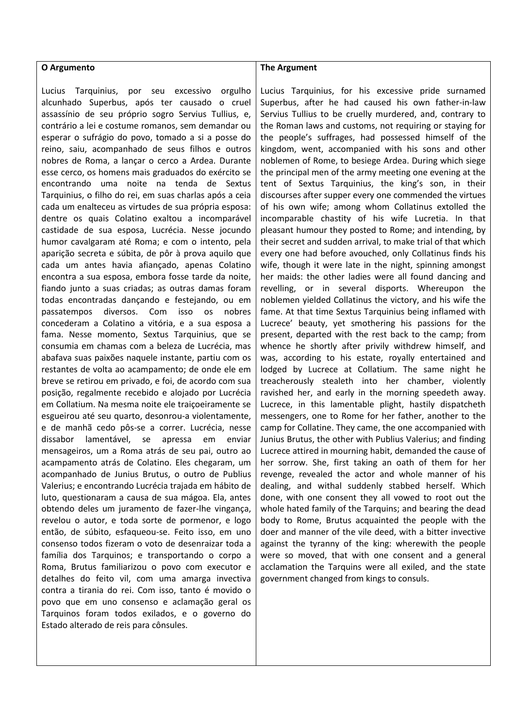## **O Argumento**

Lucius Tarquinius, por seu excessivo orgulho alcunhado Superbus, após ter causado o cruel assassínio de seu próprio sogro Servius Tullius, e, contrário a lei e costume romanos, sem demandar ou esperar o sufrágio do povo, tomado a si a posse do reino, saiu, acompanhado de seus filhos e outros nobres de Roma, a lançar o cerco a Ardea. Durante esse cerco, os homens mais graduados do exército se encontrando uma noite na tenda de Sextus Tarquinius, o filho do rei, em suas charlas após a ceia cada um enalteceu as virtudes de sua própria esposa: dentre os quais Colatino exaltou a incomparável castidade de sua esposa, Lucrécia. Nesse jocundo humor cavalgaram até Roma; e com o intento, pela aparição secreta e súbita, de pôr à prova aquilo que cada um antes havia afiançado, apenas Colatino encontra a sua esposa, embora fosse tarde da noite, fiando junto a suas criadas; as outras damas foram todas encontradas dançando e festejando, ou em passatempos diversos. Com isso os nobres concederam a Colatino a vitória, e a sua esposa a fama. Nesse momento, Sextus Tarquinius, que se consumia em chamas com a beleza de Lucrécia, mas abafava suas paixões naquele instante, partiu com os restantes de volta ao acampamento; de onde ele em breve se retirou em privado, e foi, de acordo com sua posição, regalmente recebido e alojado por Lucrécia em Collatium. Na mesma noite ele traiçoeiramente se esgueirou até seu quarto, desonrou-a violentamente, e de manhã cedo pôs-se a correr. Lucrécia, nesse dissabor lamentável, se apressa em enviar mensageiros, um a Roma atrás de seu pai, outro ao acampamento atrás de Colatino. Eles chegaram, um acompanhado de Junius Brutus, o outro de Publius Valerius; e encontrando Lucrécia trajada em hábito de luto, questionaram a causa de sua mágoa. Ela, antes obtendo deles um juramento de fazer-lhe vingança, revelou o autor, e toda sorte de pormenor, e logo então, de súbito, esfaqueou-se. Feito isso, em uno consenso todos fizeram o voto de desenraizar toda a família dos Tarquinos; e transportando o corpo a Roma, Brutus familiarizou o povo com executor e detalhes do feito vil, com uma amarga invectiva contra a tirania do rei. Com isso, tanto é movido o povo que em uno consenso e aclamação geral os Tarquinos foram todos exilados, e o governo do Estado alterado de reis para cônsules.

## **The Argument**

Lucius Tarquinius, for his excessive pride surnamed Superbus, after he had caused his own father-in-law Servius Tullius to be cruelly murdered, and, contrary to the Roman laws and customs, not requiring or staying for the people's suffrages, had possessed himself of the kingdom, went, accompanied with his sons and other noblemen of Rome, to besiege Ardea. During which siege the principal men of the army meeting one evening at the tent of Sextus Tarquinius, the king's son, in their discourses after supper every one commended the virtues of his own wife; among whom Collatinus extolled the incomparable chastity of his wife Lucretia. In that pleasant humour they posted to Rome; and intending, by their secret and sudden arrival, to make trial of that which every one had before avouched, only Collatinus finds his wife, though it were late in the night, spinning amongst her maids: the other ladies were all found dancing and revelling, or in several disports. Whereupon the noblemen yielded Collatinus the victory, and his wife the fame. At that time Sextus Tarquinius being inflamed with Lucrece' beauty, yet smothering his passions for the present, departed with the rest back to the camp; from whence he shortly after privily withdrew himself, and was, according to his estate, royally entertained and lodged by Lucrece at Collatium. The same night he treacherously stealeth into her chamber, violently ravished her, and early in the morning speedeth away. Lucrece, in this lamentable plight, hastily dispatcheth messengers, one to Rome for her father, another to the camp for Collatine. They came, the one accompanied with Junius Brutus, the other with Publius Valerius; and finding Lucrece attired in mourning habit, demanded the cause of her sorrow. She, first taking an oath of them for her revenge, revealed the actor and whole manner of his dealing, and withal suddenly stabbed herself. Which done, with one consent they all vowed to root out the whole hated family of the Tarquins; and bearing the dead body to Rome, Brutus acquainted the people with the doer and manner of the vile deed, with a bitter invective against the tyranny of the king: wherewith the people were so moved, that with one consent and a general acclamation the Tarquins were all exiled, and the state government changed from kings to consuls.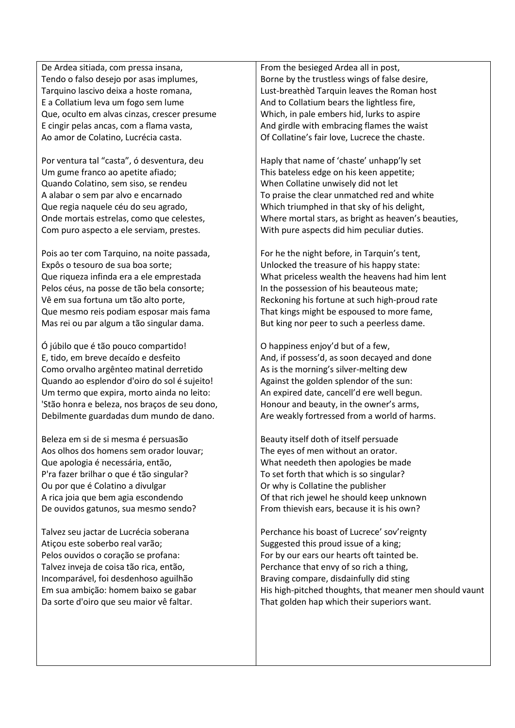De Ardea sitiada, com pressa insana, Tendo o falso desejo por asas implumes, Tarquino lascivo deixa a hoste romana, E a Collatium leva um fogo sem lume Que, oculto em alvas cinzas, crescer presume E cingir pelas ancas, com a flama vasta, Ao amor de Colatino, Lucrécia casta.

Por ventura tal "casta", ó desventura, deu Um gume franco ao apetite afiado; Quando Colatino, sem siso, se rendeu A alabar o sem par alvo e encarnado Que regia naquele céu do seu agrado, Onde mortais estrelas, como que celestes, Com puro aspecto a ele serviam, prestes.

Pois ao ter com Tarquino, na noite passada, Expôs o tesouro de sua boa sorte; Que riqueza infinda era a ele emprestada Pelos céus, na posse de tão bela consorte; Vê em sua fortuna um tão alto porte, Que mesmo reis podiam esposar mais fama Mas rei ou par algum a tão singular dama.

Ó júbilo que é tão pouco compartido! E, tido, em breve decaído e desfeito Como orvalho argênteo matinal derretido Quando ao esplendor d'oiro do sol é sujeito! Um termo que expira, morto ainda no leito: 'Stão honra e beleza, nos braços de seu dono, Debilmente guardadas dum mundo de dano.

Beleza em si de si mesma é persuasão Aos olhos dos homens sem orador louvar; Que apologia é necessária, então, P'ra fazer brilhar o que é tão singular? Ou por que é Colatino a divulgar A rica joia que bem agia escondendo De ouvidos gatunos, sua mesmo sendo?

Talvez seu jactar de Lucrécia soberana Atiçou este soberbo real varão; Pelos ouvidos o coração se profana: Talvez inveja de coisa tão rica, então, Incomparável, foi desdenhoso aguilhão Em sua ambição: homem baixo se gabar Da sorte d'oiro que seu maior vê faltar.

From the besieged Ardea all in post, Borne by the trustless wings of false desire, Lust-breathèd Tarquin leaves the Roman host And to Collatium bears the lightless fire, Which, in pale embers hid, lurks to aspire And girdle with embracing flames the waist Of Collatine's fair love, Lucrece the chaste.

Haply that name of 'chaste' unhapp'ly set This bateless edge on his keen appetite; When Collatine unwisely did not let To praise the clear unmatched red and white Which triumphed in that sky of his delight, Where mortal stars, as bright as heaven's beauties, With pure aspects did him peculiar duties.

For he the night before, in Tarquin's tent, Unlocked the treasure of his happy state: What priceless wealth the heavens had him lent In the possession of his beauteous mate; Reckoning his fortune at such high-proud rate That kings might be espoused to more fame, But king nor peer to such a peerless dame.

O happiness enjoy'd but of a few, And, if possess'd, as soon decayed and done As is the morning's silver-melting dew Against the golden splendor of the sun: An expired date, cancell'd ere well begun. Honour and beauty, in the owner's arms, Are weakly fortressed from a world of harms.

Beauty itself doth of itself persuade The eyes of men without an orator. What needeth then apologies be made To set forth that which is so singular? Or why is Collatine the publisher Of that rich jewel he should keep unknown From thievish ears, because it is his own?

Perchance his boast of Lucrece' sov'reignty Suggested this proud issue of a king; For by our ears our hearts oft tainted be. Perchance that envy of so rich a thing, Braving compare, disdainfully did sting His high-pitched thoughts, that meaner men should vaunt That golden hap which their superiors want.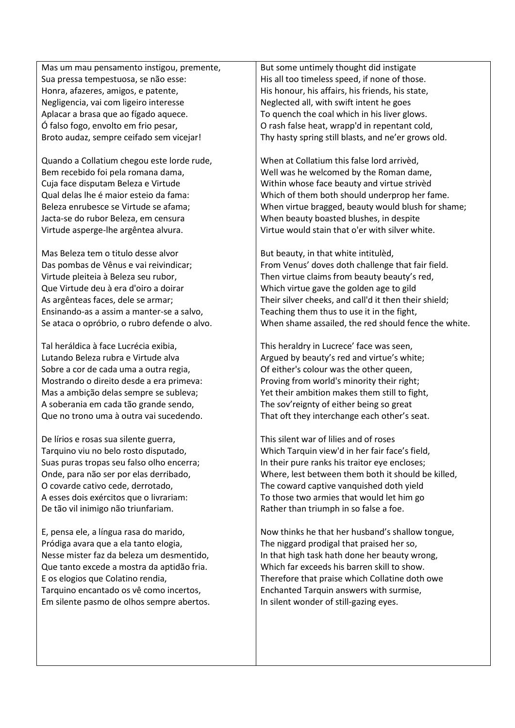Mas um mau pensamento instigou, premente, Sua pressa tempestuosa, se não esse: Honra, afazeres, amigos, e patente, Negligencia, vai com ligeiro interesse Aplacar a brasa que ao fígado aquece. Ó falso fogo, envolto em frio pesar, Broto audaz, sempre ceifado sem vicejar!

Quando a Collatium chegou este lorde rude, Bem recebido foi pela romana dama, Cuja face disputam Beleza e Virtude Qual delas lhe é maior esteio da fama: Beleza enrubesce se Virtude se afama; Jacta-se do rubor Beleza, em censura Virtude asperge-lhe argêntea alvura.

Mas Beleza tem o titulo desse alvor Das pombas de Vênus e vai reivindicar; Virtude pleiteia à Beleza seu rubor, Que Virtude deu à era d'oiro a doirar As argênteas faces, dele se armar; Ensinando-as a assim a manter-se a salvo, Se ataca o opróbrio, o rubro defende o alvo.

Tal heráldica à face Lucrécia exibia, Lutando Beleza rubra e Virtude alva Sobre a cor de cada uma a outra regia, Mostrando o direito desde a era primeva: Mas a ambição delas sempre se subleva; A soberania em cada tão grande sendo, Que no trono uma à outra vai sucedendo.

De lírios e rosas sua silente guerra, Tarquino viu no belo rosto disputado, Suas puras tropas seu falso olho encerra; Onde, para não ser por elas derribado, O covarde cativo cede, derrotado, A esses dois exércitos que o livrariam: De tão vil inimigo não triunfariam.

E, pensa ele, a língua rasa do marido, Pródiga avara que a ela tanto elogia, Nesse mister faz da beleza um desmentido, Que tanto excede a mostra da aptidão fria. E os elogios que Colatino rendia, Tarquino encantado os vê como incertos, Em silente pasmo de olhos sempre abertos.

But some untimely thought did instigate His all too timeless speed, if none of those. His honour, his affairs, his friends, his state, Neglected all, with swift intent he goes To quench the coal which in his liver glows. O rash false heat, wrapp'd in repentant cold, Thy hasty spring still blasts, and ne'er grows old.

When at Collatium this false lord arrivèd, Well was he welcomed by the Roman dame, Within whose face beauty and virtue strivèd Which of them both should underprop her fame. When virtue bragged, beauty would blush for shame; When beauty boasted blushes, in despite Virtue would stain that o'er with silver white.

But beauty, in that white intitulèd, From Venus' doves doth challenge that fair field. Then virtue claims from beauty beauty's red, Which virtue gave the golden age to gild Their silver cheeks, and call'd it then their shield; Teaching them thus to use it in the fight, When shame assailed, the red should fence the white.

This heraldry in Lucrece' face was seen, Argued by beauty's red and virtue's white; Of either's colour was the other queen, Proving from world's minority their right; Yet their ambition makes them still to fight, The sov'reignty of either being so great That oft they interchange each other's seat.

This silent war of lilies and of roses Which Tarquin view'd in her fair face's field, In their pure ranks his traitor eye encloses; Where, lest between them both it should be killed, The coward captive vanquished doth yield To those two armies that would let him go Rather than triumph in so false a foe.

Now thinks he that her husband's shallow tongue, The niggard prodigal that praised her so, In that high task hath done her beauty wrong, Which far exceeds his barren skill to show. Therefore that praise which Collatine doth owe Enchanted Tarquin answers with surmise, In silent wonder of still-gazing eyes.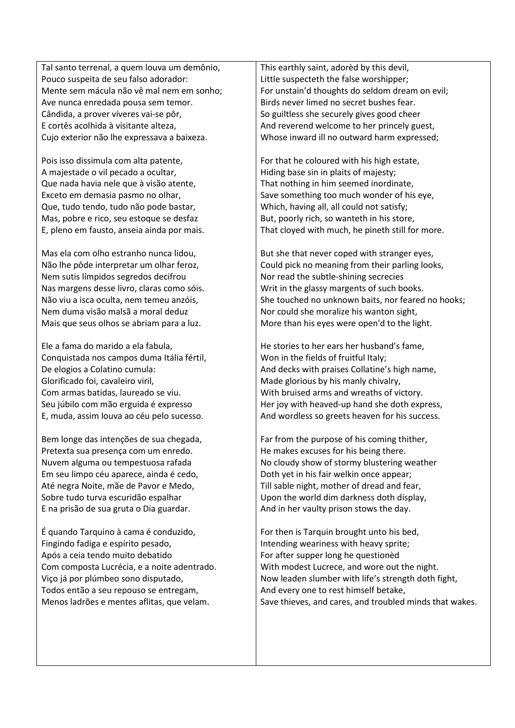Tal santo terrenal, a quem louva um demônio, Pouco suspeita de seu falso adorador: Mente sem mácula não vê mal nem em sonho; Ave nunca enredada pousa sem temor. Cândida, a prover víveres vai-se pôr, E cortês acolhida à visitante alteza, Cujo exterior não lhe expressava a baixeza.

Pois isso dissimula com alta patente, A majestade o vil pecado a ocultar, Que nada havia nele que à visão atente, Exceto em demasia pasmo no olhar, Que, tudo tendo, tudo não pode bastar, Mas, pobre e rico, seu estoque se desfaz E, pleno em fausto, anseia ainda por mais.

Mas ela com olho estranho nunca lidou, Não lhe pôde interpretar um olhar feroz, Nem sutis límpidos segredos decifrou Nas margens desse livro, claras como sóis. Não viu a isca oculta, nem temeu anzóis, Nem duma visão malsã a moral deduz Mais que seus olhos se abriam para a luz.

Ele a fama do marido a ela fabula, Conquistada nos campos duma Itália fértil, De elogios a Colatino cumula: Glorificado foi, cavaleiro viril, Com armas batidas, laureado se viu. Seu júbilo com mão erguida é expresso E, muda, assim louva ao céu pelo sucesso.

Bem longe das intenções de sua chegada, Pretexta sua presença com um enredo. Nuvem alguma ou tempestuosa rafada Em seu limpo céu aparece, ainda é cedo, Até negra Noite, mãe de Pavor e Medo, Sobre tudo turva escuridão espalhar E na prisão de sua gruta o Dia guardar.

É quando Tarquino à cama é conduzido, Fingindo fadiga e espírito pesado, Após a ceia tendo muito debatido Com composta Lucrécia, e a noite adentrado. Viço já por plúmbeo sono disputado, Todos então a seu repouso se entregam, Menos ladrões e mentes aflitas, que velam.

This earthly saint, adorèd by this devil, Little suspecteth the false worshipper; For unstain'd thoughts do seldom dream on evil; Birds never limed no secret bushes fear. So guiltless she securely gives good cheer And reverend welcome to her princely guest, Whose inward ill no outward harm expressed;

For that he coloured with his high estate, Hiding base sin in plaits of majesty; That nothing in him seemed inordinate, Save something too much wonder of his eye, Which, having all, all could not satisfy; But, poorly rich, so wanteth in his store, That cloyed with much, he pineth still for more.

But she that never coped with stranger eyes, Could pick no meaning from their parling looks, Nor read the subtle-shining secrecies Writ in the glassy margents of such books. She touched no unknown baits, nor feared no hooks; Nor could she moralize his wanton sight, More than his eyes were open'd to the light.

He stories to her ears her husband's fame, Won in the fields of fruitful Italy; And decks with praises Collatine's high name, Made glorious by his manly chivalry, With bruised arms and wreaths of victory. Her joy with heaved-up hand she doth express, And wordless so greets heaven for his success.

Far from the purpose of his coming thither, He makes excuses for his being there. No cloudy show of stormy blustering weather Doth yet in his fair welkin once appear; Till sable night, mother of dread and fear, Upon the world dim darkness doth display, And in her vaulty prison stows the day.

For then is Tarquin brought unto his bed, Intending weariness with heavy sprite; For after supper long he questionèd With modest Lucrece, and wore out the night. Now leaden slumber with life's strength doth fight, And every one to rest himself betake, Save thieves, and cares, and troubled minds that wakes.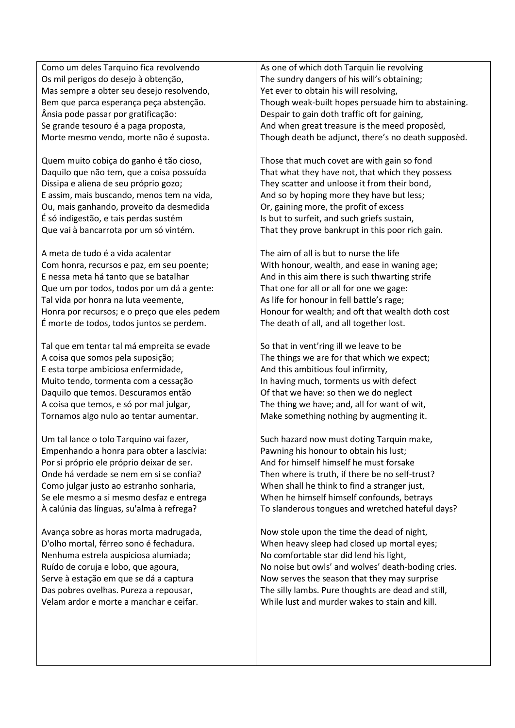Como um deles Tarquino fica revolvendo Os mil perigos do desejo à obtenção, Mas sempre a obter seu desejo resolvendo, Bem que parca esperança peça abstenção. Ânsia pode passar por gratificação: Se grande tesouro é a paga proposta, Morte mesmo vendo, morte não é suposta.

Quem muito cobiça do ganho é tão cioso, Daquilo que não tem, que a coisa possuída Dissipa e aliena de seu próprio gozo; E assim, mais buscando, menos tem na vida, Ou, mais ganhando, proveito da desmedida É só indigestão, e tais perdas sustém Que vai à bancarrota por um só vintém.

A meta de tudo é a vida acalentar Com honra, recursos e paz, em seu poente; E nessa meta há tanto que se batalhar Que um por todos, todos por um dá a gente: Tal vida por honra na luta veemente, Honra por recursos; e o preço que eles pedem É morte de todos, todos juntos se perdem.

Tal que em tentar tal má empreita se evade A coisa que somos pela suposição; E esta torpe ambiciosa enfermidade, Muito tendo, tormenta com a cessação Daquilo que temos. Descuramos então A coisa que temos, e só por mal julgar, Tornamos algo nulo ao tentar aumentar.

Um tal lance o tolo Tarquino vai fazer. Empenhando a honra para obter a lascívia: Por si próprio ele próprio deixar de ser. Onde há verdade se nem em si se confia? Como julgar justo ao estranho sonharia, Se ele mesmo a si mesmo desfaz e entrega À calúnia das línguas, su'alma à refrega?

Avança sobre as horas morta madrugada, D'olho mortal, férreo sono é fechadura. Nenhuma estrela auspiciosa alumiada; Ruído de coruja e lobo, que agoura, Serve à estação em que se dá a captura Das pobres ovelhas. Pureza a repousar, Velam ardor e morte a manchar e ceifar.

As one of which doth Tarquin lie revolving The sundry dangers of his will's obtaining; Yet ever to obtain his will resolving, Though weak-built hopes persuade him to abstaining. Despair to gain doth traffic oft for gaining, And when great treasure is the meed proposèd, Though death be adjunct, there's no death supposèd.

Those that much covet are with gain so fond That what they have not, that which they possess They scatter and unloose it from their bond, And so by hoping more they have but less; Or, gaining more, the profit of excess Is but to surfeit, and such griefs sustain, That they prove bankrupt in this poor rich gain.

The aim of all is but to nurse the life With honour, wealth, and ease in waning age; And in this aim there is such thwarting strife That one for all or all for one we gage: As life for honour in fell battle's rage; Honour for wealth; and oft that wealth doth cost The death of all, and all together lost.

So that in vent'ring ill we leave to be The things we are for that which we expect; And this ambitious foul infirmity, In having much, torments us with defect Of that we have: so then we do neglect The thing we have; and, all for want of wit, Make something nothing by augmenting it.

Such hazard now must doting Tarquin make, Pawning his honour to obtain his lust; And for himself himself he must forsake Then where is truth, if there be no self-trust? When shall he think to find a stranger just, When he himself himself confounds, betrays To slanderous tongues and wretched hateful days?

Now stole upon the time the dead of night, When heavy sleep had closed up mortal eyes; No comfortable star did lend his light, No noise but owls' and wolves' death-boding cries. Now serves the season that they may surprise The silly lambs. Pure thoughts are dead and still, While lust and murder wakes to stain and kill.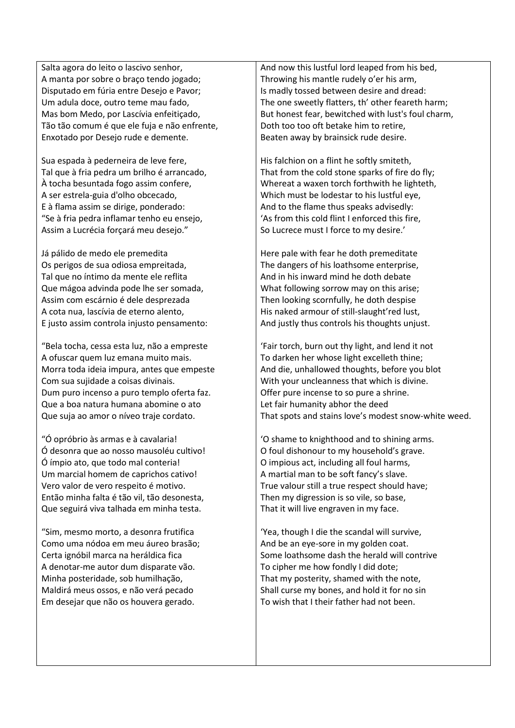Salta agora do leito o lascivo senhor, A manta por sobre o braço tendo jogado; Disputado em fúria entre Desejo e Pavor; Um adula doce, outro teme mau fado, Mas bom Medo, por Lascívia enfeitiçado, Tão tão comum é que ele fuja e não enfrente, Enxotado por Desejo rude e demente.

Sua espada à pederneira de leve fere, Tal que à fria pedra um brilho é arrancado, À tocha besuntada fogo assim confere, A ser estrela-guia d'olho obcecado, E à flama assim se dirige, ponderado: "Se à fria pedra inflamar tenho eu ensejo, Assim a Lucrécia forçará meu desejo."

Já pálido de medo ele premedita Os perigos de sua odiosa empreitada, Tal que no íntimo da mente ele reflita Que mágoa advinda pode lhe ser somada, Assim com escárnio é dele desprezada A cota nua, lascívia de eterno alento, E justo assim controla injusto pensamento:

"Bela tocha, cessa esta luz, não a empreste A ofuscar quem luz emana muito mais. Morra toda ideia impura, antes que empeste Com sua sujidade a coisas divinais. Dum puro incenso a puro templo oferta faz. Que a boa natura humana abomine o ato Que suja ao amor o níveo traje cordato.

"Ó opróbrio às armas e à cavalaria! Ó desonra que ao nosso mausoléu cultivo! Ó ímpio ato, que todo mal conteria! Um marcial homem de caprichos cativo! Vero valor de vero respeito é motivo. Então minha falta é tão vil, tão desonesta, Que seguirá viva talhada em minha testa.

"Sim, mesmo morto, a desonra frutifica Como uma nódoa em meu áureo brasão; Certa ignóbil marca na heráldica fica A denotar-me autor dum disparate vão. Minha posteridade, sob humilhação, Maldirá meus ossos, e não verá pecado Em desejar que não os houvera gerado.

And now this lustful lord leaped from his bed, Throwing his mantle rudely o'er his arm, Is madly tossed between desire and dread: The one sweetly flatters, th' other feareth harm; But honest fear, bewitched with lust's foul charm, Doth too too oft betake him to retire, Beaten away by brainsick rude desire.

His falchion on a flint he softly smiteth, That from the cold stone sparks of fire do fly; Whereat a waxen torch forthwith he lighteth, Which must be lodestar to his lustful eye, And to the flame thus speaks advisedly: 'As from this cold flint I enforced this fire, So Lucrece must I force to my desire.'

Here pale with fear he doth premeditate The dangers of his loathsome enterprise, And in his inward mind he doth debate What following sorrow may on this arise; Then looking scornfully, he doth despise His naked armour of still-slaught'red lust, And justly thus controls his thoughts unjust.

'Fair torch, burn out thy light, and lend it not To darken her whose light excelleth thine; And die, unhallowed thoughts, before you blot With your uncleanness that which is divine. Offer pure incense to so pure a shrine. Let fair humanity abhor the deed That spots and stains love's modest snow-white weed.

'O shame to knighthood and to shining arms. O foul dishonour to my household's grave. O impious act, including all foul harms, A martial man to be soft fancy's slave. True valour still a true respect should have; Then my digression is so vile, so base, That it will live engraven in my face.

'Yea, though I die the scandal will survive, And be an eye-sore in my golden coat. Some loathsome dash the herald will contrive To cipher me how fondly I did dote; That my posterity, shamed with the note, Shall curse my bones, and hold it for no sin To wish that I their father had not been.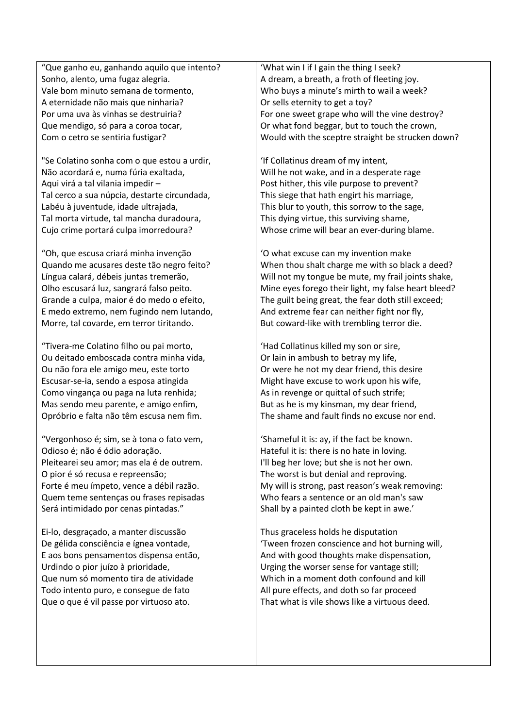"Que ganho eu, ganhando aquilo que intento? Sonho, alento, uma fugaz alegria. Vale bom minuto semana de tormento, A eternidade não mais que ninharia? Por uma uva às vinhas se destruiria? Que mendigo, só para a coroa tocar, Com o cetro se sentiria fustigar?

"Se Colatino sonha com o que estou a urdir, Não acordará e, numa fúria exaltada, Aqui virá a tal vilania impedir – Tal cerco a sua núpcia, destarte circundada, Labéu à juventude, idade ultrajada, Tal morta virtude, tal mancha duradoura, Cujo crime portará culpa imorredoura?

"Oh, que escusa criará minha invenção Quando me acusares deste tão negro feito? Língua calará, débeis juntas tremerão, Olho escusará luz, sangrará falso peito. Grande a culpa, maior é do medo o efeito, E medo extremo, nem fugindo nem lutando, Morre, tal covarde, em terror tiritando.

"Tivera-me Colatino filho ou pai morto, Ou deitado emboscada contra minha vida, Ou não fora ele amigo meu, este torto Escusar-se-ia, sendo a esposa atingida Como vingança ou paga na luta renhida; Mas sendo meu parente, e amigo enfim, Opróbrio e falta não têm escusa nem fim.

"Vergonhoso é; sim, se à tona o fato vem, Odioso é; não é ódio adoração. Pleitearei seu amor; mas ela é de outrem. O pior é só recusa e repreensão; Forte é meu ímpeto, vence a débil razão. Quem teme sentenças ou frases repisadas Será intimidado por cenas pintadas."

Ei-lo, desgraçado, a manter discussão De gélida consciência e ígnea vontade, E aos bons pensamentos dispensa então, Urdindo o pior juízo à prioridade, Que num só momento tira de atividade Todo intento puro, e consegue de fato Que o que é vil passe por virtuoso ato.

'What win I if I gain the thing I seek? A dream, a breath, a froth of fleeting joy. Who buys a minute's mirth to wail a week? Or sells eternity to get a toy? For one sweet grape who will the vine destroy? Or what fond beggar, but to touch the crown, Would with the sceptre straight be strucken down?

'If Collatinus dream of my intent, Will he not wake, and in a desperate rage Post hither, this vile purpose to prevent? This siege that hath engirt his marriage, This blur to youth, this sorrow to the sage, This dying virtue, this surviving shame, Whose crime will bear an ever-during blame.

'O what excuse can my invention make When thou shalt charge me with so black a deed? Will not my tongue be mute, my frail joints shake, Mine eyes forego their light, my false heart bleed? The guilt being great, the fear doth still exceed; And extreme fear can neither fight nor fly, But coward-like with trembling terror die.

'Had Collatinus killed my son or sire, Or lain in ambush to betray my life, Or were he not my dear friend, this desire Might have excuse to work upon his wife, As in revenge or quittal of such strife; But as he is my kinsman, my dear friend, The shame and fault finds no excuse nor end.

'Shameful it is: ay, if the fact be known. Hateful it is: there is no hate in loving. I'll beg her love; but she is not her own. The worst is but denial and reproving. My will is strong, past reason's weak removing: Who fears a sentence or an old man's saw Shall by a painted cloth be kept in awe.'

Thus graceless holds he disputation 'Tween frozen conscience and hot burning will, And with good thoughts make dispensation, Urging the worser sense for vantage still; Which in a moment doth confound and kill All pure effects, and doth so far proceed That what is vile shows like a virtuous deed.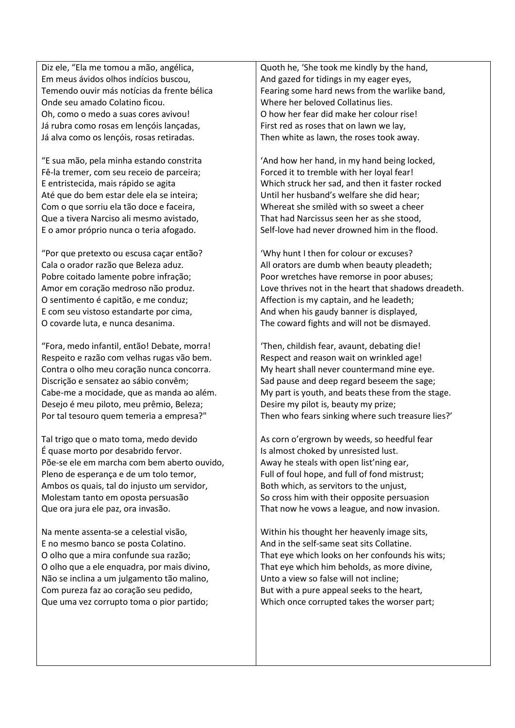Diz ele, "Ela me tomou a mão, angélica, Em meus ávidos olhos indícios buscou, Temendo ouvir más notícias da frente bélica Onde seu amado Colatino ficou. Oh, como o medo a suas cores avivou! Já rubra como rosas em lençóis lançadas, Já alva como os lençóis, rosas retiradas.

"E sua mão, pela minha estando constrita Fê-la tremer, com seu receio de parceira; E entristecida, mais rápido se agita Até que do bem estar dele ela se inteira; Com o que sorriu ela tão doce e faceira, Que a tivera Narciso ali mesmo avistado, E o amor próprio nunca o teria afogado.

"Por que pretexto ou escusa caçar então? Cala o orador razão que Beleza aduz. Pobre coitado lamente pobre infração; Amor em coração medroso não produz. O sentimento é capitão, e me conduz; E com seu vistoso estandarte por cima, O covarde luta, e nunca desanima.

"Fora, medo infantil, então! Debate, morra! Respeito e razão com velhas rugas vão bem. Contra o olho meu coração nunca concorra. Discrição e sensatez ao sábio convêm; Cabe-me a mocidade, que as manda ao além. Desejo é meu piloto, meu prêmio, Beleza; Por tal tesouro quem temeria a empresa?"

Tal trigo que o mato toma, medo devido É quase morto por desabrido fervor. Põe-se ele em marcha com bem aberto ouvido, Pleno de esperança e de um tolo temor, Ambos os quais, tal do injusto um servidor, Molestam tanto em oposta persuasão Que ora jura ele paz, ora invasão.

Na mente assenta-se a celestial visão, E no mesmo banco se posta Colatino. O olho que a mira confunde sua razão; O olho que a ele enquadra, por mais divino, Não se inclina a um julgamento tão malino, Com pureza faz ao coração seu pedido, Que uma vez corrupto toma o pior partido;

Quoth he, 'She took me kindly by the hand, And gazed for tidings in my eager eyes, Fearing some hard news from the warlike band, Where her beloved Collatinus lies. O how her fear did make her colour rise! First red as roses that on lawn we lay, Then white as lawn, the roses took away.

'And how her hand, in my hand being locked, Forced it to tremble with her loyal fear! Which struck her sad, and then it faster rocked Until her husband's welfare she did hear; Whereat she smilèd with so sweet a cheer That had Narcissus seen her as she stood, Self-love had never drowned him in the flood.

'Why hunt I then for colour or excuses? All orators are dumb when beauty pleadeth; Poor wretches have remorse in poor abuses; Love thrives not in the heart that shadows dreadeth. Affection is my captain, and he leadeth; And when his gaudy banner is displayed, The coward fights and will not be dismayed.

'Then, childish fear, avaunt, debating die! Respect and reason wait on wrinkled age! My heart shall never countermand mine eye. Sad pause and deep regard beseem the sage; My part is youth, and beats these from the stage. Desire my pilot is, beauty my prize; Then who fears sinking where such treasure lies?'

As corn o'ergrown by weeds, so heedful fear Is almost choked by unresisted lust. Away he steals with open list'ning ear, Full of foul hope, and full of fond mistrust; Both which, as servitors to the unjust, So cross him with their opposite persuasion That now he vows a league, and now invasion.

Within his thought her heavenly image sits, And in the self-same seat sits Collatine. That eye which looks on her confounds his wits; That eye which him beholds, as more divine, Unto a view so false will not incline; But with a pure appeal seeks to the heart, Which once corrupted takes the worser part;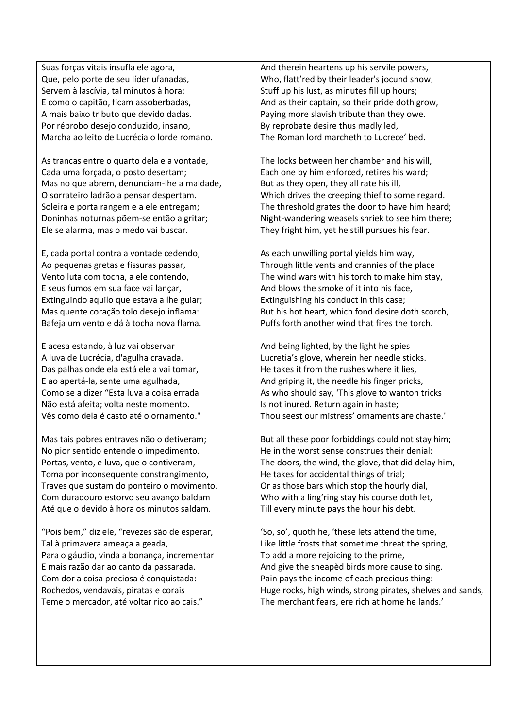Suas forças vitais insufla ele agora, Que, pelo porte de seu líder ufanadas, Servem à lascívia, tal minutos à hora; E como o capitão, ficam assoberbadas, A mais baixo tributo que devido dadas. Por réprobo desejo conduzido, insano, Marcha ao leito de Lucrécia o lorde romano.

As trancas entre o quarto dela e a vontade, Cada uma forçada, o posto desertam; Mas no que abrem, denunciam-lhe a maldade, O sorrateiro ladrão a pensar despertam. Soleira e porta rangem e a ele entregam; Doninhas noturnas põem-se então a gritar; Ele se alarma, mas o medo vai buscar.

E, cada portal contra a vontade cedendo, Ao pequenas gretas e fissuras passar, Vento luta com tocha, a ele contendo, E seus fumos em sua face vai lançar, Extinguindo aquilo que estava a lhe guiar; Mas quente coração tolo desejo inflama: Bafeja um vento e dá à tocha nova flama.

E acesa estando, à luz vai observar A luva de Lucrécia, d'agulha cravada. Das palhas onde ela está ele a vai tomar, E ao apertá-la, sente uma agulhada, Como se a dizer "Esta luva a coisa errada Não está afeita; volta neste momento. Vês como dela é casto até o ornamento."

Mas tais pobres entraves não o detiveram; No pior sentido entende o impedimento. Portas, vento, e luva, que o contiveram, Toma por inconsequente constrangimento, Traves que sustam do ponteiro o movimento, Com duradouro estorvo seu avanço baldam Até que o devido à hora os minutos saldam.

"Pois bem," diz ele, "revezes são de esperar, Tal à primavera ameaça a geada, Para o gáudio, vinda a bonança, incrementar E mais razão dar ao canto da passarada. Com dor a coisa preciosa é conquistada: Rochedos, vendavais, piratas e corais Teme o mercador, até voltar rico ao cais."

And therein heartens up his servile powers, Who, flatt'red by their leader's jocund show, Stuff up his lust, as minutes fill up hours; And as their captain, so their pride doth grow, Paying more slavish tribute than they owe. By reprobate desire thus madly led, The Roman lord marcheth to Lucrece' bed.

The locks between her chamber and his will, Each one by him enforced, retires his ward; But as they open, they all rate his ill, Which drives the creeping thief to some regard. The threshold grates the door to have him heard; Night-wandering weasels shriek to see him there; They fright him, yet he still pursues his fear.

As each unwilling portal yields him way, Through little vents and crannies of the place The wind wars with his torch to make him stay, And blows the smoke of it into his face, Extinguishing his conduct in this case; But his hot heart, which fond desire doth scorch, Puffs forth another wind that fires the torch.

And being lighted, by the light he spies Lucretia's glove, wherein her needle sticks. He takes it from the rushes where it lies, And griping it, the needle his finger pricks, As who should say, 'This glove to wanton tricks Is not inured. Return again in haste; Thou seest our mistress' ornaments are chaste.'

But all these poor forbiddings could not stay him; He in the worst sense construes their denial: The doors, the wind, the glove, that did delay him, He takes for accidental things of trial; Or as those bars which stop the hourly dial, Who with a ling'ring stay his course doth let, Till every minute pays the hour his debt.

'So, so', quoth he, 'these lets attend the time, Like little frosts that sometime threat the spring, To add a more rejoicing to the prime, And give the sneapèd birds more cause to sing. Pain pays the income of each precious thing: Huge rocks, high winds, strong pirates, shelves and sands, The merchant fears, ere rich at home he lands.'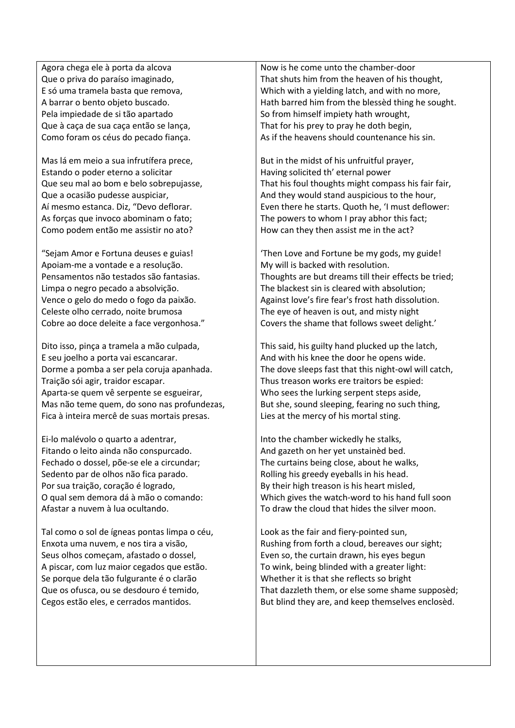Agora chega ele à porta da alcova Que o priva do paraíso imaginado, E só uma tramela basta que remova, A barrar o bento objeto buscado. Pela impiedade de si tão apartado Que à caça de sua caça então se lança, Como foram os céus do pecado fiança.

Mas lá em meio a sua infrutífera prece, Estando o poder eterno a solicitar Que seu mal ao bom e belo sobrepujasse, Que a ocasião pudesse auspiciar, Aí mesmo estanca. Diz, "Devo deflorar. As forças que invoco abominam o fato; Como podem então me assistir no ato?

"Sejam Amor e Fortuna deuses e guias! Apoiam-me a vontade e a resolução. Pensamentos não testados são fantasias. Limpa o negro pecado a absolvição. Vence o gelo do medo o fogo da paixão. Celeste olho cerrado, noite brumosa Cobre ao doce deleite a face vergonhosa."

Dito isso, pinça a tramela a mão culpada, E seu joelho a porta vai escancarar. Dorme a pomba a ser pela coruja apanhada. Traição sói agir, traidor escapar. Aparta-se quem vê serpente se esgueirar, Mas não teme quem, do sono nas profundezas, Fica à inteira mercê de suas mortais presas.

Ei-lo malévolo o quarto a adentrar, Fitando o leito ainda não conspurcado. Fechado o dossel, põe-se ele a circundar; Sedento par de olhos não fica parado. Por sua traição, coração é logrado, O qual sem demora dá à mão o comando: Afastar a nuvem à lua ocultando.

Tal como o sol de ígneas pontas limpa o céu, Enxota uma nuvem, e nos tira a visão, Seus olhos começam, afastado o dossel, A piscar, com luz maior cegados que estão. Se porque dela tão fulgurante é o clarão Que os ofusca, ou se desdouro é temido, Cegos estão eles, e cerrados mantidos.

Now is he come unto the chamber-door That shuts him from the heaven of his thought, Which with a yielding latch, and with no more, Hath barred him from the blessèd thing he sought. So from himself impiety hath wrought, That for his prey to pray he doth begin, As if the heavens should countenance his sin.

But in the midst of his unfruitful prayer, Having solicited th' eternal power That his foul thoughts might compass his fair fair, And they would stand auspicious to the hour, Even there he starts. Quoth he, 'I must deflower: The powers to whom I pray abhor this fact; How can they then assist me in the act?

'Then Love and Fortune be my gods, my guide! My will is backed with resolution. Thoughts are but dreams till their effects be tried; The blackest sin is cleared with absolution; Against love's fire fear's frost hath dissolution. The eye of heaven is out, and misty night Covers the shame that follows sweet delight.'

This said, his guilty hand plucked up the latch, And with his knee the door he opens wide. The dove sleeps fast that this night-owl will catch, Thus treason works ere traitors be espied: Who sees the lurking serpent steps aside, But she, sound sleeping, fearing no such thing, Lies at the mercy of his mortal sting.

Into the chamber wickedly he stalks, And gazeth on her yet unstainèd bed. The curtains being close, about he walks, Rolling his greedy eyeballs in his head. By their high treason is his heart misled, Which gives the watch-word to his hand full soon To draw the cloud that hides the silver moon.

Look as the fair and fiery-pointed sun, Rushing from forth a cloud, bereaves our sight; Even so, the curtain drawn, his eyes begun To wink, being blinded with a greater light: Whether it is that she reflects so bright That dazzleth them, or else some shame supposèd; But blind they are, and keep themselves enclosèd.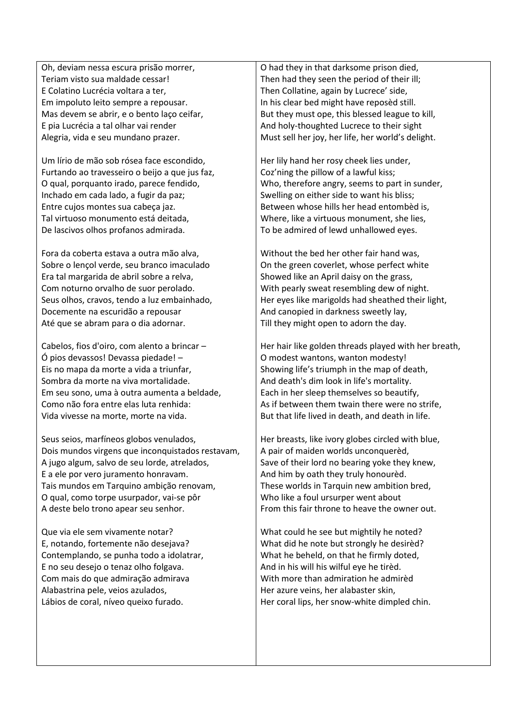Oh, deviam nessa escura prisão morrer, Teriam visto sua maldade cessar! E Colatino Lucrécia voltara a ter, Em impoluto leito sempre a repousar. Mas devem se abrir, e o bento laço ceifar, E pia Lucrécia a tal olhar vai render Alegria, vida e seu mundano prazer.

Um lírio de mão sob rósea face escondido, Furtando ao travesseiro o beijo a que jus faz, O qual, porquanto irado, parece fendido, Inchado em cada lado, a fugir da paz; Entre cujos montes sua cabeça jaz. Tal virtuoso monumento está deitada, De lascivos olhos profanos admirada.

Fora da coberta estava a outra mão alva, Sobre o lençol verde, seu branco imaculado Era tal margarida de abril sobre a relva, Com noturno orvalho de suor perolado. Seus olhos, cravos, tendo a luz embainhado, Docemente na escuridão a repousar Até que se abram para o dia adornar.

Cabelos, fios d'oiro, com alento a brincar – Ó pios devassos! Devassa piedade! – Eis no mapa da morte a vida a triunfar, Sombra da morte na viva mortalidade. Em seu sono, uma à outra aumenta a beldade, Como não fora entre elas luta renhida: Vida vivesse na morte, morte na vida.

Seus seios, marfíneos globos venulados, Dois mundos virgens que inconquistados restavam, A jugo algum, salvo de seu lorde, atrelados, E a ele por vero juramento honravam. Tais mundos em Tarquino ambição renovam, O qual, como torpe usurpador, vai-se pôr A deste belo trono apear seu senhor.

Que via ele sem vivamente notar? E, notando, fortemente não desejava? Contemplando, se punha todo a idolatrar, E no seu desejo o tenaz olho folgava. Com mais do que admiração admirava Alabastrina pele, veios azulados, Lábios de coral, níveo queixo furado.

O had they in that darksome prison died, Then had they seen the period of their ill; Then Collatine, again by Lucrece' side, In his clear bed might have reposèd still. But they must ope, this blessed league to kill, And holy-thoughted Lucrece to their sight Must sell her joy, her life, her world's delight.

Her lily hand her rosy cheek lies under, Coz'ning the pillow of a lawful kiss; Who, therefore angry, seems to part in sunder, Swelling on either side to want his bliss; Between whose hills her head entombèd is, Where, like a virtuous monument, she lies, To be admired of lewd unhallowed eyes.

Without the bed her other fair hand was, On the green coverlet, whose perfect white Showed like an April daisy on the grass, With pearly sweat resembling dew of night. Her eyes like marigolds had sheathed their light, And canopied in darkness sweetly lay, Till they might open to adorn the day.

Her hair like golden threads played with her breath, O modest wantons, wanton modesty! Showing life's triumph in the map of death, And death's dim look in life's mortality. Each in her sleep themselves so beautify, As if between them twain there were no strife, But that life lived in death, and death in life.

Her breasts, like ivory globes circled with blue, A pair of maiden worlds unconquerèd, Save of their lord no bearing yoke they knew, And him by oath they truly honourèd. These worlds in Tarquin new ambition bred, Who like a foul ursurper went about From this fair throne to heave the owner out.

What could he see but mightily he noted? What did he note but strongly he desirèd? What he beheld, on that he firmly doted, And in his will his wilful eye he tirèd. With more than admiration he admirèd Her azure veins, her alabaster skin, Her coral lips, her snow-white dimpled chin.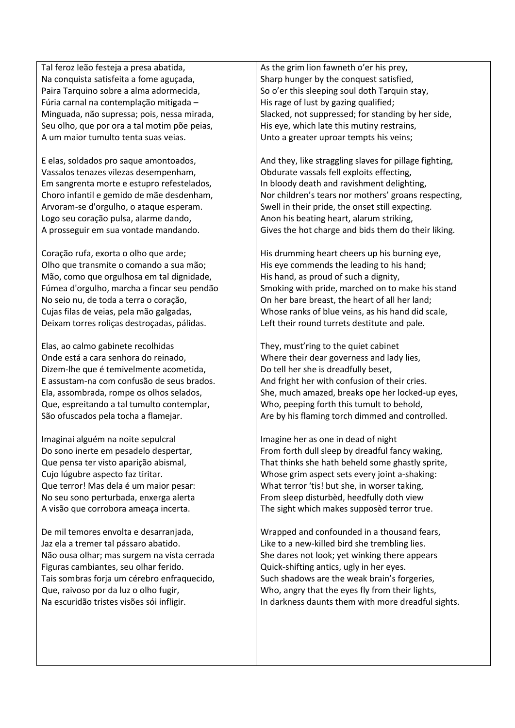Tal feroz leão festeja a presa abatida, Na conquista satisfeita a fome aguçada, Paira Tarquino sobre a alma adormecida, Fúria carnal na contemplação mitigada – Minguada, não supressa; pois, nessa mirada, Seu olho, que por ora a tal motim põe peias, A um maior tumulto tenta suas veias.

E elas, soldados pro saque amontoados, Vassalos tenazes vilezas desempenham, Em sangrenta morte e estupro refestelados, Choro infantil e gemido de mãe desdenham, Arvoram-se d'orgulho, o ataque esperam. Logo seu coração pulsa, alarme dando, A prosseguir em sua vontade mandando.

Coração rufa, exorta o olho que arde; Olho que transmite o comando a sua mão; Mão, como que orgulhosa em tal dignidade, Fúmea d'orgulho, marcha a fincar seu pendão No seio nu, de toda a terra o coração, Cujas filas de veias, pela mão galgadas, Deixam torres roliças destroçadas, pálidas.

Elas, ao calmo gabinete recolhidas Onde está a cara senhora do reinado, Dizem-lhe que é temivelmente acometida, E assustam-na com confusão de seus brados. Ela, assombrada, rompe os olhos selados, Que, espreitando a tal tumulto contemplar, São ofuscados pela tocha a flamejar.

Imaginai alguém na noite sepulcral Do sono inerte em pesadelo despertar, Que pensa ter visto aparição abismal, Cujo lúgubre aspecto faz tiritar. Que terror! Mas dela é um maior pesar: No seu sono perturbada, enxerga alerta A visão que corrobora ameaça incerta.

De mil temores envolta e desarranjada, Jaz ela a tremer tal pássaro abatido. Não ousa olhar; mas surgem na vista cerrada Figuras cambiantes, seu olhar ferido. Tais sombras forja um cérebro enfraquecido, Que, raivoso por da luz o olho fugir, Na escuridão tristes visões sói infligir.

As the grim lion fawneth o'er his prey, Sharp hunger by the conquest satisfied, So o'er this sleeping soul doth Tarquin stay, His rage of lust by gazing qualified; Slacked, not suppressed; for standing by her side, His eye, which late this mutiny restrains, Unto a greater uproar tempts his veins;

And they, like straggling slaves for pillage fighting, Obdurate vassals fell exploits effecting, In bloody death and ravishment delighting, Nor children's tears nor mothers' groans respecting, Swell in their pride, the onset still expecting. Anon his beating heart, alarum striking, Gives the hot charge and bids them do their liking.

His drumming heart cheers up his burning eye, His eye commends the leading to his hand; His hand, as proud of such a dignity, Smoking with pride, marched on to make his stand On her bare breast, the heart of all her land; Whose ranks of blue veins, as his hand did scale, Left their round turrets destitute and pale.

They, must'ring to the quiet cabinet Where their dear governess and lady lies, Do tell her she is dreadfully beset, And fright her with confusion of their cries. She, much amazed, breaks ope her locked-up eyes, Who, peeping forth this tumult to behold, Are by his flaming torch dimmed and controlled.

Imagine her as one in dead of night From forth dull sleep by dreadful fancy waking, That thinks she hath beheld some ghastly sprite, Whose grim aspect sets every joint a-shaking: What terror 'tis! but she, in worser taking, From sleep disturbèd, heedfully doth view The sight which makes supposèd terror true.

Wrapped and confounded in a thousand fears, Like to a new-killed bird she trembling lies. She dares not look; yet winking there appears Quick-shifting antics, ugly in her eyes. Such shadows are the weak brain's forgeries, Who, angry that the eyes fly from their lights, In darkness daunts them with more dreadful sights.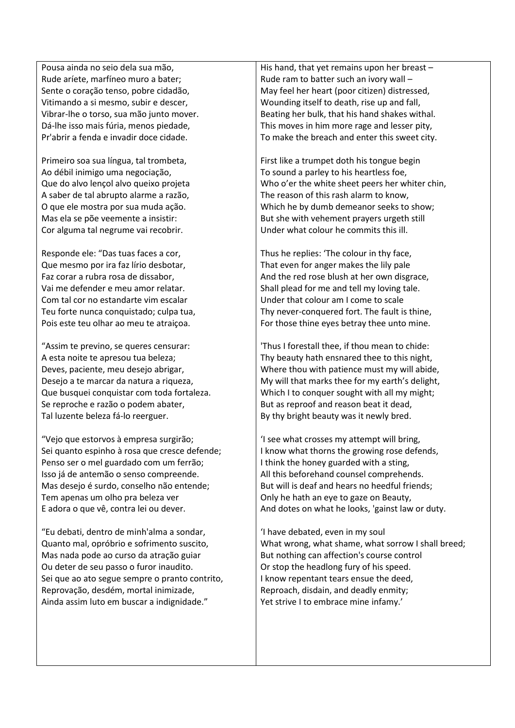Pousa ainda no seio dela sua mão, Rude aríete, marfíneo muro a bater; Sente o coração tenso, pobre cidadão, Vitimando a si mesmo, subir e descer, Vibrar-lhe o torso, sua mão junto mover. Dá-lhe isso mais fúria, menos piedade, Pr'abrir a fenda e invadir doce cidade.

Primeiro soa sua língua, tal trombeta, Ao débil inimigo uma negociação, Que do alvo lençol alvo queixo projeta A saber de tal abrupto alarme a razão, O que ele mostra por sua muda ação. Mas ela se põe veemente a insistir: Cor alguma tal negrume vai recobrir.

Responde ele: "Das tuas faces a cor, Que mesmo por ira faz lírio desbotar, Faz corar a rubra rosa de dissabor, Vai me defender e meu amor relatar. Com tal cor no estandarte vim escalar Teu forte nunca conquistado; culpa tua, Pois este teu olhar ao meu te atraiçoa.

"Assim te previno, se queres censurar: A esta noite te apresou tua beleza; Deves, paciente, meu desejo abrigar, Desejo a te marcar da natura a riqueza, Que busquei conquistar com toda fortaleza. Se reproche e razão o podem abater, Tal luzente beleza fá-lo reerguer.

"Vejo que estorvos à empresa surgirão; Sei quanto espinho à rosa que cresce defende; Penso ser o mel guardado com um ferrão; Isso já de antemão o senso compreende. Mas desejo é surdo, conselho não entende; Tem apenas um olho pra beleza ver E adora o que vê, contra lei ou dever.

"Eu debati, dentro de minh'alma a sondar, Quanto mal, opróbrio e sofrimento suscito, Mas nada pode ao curso da atração guiar Ou deter de seu passo o furor inaudito. Sei que ao ato segue sempre o pranto contrito, Reprovação, desdém, mortal inimizade, Ainda assim luto em buscar a indignidade."

His hand, that yet remains upon her breast – Rude ram to batter such an ivory wall – May feel her heart (poor citizen) distressed, Wounding itself to death, rise up and fall, Beating her bulk, that his hand shakes withal. This moves in him more rage and lesser pity, To make the breach and enter this sweet city.

First like a trumpet doth his tongue begin To sound a parley to his heartless foe, Who o'er the white sheet peers her whiter chin, The reason of this rash alarm to know, Which he by dumb demeanor seeks to show; But she with vehement prayers urgeth still Under what colour he commits this ill.

Thus he replies: 'The colour in thy face, That even for anger makes the lily pale And the red rose blush at her own disgrace, Shall plead for me and tell my loving tale. Under that colour am I come to scale Thy never-conquered fort. The fault is thine, For those thine eyes betray thee unto mine.

'Thus I forestall thee, if thou mean to chide: Thy beauty hath ensnared thee to this night, Where thou with patience must my will abide, My will that marks thee for my earth's delight, Which I to conquer sought with all my might; But as reproof and reason beat it dead, By thy bright beauty was it newly bred.

'I see what crosses my attempt will bring, I know what thorns the growing rose defends, I think the honey guarded with a sting, All this beforehand counsel comprehends. But will is deaf and hears no heedful friends; Only he hath an eye to gaze on Beauty, And dotes on what he looks, 'gainst law or duty.

'I have debated, even in my soul What wrong, what shame, what sorrow I shall breed; But nothing can affection's course control Or stop the headlong fury of his speed. I know repentant tears ensue the deed, Reproach, disdain, and deadly enmity; Yet strive I to embrace mine infamy.'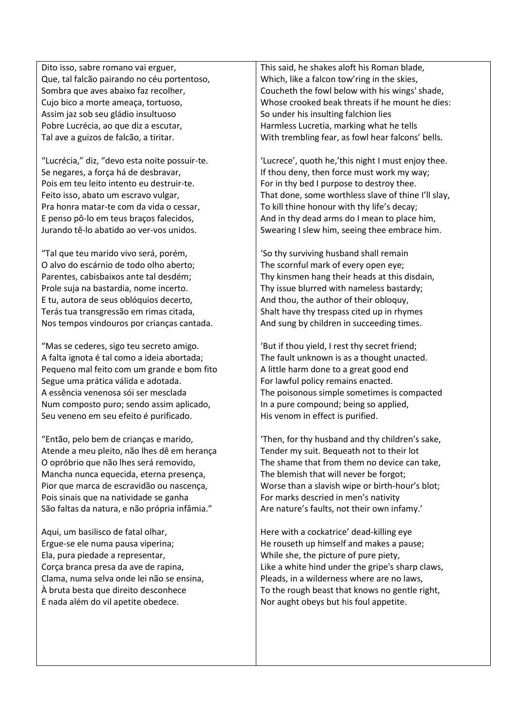Dito isso, sabre romano vai erguer, Que, tal falcão pairando no céu portentoso, Sombra que aves abaixo faz recolher, Cujo bico a morte ameaça, tortuoso, Assim jaz sob seu gládio insultuoso Pobre Lucrécia, ao que diz a escutar, Tal ave a guizos de falcão, a tiritar.

"Lucrécia," diz, "devo esta noite possuir-te. Se negares, a força há de desbravar, Pois em teu leito intento eu destruir-te. Feito isso, abato um escravo vulgar, Pra honra matar-te com da vida o cessar, E penso pô-lo em teus braços falecidos, Jurando tê-lo abatido ao ver-vos unidos.

"Tal que teu marido vivo será, porém, O alvo do escárnio de todo olho aberto; Parentes, cabisbaixos ante tal desdém; Prole suja na bastardia, nome incerto. E tu, autora de seus oblóquios decerto, Terás tua transgressão em rimas citada, Nos tempos vindouros por crianças cantada.

"Mas se cederes, sigo teu secreto amigo. A falta ignota é tal como a ideia abortada; Pequeno mal feito com um grande e bom fito Segue uma prática válida e adotada. A essência venenosa sói ser mesclada Num composto puro; sendo assim aplicado, Seu veneno em seu efeito é purificado.

"Então, pelo bem de crianças e marido, Atende a meu pleito, não lhes dê em herança O opróbrio que não lhes será removido, Mancha nunca equecida, eterna presença, Pior que marca de escravidão ou nascença, Pois sinais que na natividade se ganha São faltas da natura, e não própria infâmia."

Aqui, um basilisco de fatal olhar, Ergue-se ele numa pausa viperina; Ela, pura piedade a representar, Corça branca presa da ave de rapina, Clama, numa selva onde lei não se ensina, À bruta besta que direito desconhece E nada além do vil apetite obedece.

This said, he shakes aloft his Roman blade, Which, like a falcon tow'ring in the skies, Coucheth the fowl below with his wings' shade, Whose crooked beak threats if he mount he dies: So under his insulting falchion lies Harmless Lucretia, marking what he tells With trembling fear, as fowl hear falcons' bells.

'Lucrece', quoth he,'this night I must enjoy thee. If thou deny, then force must work my way; For in thy bed I purpose to destroy thee. That done, some worthless slave of thine I'll slay, To kill thine honour with thy life's decay; And in thy dead arms do I mean to place him, Swearing I slew him, seeing thee embrace him.

'So thy surviving husband shall remain The scornful mark of every open eye; Thy kinsmen hang their heads at this disdain, Thy issue blurred with nameless bastardy; And thou, the author of their obloquy, Shalt have thy trespass cited up in rhymes And sung by children in succeeding times.

'But if thou yield, I rest thy secret friend; The fault unknown is as a thought unacted. A little harm done to a great good end For lawful policy remains enacted. The poisonous simple sometimes is compacted In a pure compound; being so applied, His venom in effect is purified.

'Then, for thy husband and thy children's sake, Tender my suit. Bequeath not to their lot The shame that from them no device can take, The blemish that will never be forgot; Worse than a slavish wipe or birth-hour's blot; For marks descried in men's nativity Are nature's faults, not their own infamy.'

Here with a cockatrice' dead-killing eye He rouseth up himself and makes a pause; While she, the picture of pure piety, Like a white hind under the gripe's sharp claws, Pleads, in a wilderness where are no laws, To the rough beast that knows no gentle right, Nor aught obeys but his foul appetite.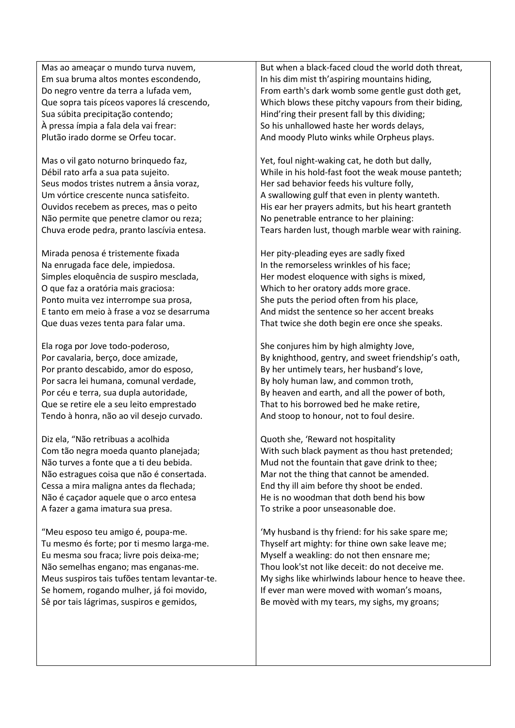Mas ao ameaçar o mundo turva nuvem, Em sua bruma altos montes escondendo, Do negro ventre da terra a lufada vem, Que sopra tais píceos vapores lá crescendo, Sua súbita precipitação contendo; À pressa ímpia a fala dela vai frear: Plutão irado dorme se Orfeu tocar.

Mas o vil gato noturno brinquedo faz, Débil rato arfa a sua pata sujeito. Seus modos tristes nutrem a ânsia voraz, Um vórtice crescente nunca satisfeito. Ouvidos recebem as preces, mas o peito Não permite que penetre clamor ou reza; Chuva erode pedra, pranto lascívia entesa.

Mirada penosa é tristemente fixada Na enrugada face dele, impiedosa. Simples eloquência de suspiro mesclada, O que faz a oratória mais graciosa: Ponto muita vez interrompe sua prosa, E tanto em meio à frase a voz se desarruma Que duas vezes tenta para falar uma.

Ela roga por Jove todo-poderoso, Por cavalaria, berço, doce amizade, Por pranto descabido, amor do esposo, Por sacra lei humana, comunal verdade, Por céu e terra, sua dupla autoridade, Que se retire ele a seu leito emprestado Tendo à honra, não ao vil desejo curvado.

Diz ela, "Não retribuas a acolhida Com tão negra moeda quanto planejada; Não turves a fonte que a ti deu bebida. Não estragues coisa que não é consertada. Cessa a mira maligna antes da flechada; Não é caçador aquele que o arco entesa A fazer a gama imatura sua presa.

"Meu esposo teu amigo é, poupa-me. Tu mesmo és forte; por ti mesmo larga-me. Eu mesma sou fraca; livre pois deixa-me; Não semelhas engano; mas enganas-me. Meus suspiros tais tufões tentam levantar-te. Se homem, rogando mulher, já foi movido, Sê por tais lágrimas, suspiros e gemidos,

But when a black-faced cloud the world doth threat, In his dim mist th'aspiring mountains hiding, From earth's dark womb some gentle gust doth get, Which blows these pitchy vapours from their biding, Hind'ring their present fall by this dividing; So his unhallowed haste her words delays, And moody Pluto winks while Orpheus plays.

Yet, foul night-waking cat, he doth but dally, While in his hold-fast foot the weak mouse panteth; Her sad behavior feeds his vulture folly, A swallowing gulf that even in plenty wanteth. His ear her prayers admits, but his heart granteth No penetrable entrance to her plaining: Tears harden lust, though marble wear with raining.

Her pity-pleading eyes are sadly fixed In the remorseless wrinkles of his face; Her modest eloquence with sighs is mixed, Which to her oratory adds more grace. She puts the period often from his place, And midst the sentence so her accent breaks That twice she doth begin ere once she speaks.

She conjures him by high almighty Jove, By knighthood, gentry, and sweet friendship's oath, By her untimely tears, her husband's love, By holy human law, and common troth, By heaven and earth, and all the power of both, That to his borrowed bed he make retire, And stoop to honour, not to foul desire.

Quoth she, 'Reward not hospitality With such black payment as thou hast pretended; Mud not the fountain that gave drink to thee; Mar not the thing that cannot be amended. End thy ill aim before thy shoot be ended. He is no woodman that doth bend his bow To strike a poor unseasonable doe.

'My husband is thy friend: for his sake spare me; Thyself art mighty: for thine own sake leave me; Myself a weakling: do not then ensnare me; Thou look'st not like deceit: do not deceive me. My sighs like whirlwinds labour hence to heave thee. If ever man were moved with woman's moans, Be movèd with my tears, my sighs, my groans;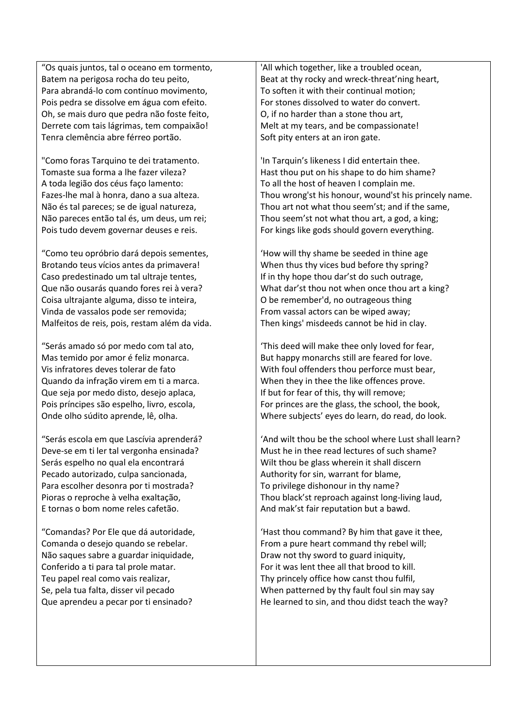"Os quais juntos, tal o oceano em tormento, Batem na perigosa rocha do teu peito, Para abrandá-lo com contínuo movimento, Pois pedra se dissolve em água com efeito. Oh, se mais duro que pedra não foste feito, Derrete com tais lágrimas, tem compaixão! Tenra clemência abre férreo portão.

"Como foras Tarquino te dei tratamento. Tomaste sua forma a lhe fazer vileza? A toda legião dos céus faço lamento: Fazes-lhe mal à honra, dano a sua alteza. Não és tal pareces; se de igual natureza, Não pareces então tal és, um deus, um rei; Pois tudo devem governar deuses e reis.

"Como teu opróbrio dará depois sementes, Brotando teus vícios antes da primavera! Caso predestinado um tal ultraje tentes, Que não ousarás quando fores rei à vera? Coisa ultrajante alguma, disso te inteira, Vinda de vassalos pode ser removida; Malfeitos de reis, pois, restam além da vida.

"Serás amado só por medo com tal ato, Mas temido por amor é feliz monarca. Vis infratores deves tolerar de fato Quando da infração virem em ti a marca. Que seja por medo disto, desejo aplaca, Pois príncipes são espelho, livro, escola, Onde olho súdito aprende, lê, olha.

"Serás escola em que Lascívia aprenderá? Deve-se em ti ler tal vergonha ensinada? Serás espelho no qual ela encontrará Pecado autorizado, culpa sancionada, Para escolher desonra por ti mostrada? Pioras o reproche à velha exaltação, E tornas o bom nome reles cafetão.

"Comandas? Por Ele que dá autoridade, Comanda o desejo quando se rebelar. Não saques sabre a guardar iniquidade, Conferido a ti para tal prole matar. Teu papel real como vais realizar, Se, pela tua falta, disser vil pecado Que aprendeu a pecar por ti ensinado?

'All which together, like a troubled ocean, Beat at thy rocky and wreck-threat'ning heart, To soften it with their continual motion; For stones dissolved to water do convert. O, if no harder than a stone thou art, Melt at my tears, and be compassionate! Soft pity enters at an iron gate.

'In Tarquin's likeness I did entertain thee. Hast thou put on his shape to do him shame? To all the host of heaven I complain me. Thou wrong'st his honour, wound'st his princely name. Thou art not what thou seem'st; and if the same, Thou seem'st not what thou art, a god, a king; For kings like gods should govern everything.

'How will thy shame be seeded in thine age When thus thy vices bud before thy spring? If in thy hope thou dar'st do such outrage, What dar'st thou not when once thou art a king? O be remember'd, no outrageous thing From vassal actors can be wiped away; Then kings' misdeeds cannot be hid in clay.

'This deed will make thee only loved for fear, But happy monarchs still are feared for love. With foul offenders thou perforce must bear, When they in thee the like offences prove. If but for fear of this, thy will remove; For princes are the glass, the school, the book, Where subjects' eyes do learn, do read, do look.

'And wilt thou be the school where Lust shall learn? Must he in thee read lectures of such shame? Wilt thou be glass wherein it shall discern Authority for sin, warrant for blame, To privilege dishonour in thy name? Thou black'st reproach against long-living laud, And mak'st fair reputation but a bawd.

'Hast thou command? By him that gave it thee, From a pure heart command thy rebel will; Draw not thy sword to guard iniquity, For it was lent thee all that brood to kill. Thy princely office how canst thou fulfil, When patterned by thy fault foul sin may say He learned to sin, and thou didst teach the way?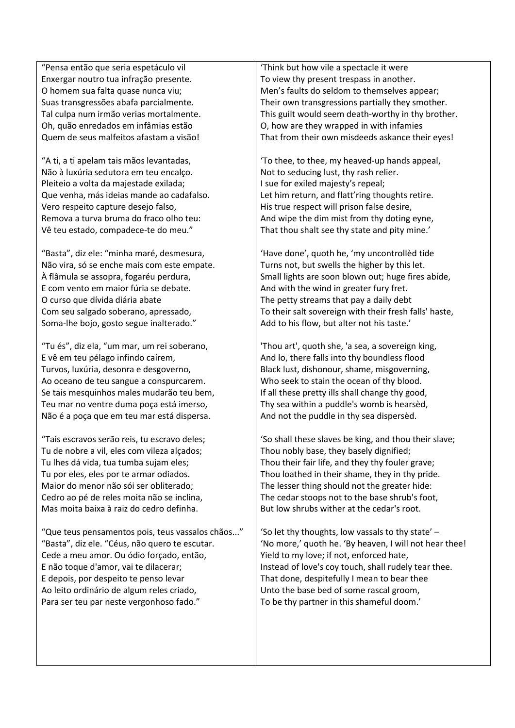"Pensa então que seria espetáculo vil Enxergar noutro tua infração presente. O homem sua falta quase nunca viu; Suas transgressões abafa parcialmente. Tal culpa num irmão verias mortalmente. Oh, quão enredados em infâmias estão Quem de seus malfeitos afastam a visão!

"A ti, a ti apelam tais mãos levantadas, Não à luxúria sedutora em teu encalço. Pleiteio a volta da majestade exilada; Que venha, más ideias mande ao cadafalso. Vero respeito capture desejo falso, Remova a turva bruma do fraco olho teu: Vê teu estado, compadece-te do meu."

"Basta", diz ele: "minha maré, desmesura, Não vira, só se enche mais com este empate. À flâmula se assopra, fogaréu perdura, E com vento em maior fúria se debate. O curso que dívida diária abate Com seu salgado soberano, apressado, Soma-lhe bojo, gosto segue inalterado."

"Tu és", diz ela, "um mar, um rei soberano, E vê em teu pélago infindo caírem, Turvos, luxúria, desonra e desgoverno, Ao oceano de teu sangue a conspurcarem. Se tais mesquinhos males mudarão teu bem, Teu mar no ventre duma poça está imerso, Não é a poça que em teu mar está dispersa.

"Tais escravos serão reis, tu escravo deles; Tu de nobre a vil, eles com vileza alçados; Tu lhes dá vida, tua tumba sujam eles; Tu por eles, eles por te armar odiados. Maior do menor não sói ser obliterado; Cedro ao pé de reles moita não se inclina, Mas moita baixa à raiz do cedro definha.

"Que teus pensamentos pois, teus vassalos chãos..." "Basta", diz ele. "Céus, não quero te escutar. Cede a meu amor. Ou ódio forçado, então, E não toque d'amor, vai te dilacerar; E depois, por despeito te penso levar Ao leito ordinário de algum reles criado, Para ser teu par neste vergonhoso fado."

'Think but how vile a spectacle it were To view thy present trespass in another. Men's faults do seldom to themselves appear; Their own transgressions partially they smother. This guilt would seem death-worthy in thy brother. O, how are they wrapped in with infamies That from their own misdeeds askance their eyes!

'To thee, to thee, my heaved-up hands appeal, Not to seducing lust, thy rash relier. I sue for exiled majesty's repeal; Let him return, and flatt'ring thoughts retire. His true respect will prison false desire, And wipe the dim mist from thy doting eyne, That thou shalt see thy state and pity mine.'

'Have done', quoth he, 'my uncontrollèd tide Turns not, but swells the higher by this let. Small lights are soon blown out; huge fires abide, And with the wind in greater fury fret. The petty streams that pay a daily debt To their salt sovereign with their fresh falls' haste, Add to his flow, but alter not his taste.'

'Thou art', quoth she, 'a sea, a sovereign king, And lo, there falls into thy boundless flood Black lust, dishonour, shame, misgoverning, Who seek to stain the ocean of thy blood. If all these pretty ills shall change thy good, Thy sea within a puddle's womb is hearsèd, And not the puddle in thy sea dispersèd.

'So shall these slaves be king, and thou their slave; Thou nobly base, they basely dignified; Thou their fair life, and they thy fouler grave; Thou loathed in their shame, they in thy pride. The lesser thing should not the greater hide: The cedar stoops not to the base shrub's foot, But low shrubs wither at the cedar's root.

'So let thy thoughts, low vassals to thy state' – 'No more,' quoth he. 'By heaven, I will not hear thee! Yield to my love; if not, enforced hate, Instead of love's coy touch, shall rudely tear thee. That done, despitefully I mean to bear thee Unto the base bed of some rascal groom, To be thy partner in this shameful doom.'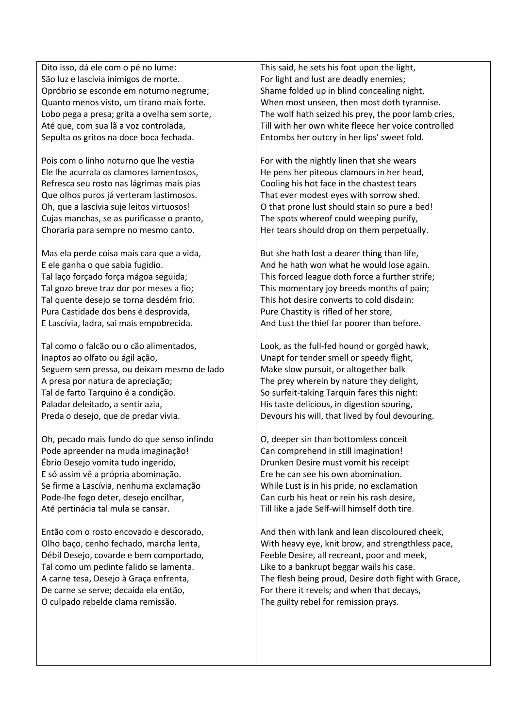Dito isso, dá ele com o pé no lume: São luz e lascívia inimigos de morte. Opróbrio se esconde em noturno negrume; Quanto menos visto, um tirano mais forte. Lobo pega a presa; grita a ovelha sem sorte, Até que, com sua lã a voz controlada, Sepulta os gritos na doce boca fechada.

Pois com o linho noturno que lhe vestia Ele lhe acurrala os clamores lamentosos, Refresca seu rosto nas lágrimas mais pias Que olhos puros já verteram lastimosos. Oh, que a lascívia suje leitos virtuosos! Cujas manchas, se as purificasse o pranto, Choraria para sempre no mesmo canto.

Mas ela perde coisa mais cara que a vida, E ele ganha o que sabia fugidio. Tal laço forçado força mágoa seguida; Tal gozo breve traz dor por meses a fio; Tal quente desejo se torna desdém frio. Pura Castidade dos bens é desprovida, E Lascívia, ladra, sai mais empobrecida.

Tal como o falcão ou o cão alimentados, Inaptos ao olfato ou ágil ação, Seguem sem pressa, ou deixam mesmo de lado A presa por natura de apreciação; Tal de farto Tarquino é a condição. Paladar deleitado, a sentir azia, Preda o desejo, que de predar vivia.

Oh, pecado mais fundo do que senso infindo Pode apreender na muda imaginação! Ébrio Desejo vomita tudo ingerido, E só assim vê a própria abominação. Se firme a Lascívia, nenhuma exclamação Pode-lhe fogo deter, desejo encilhar, Até pertinácia tal mula se cansar.

Então com o rosto encovado e descorado, Olho baço, cenho fechado, marcha lenta, Débil Desejo, covarde e bem comportado, Tal como um pedinte falido se lamenta. A carne tesa, Desejo à Graça enfrenta, De carne se serve; decaída ela então, O culpado rebelde clama remissão.

This said, he sets his foot upon the light, For light and lust are deadly enemies; Shame folded up in blind concealing night, When most unseen, then most doth tyrannise. The wolf hath seized his prey, the poor lamb cries, Till with her own white fleece her voice controlled Entombs her outcry in her lips' sweet fold.

For with the nightly linen that she wears He pens her piteous clamours in her head, Cooling his hot face in the chastest tears That ever modest eyes with sorrow shed. O that prone lust should stain so pure a bed! The spots whereof could weeping purify, Her tears should drop on them perpetually.

But she hath lost a dearer thing than life, And he hath won what he would lose again. This forced league doth force a further strife; This momentary joy breeds months of pain; This hot desire converts to cold disdain: Pure Chastity is rifled of her store, And Lust the thief far poorer than before.

Look, as the full-fed hound or gorgèd hawk, Unapt for tender smell or speedy flight, Make slow pursuit, or altogether balk The prey wherein by nature they delight, So surfeit-taking Tarquin fares this night: His taste delicious, in digestion souring, Devours his will, that lived by foul devouring.

O, deeper sin than bottomless conceit Can comprehend in still imagination! Drunken Desire must vomit his receipt Ere he can see his own abomination. While Lust is in his pride, no exclamation Can curb his heat or rein his rash desire, Till like a jade Self-will himself doth tire.

And then with lank and lean discoloured cheek, With heavy eye, knit brow, and strengthless pace, Feeble Desire, all recreant, poor and meek, Like to a bankrupt beggar wails his case. The flesh being proud, Desire doth fight with Grace, For there it revels; and when that decays, The guilty rebel for remission prays.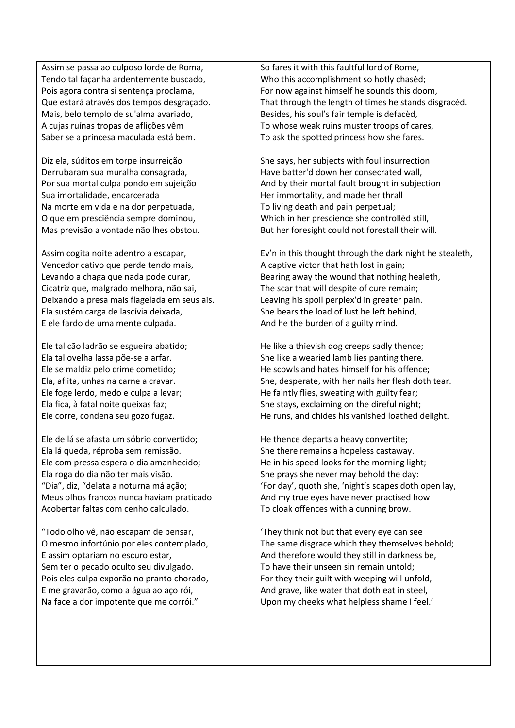Assim se passa ao culposo lorde de Roma, Tendo tal façanha ardentemente buscado, Pois agora contra si sentença proclama, Que estará através dos tempos desgraçado. Mais, belo templo de su'alma avariado, A cujas ruínas tropas de aflições vêm Saber se a princesa maculada está bem.

Diz ela, súditos em torpe insurreição Derrubaram sua muralha consagrada, Por sua mortal culpa pondo em sujeição Sua imortalidade, encarcerada Na morte em vida e na dor perpetuada, O que em presciência sempre dominou, Mas previsão a vontade não lhes obstou.

Assim cogita noite adentro a escapar, Vencedor cativo que perde tendo mais, Levando a chaga que nada pode curar, Cicatriz que, malgrado melhora, não sai, Deixando a presa mais flagelada em seus ais. Ela sustém carga de lascívia deixada, E ele fardo de uma mente culpada.

Ele tal cão ladrão se esgueira abatido; Ela tal ovelha lassa põe-se a arfar. Ele se maldiz pelo crime cometido; Ela, aflita, unhas na carne a cravar. Ele foge lerdo, medo e culpa a levar; Ela fica, à fatal noite queixas faz; Ele corre, condena seu gozo fugaz.

Ele de lá se afasta um sóbrio convertido; Ela lá queda, réproba sem remissão. Ele com pressa espera o dia amanhecido; Ela roga do dia não ter mais visão. "Dia", diz, "delata a noturna má ação; Meus olhos francos nunca haviam praticado Acobertar faltas com cenho calculado.

"Todo olho vê, não escapam de pensar, O mesmo infortúnio por eles contemplado, E assim optariam no escuro estar, Sem ter o pecado oculto seu divulgado. Pois eles culpa exporão no pranto chorado, E me gravarão, como a água ao aço rói, Na face a dor impotente que me corrói."

So fares it with this faultful lord of Rome, Who this accomplishment so hotly chasèd; For now against himself he sounds this doom, That through the length of times he stands disgracèd. Besides, his soul's fair temple is defacèd, To whose weak ruins muster troops of cares, To ask the spotted princess how she fares.

She says, her subjects with foul insurrection Have batter'd down her consecrated wall, And by their mortal fault brought in subjection Her immortality, and made her thrall To living death and pain perpetual; Which in her prescience she controllèd still, But her foresight could not forestall their will.

Ev'n in this thought through the dark night he stealeth, A captive victor that hath lost in gain; Bearing away the wound that nothing healeth, The scar that will despite of cure remain; Leaving his spoil perplex'd in greater pain. She bears the load of lust he left behind, And he the burden of a guilty mind.

He like a thievish dog creeps sadly thence; She like a wearied lamb lies panting there. He scowls and hates himself for his offence; She, desperate, with her nails her flesh doth tear. He faintly flies, sweating with guilty fear; She stays, exclaiming on the direful night; He runs, and chides his vanished loathed delight.

He thence departs a heavy convertite; She there remains a hopeless castaway. He in his speed looks for the morning light; She prays she never may behold the day: 'For day', quoth she, 'night's scapes doth open lay, And my true eyes have never practised how To cloak offences with a cunning brow.

'They think not but that every eye can see The same disgrace which they themselves behold; And therefore would they still in darkness be, To have their unseen sin remain untold; For they their guilt with weeping will unfold, And grave, like water that doth eat in steel, Upon my cheeks what helpless shame I feel.'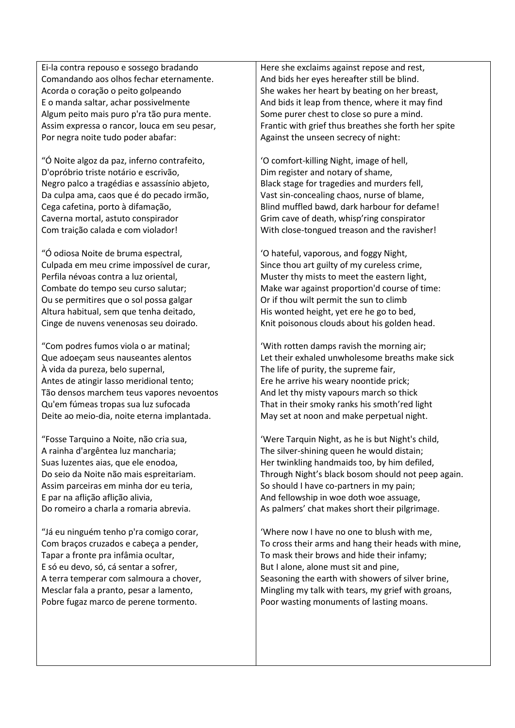Ei-la contra repouso e sossego bradando Comandando aos olhos fechar eternamente. Acorda o coração o peito golpeando E o manda saltar, achar possivelmente Algum peito mais puro p'ra tão pura mente. Assim expressa o rancor, louca em seu pesar, Por negra noite tudo poder abafar:

"Ó Noite algoz da paz, inferno contrafeito, D'opróbrio triste notário e escrivão, Negro palco a tragédias e assassínio abjeto, Da culpa ama, caos que é do pecado irmão, Cega cafetina, porto à difamação, Caverna mortal, astuto conspirador Com traição calada e com violador!

"Ó odiosa Noite de bruma espectral, Culpada em meu crime impossível de curar, Perfila névoas contra a luz oriental, Combate do tempo seu curso salutar; Ou se permitires que o sol possa galgar Altura habitual, sem que tenha deitado, Cinge de nuvens venenosas seu doirado.

"Com podres fumos viola o ar matinal; Que adoeçam seus nauseantes alentos À vida da pureza, belo supernal, Antes de atingir lasso meridional tento; Tão densos marchem teus vapores nevoentos Qu'em fúmeas tropas sua luz sufocada Deite ao meio-dia, noite eterna implantada.

"Fosse Tarquino a Noite, não cria sua, A rainha d'argêntea luz mancharia; Suas luzentes aias, que ele enodoa, Do seio da Noite não mais espreitariam. Assim parceiras em minha dor eu teria, E par na aflição aflição alivia, Do romeiro a charla a romaria abrevia.

"Já eu ninguém tenho p'ra comigo corar, Com braços cruzados e cabeça a pender, Tapar a fronte pra infâmia ocultar, E só eu devo, só, cá sentar a sofrer, A terra temperar com salmoura a chover, Mesclar fala a pranto, pesar a lamento, Pobre fugaz marco de perene tormento.

Here she exclaims against repose and rest, And bids her eyes hereafter still be blind. She wakes her heart by beating on her breast, And bids it leap from thence, where it may find Some purer chest to close so pure a mind. Frantic with grief thus breathes she forth her spite Against the unseen secrecy of night:

'O comfort-killing Night, image of hell, Dim register and notary of shame, Black stage for tragedies and murders fell, Vast sin-concealing chaos, nurse of blame, Blind muffled bawd, dark harbour for defame! Grim cave of death, whisp'ring conspirator With close-tongued treason and the ravisher!

'O hateful, vaporous, and foggy Night, Since thou art guilty of my cureless crime, Muster thy mists to meet the eastern light, Make war against proportion'd course of time: Or if thou wilt permit the sun to climb His wonted height, yet ere he go to bed, Knit poisonous clouds about his golden head.

'With rotten damps ravish the morning air; Let their exhaled unwholesome breaths make sick The life of purity, the supreme fair, Ere he arrive his weary noontide prick; And let thy misty vapours march so thick That in their smoky ranks his smoth'red light May set at noon and make perpetual night.

'Were Tarquin Night, as he is but Night's child, The silver-shining queen he would distain; Her twinkling handmaids too, by him defiled, Through Night's black bosom should not peep again. So should I have co-partners in my pain; And fellowship in woe doth woe assuage, As palmers' chat makes short their pilgrimage.

'Where now I have no one to blush with me, To cross their arms and hang their heads with mine, To mask their brows and hide their infamy; But I alone, alone must sit and pine, Seasoning the earth with showers of silver brine, Mingling my talk with tears, my grief with groans, Poor wasting monuments of lasting moans.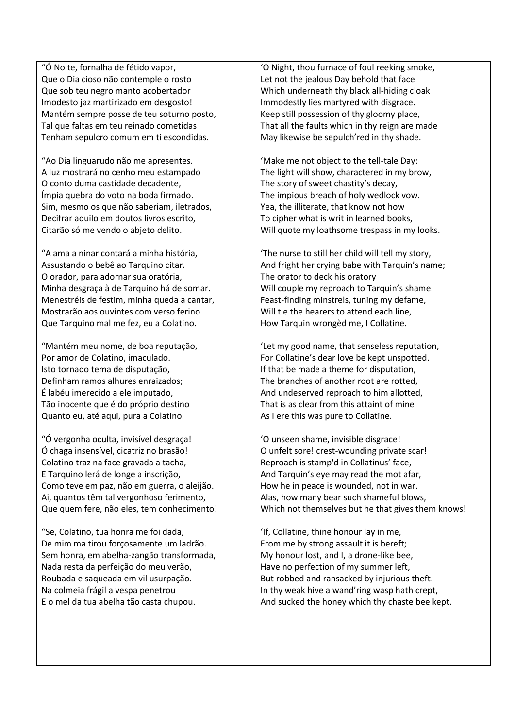"Ó Noite, fornalha de fétido vapor, Que o Dia cioso não contemple o rosto Que sob teu negro manto acobertador Imodesto jaz martirizado em desgosto! Mantém sempre posse de teu soturno posto, Tal que faltas em teu reinado cometidas Tenham sepulcro comum em ti escondidas.

"Ao Dia linguarudo não me apresentes. A luz mostrará no cenho meu estampado O conto duma castidade decadente, Ímpia quebra do voto na boda firmado. Sim, mesmo os que não saberiam, iletrados, Decifrar aquilo em doutos livros escrito, Citarão só me vendo o abjeto delito.

"A ama a ninar contará a minha história, Assustando o bebê ao Tarquino citar. O orador, para adornar sua oratória, Minha desgraça à de Tarquino há de somar. Menestréis de festim, minha queda a cantar, Mostrarão aos ouvintes com verso ferino Que Tarquino mal me fez, eu a Colatino.

"Mantém meu nome, de boa reputação, Por amor de Colatino, imaculado. Isto tornado tema de disputação, Definham ramos alhures enraizados; É labéu imerecido a ele imputado, Tão inocente que é do próprio destino Quanto eu, até aqui, pura a Colatino.

"Ó vergonha oculta, invisível desgraça! Ó chaga insensível, cicatriz no brasão! Colatino traz na face gravada a tacha, E Tarquino lerá de longe a inscrição, Como teve em paz, não em guerra, o aleijão. Ai, quantos têm tal vergonhoso ferimento, Que quem fere, não eles, tem conhecimento!

"Se, Colatino, tua honra me foi dada, De mim ma tirou forçosamente um ladrão. Sem honra, em abelha-zangão transformada, Nada resta da perfeição do meu verão, Roubada e saqueada em vil usurpação. Na colmeia frágil a vespa penetrou E o mel da tua abelha tão casta chupou.

'O Night, thou furnace of foul reeking smoke, Let not the jealous Day behold that face Which underneath thy black all-hiding cloak Immodestly lies martyred with disgrace. Keep still possession of thy gloomy place, That all the faults which in thy reign are made May likewise be sepulch'red in thy shade.

'Make me not object to the tell-tale Day: The light will show, charactered in my brow, The story of sweet chastity's decay, The impious breach of holy wedlock vow. Yea, the illiterate, that know not how To cipher what is writ in learned books, Will quote my loathsome trespass in my looks.

'The nurse to still her child will tell my story, And fright her crying babe with Tarquin's name; The orator to deck his oratory Will couple my reproach to Tarquin's shame. Feast-finding minstrels, tuning my defame, Will tie the hearers to attend each line, How Tarquin wrongèd me, I Collatine.

'Let my good name, that senseless reputation, For Collatine's dear love be kept unspotted. If that be made a theme for disputation, The branches of another root are rotted, And undeserved reproach to him allotted, That is as clear from this attaint of mine As I ere this was pure to Collatine.

'O unseen shame, invisible disgrace! O unfelt sore! crest-wounding private scar! Reproach is stamp'd in Collatinus' face, And Tarquin's eye may read the mot afar, How he in peace is wounded, not in war. Alas, how many bear such shameful blows, Which not themselves but he that gives them knows!

'If, Collatine, thine honour lay in me, From me by strong assault it is bereft; My honour lost, and I, a drone-like bee, Have no perfection of my summer left, But robbed and ransacked by injurious theft. In thy weak hive a wand'ring wasp hath crept, And sucked the honey which thy chaste bee kept.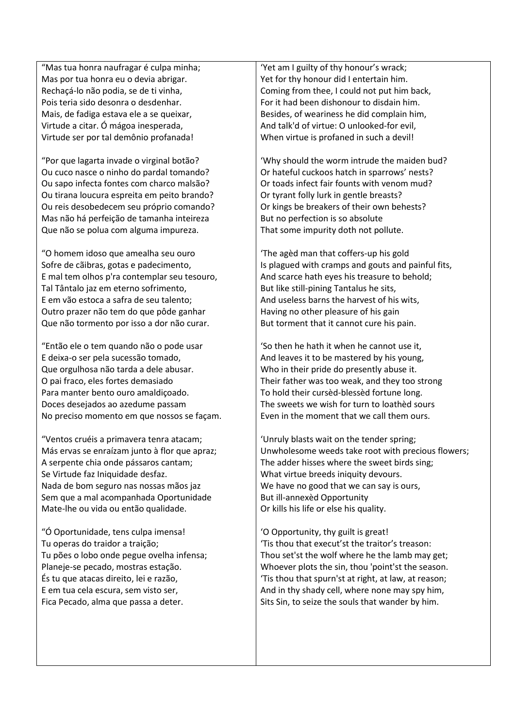"Mas tua honra naufragar é culpa minha; Mas por tua honra eu o devia abrigar. Rechaçá-lo não podia, se de ti vinha, Pois teria sido desonra o desdenhar. Mais, de fadiga estava ele a se queixar, Virtude a citar. Ó mágoa inesperada, Virtude ser por tal demônio profanada!

"Por que lagarta invade o virginal botão? Ou cuco nasce o ninho do pardal tomando? Ou sapo infecta fontes com charco malsão? Ou tirana loucura espreita em peito brando? Ou reis desobedecem seu próprio comando? Mas não há perfeição de tamanha inteireza Que não se polua com alguma impureza.

"O homem idoso que amealha seu ouro Sofre de cãibras, gotas e padecimento, E mal tem olhos p'ra contemplar seu tesouro, Tal Tântalo jaz em eterno sofrimento, E em vão estoca a safra de seu talento; Outro prazer não tem do que pôde ganhar Que não tormento por isso a dor não curar.

"Então ele o tem quando não o pode usar E deixa-o ser pela sucessão tomado, Que orgulhosa não tarda a dele abusar. O pai fraco, eles fortes demasiado Para manter bento ouro amaldiçoado. Doces desejados ao azedume passam No preciso momento em que nossos se façam.

"Ventos cruéis a primavera tenra atacam; Más ervas se enraízam junto à flor que apraz; A serpente chia onde pássaros cantam; Se Virtude faz Iniquidade desfaz. Nada de bom seguro nas nossas mãos jaz Sem que a mal acompanhada Oportunidade Mate-lhe ou vida ou então qualidade.

"Ó Oportunidade, tens culpa imensa! Tu operas do traidor a traição; Tu pões o lobo onde pegue ovelha infensa; Planeje-se pecado, mostras estação. És tu que atacas direito, lei e razão, E em tua cela escura, sem visto ser, Fica Pecado, alma que passa a deter.

'Yet am I guilty of thy honour's wrack; Yet for thy honour did I entertain him. Coming from thee, I could not put him back, For it had been dishonour to disdain him. Besides, of weariness he did complain him, And talk'd of virtue: O unlooked-for evil, When virtue is profaned in such a devil!

'Why should the worm intrude the maiden bud? Or hateful cuckoos hatch in sparrows' nests? Or toads infect fair founts with venom mud? Or tyrant folly lurk in gentle breasts? Or kings be breakers of their own behests? But no perfection is so absolute That some impurity doth not pollute.

'The agèd man that coffers-up his gold Is plagued with cramps and gouts and painful fits, And scarce hath eyes his treasure to behold; But like still-pining Tantalus he sits, And useless barns the harvest of his wits, Having no other pleasure of his gain But torment that it cannot cure his pain.

'So then he hath it when he cannot use it, And leaves it to be mastered by his young, Who in their pride do presently abuse it. Their father was too weak, and they too strong To hold their cursèd-blessèd fortune long. The sweets we wish for turn to loathèd sours Even in the moment that we call them ours.

'Unruly blasts wait on the tender spring; Unwholesome weeds take root with precious flowers; The adder hisses where the sweet birds sing; What virtue breeds iniquity devours. We have no good that we can say is ours, But ill-annexèd Opportunity Or kills his life or else his quality.

'O Opportunity, thy guilt is great! 'Tis thou that execut'st the traitor's treason: Thou set'st the wolf where he the lamb may get; Whoever plots the sin, thou 'point'st the season. 'Tis thou that spurn'st at right, at law, at reason; And in thy shady cell, where none may spy him, Sits Sin, to seize the souls that wander by him.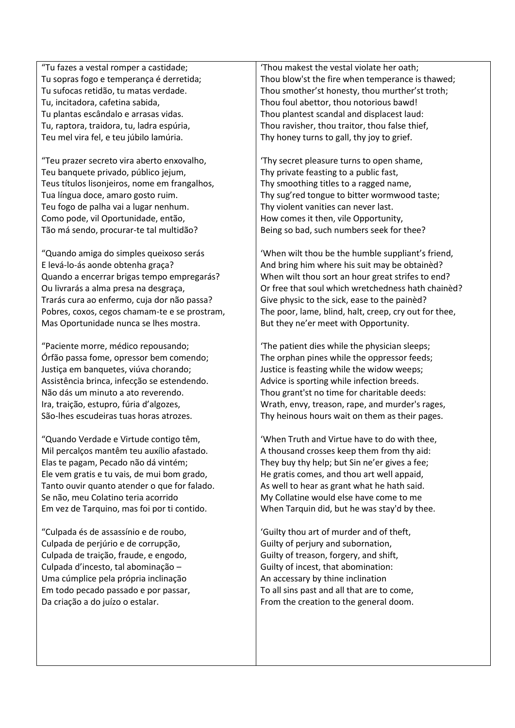"Tu fazes a vestal romper a castidade; Tu sopras fogo e temperança é derretida; Tu sufocas retidão, tu matas verdade. Tu, incitadora, cafetina sabida, Tu plantas escândalo e arrasas vidas. Tu, raptora, traidora, tu, ladra espúria, Teu mel vira fel, e teu júbilo lamúria.

"Teu prazer secreto vira aberto enxovalho, Teu banquete privado, público jejum, Teus títulos lisonjeiros, nome em frangalhos, Tua língua doce, amaro gosto ruim. Teu fogo de palha vai a lugar nenhum. Como pode, vil Oportunidade, então, Tão má sendo, procurar-te tal multidão?

"Quando amiga do simples queixoso serás E levá-lo-ás aonde obtenha graça? Quando a encerrar brigas tempo empregarás? Ou livrarás a alma presa na desgraça, Trarás cura ao enfermo, cuja dor não passa? Pobres, coxos, cegos chamam-te e se prostram, Mas Oportunidade nunca se lhes mostra.

"Paciente morre, médico repousando; Órfão passa fome, opressor bem comendo; Justiça em banquetes, viúva chorando; Assistência brinca, infecção se estendendo. Não dás um minuto a ato reverendo. Ira, traição, estupro, fúria d'algozes, São-lhes escudeiras tuas horas atrozes.

"Quando Verdade e Virtude contigo têm, Mil percalços mantêm teu auxílio afastado. Elas te pagam, Pecado não dá vintém; Ele vem gratis e tu vais, de mui bom grado, Tanto ouvir quanto atender o que for falado. Se não, meu Colatino teria acorrido Em vez de Tarquino, mas foi por ti contido.

"Culpada és de assassínio e de roubo, Culpada de perjúrio e de corrupção, Culpada de traição, fraude, e engodo, Culpada d'incesto, tal abominação – Uma cúmplice pela própria inclinação Em todo pecado passado e por passar, Da criação a do juízo o estalar.

'Thou makest the vestal violate her oath; Thou blow'st the fire when temperance is thawed; Thou smother'st honesty, thou murther'st troth; Thou foul abettor, thou notorious bawd! Thou plantest scandal and displacest laud: Thou ravisher, thou traitor, thou false thief, Thy honey turns to gall, thy joy to grief.

'Thy secret pleasure turns to open shame, Thy private feasting to a public fast, Thy smoothing titles to a ragged name, Thy sug'red tongue to bitter wormwood taste; Thy violent vanities can never last. How comes it then, vile Opportunity, Being so bad, such numbers seek for thee?

'When wilt thou be the humble suppliant's friend, And bring him where his suit may be obtainèd? When wilt thou sort an hour great strifes to end? Or free that soul which wretchedness hath chainèd? Give physic to the sick, ease to the painèd? The poor, lame, blind, halt, creep, cry out for thee, But they ne'er meet with Opportunity.

'The patient dies while the physician sleeps; The orphan pines while the oppressor feeds; Justice is feasting while the widow weeps; Advice is sporting while infection breeds. Thou grant'st no time for charitable deeds: Wrath, envy, treason, rape, and murder's rages, Thy heinous hours wait on them as their pages.

'When Truth and Virtue have to do with thee, A thousand crosses keep them from thy aid: They buy thy help; but Sin ne'er gives a fee; He gratis comes, and thou art well appaid, As well to hear as grant what he hath said. My Collatine would else have come to me When Tarquin did, but he was stay'd by thee.

'Guilty thou art of murder and of theft, Guilty of perjury and subornation, Guilty of treason, forgery, and shift, Guilty of incest, that abomination: An accessary by thine inclination To all sins past and all that are to come, From the creation to the general doom.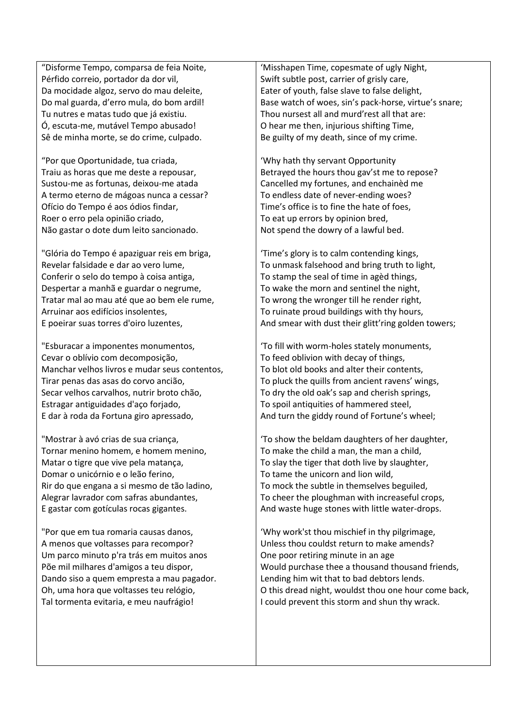"Disforme Tempo, comparsa de feia Noite, Pérfido correio, portador da dor vil, Da mocidade algoz, servo do mau deleite, Do mal guarda, d'erro mula, do bom ardil! Tu nutres e matas tudo que já existiu. Ó, escuta-me, mutável Tempo abusado! Sê de minha morte, se do crime, culpado.

"Por que Oportunidade, tua criada, Traiu as horas que me deste a repousar, Sustou-me as fortunas, deixou-me atada A termo eterno de mágoas nunca a cessar? Ofício do Tempo é aos ódios findar, Roer o erro pela opinião criado, Não gastar o dote dum leito sancionado.

"Glória do Tempo é apaziguar reis em briga, Revelar falsidade e dar ao vero lume, Conferir o selo do tempo à coisa antiga, Despertar a manhã e guardar o negrume, Tratar mal ao mau até que ao bem ele rume, Arruinar aos edifícios insolentes, E poeirar suas torres d'oiro luzentes,

"Esburacar a imponentes monumentos, Cevar o oblívio com decomposição, Manchar velhos livros e mudar seus contentos, Tirar penas das asas do corvo ancião, Secar velhos carvalhos, nutrir broto chão, Estragar antiguidades d'aço forjado, E dar à roda da Fortuna giro apressado,

"Mostrar à avó crias de sua criança, Tornar menino homem, e homem menino, Matar o tigre que vive pela matança, Domar o unicórnio e o leão ferino, Rir do que engana a si mesmo de tão ladino, Alegrar lavrador com safras abundantes, E gastar com gotículas rocas gigantes.

"Por que em tua romaria causas danos, A menos que voltasses para recompor? Um parco minuto p'ra trás em muitos anos Põe mil milhares d'amigos a teu dispor, Dando siso a quem empresta a mau pagador. Oh, uma hora que voltasses teu relógio, Tal tormenta evitaria, e meu naufrágio!

'Misshapen Time, copesmate of ugly Night, Swift subtle post, carrier of grisly care, Eater of youth, false slave to false delight, Base watch of woes, sin's pack-horse, virtue's snare; Thou nursest all and murd'rest all that are: O hear me then, injurious shifting Time, Be guilty of my death, since of my crime.

'Why hath thy servant Opportunity Betrayed the hours thou gav'st me to repose? Cancelled my fortunes, and enchainèd me To endless date of never-ending woes? Time's office is to fine the hate of foes, To eat up errors by opinion bred, Not spend the dowry of a lawful bed.

'Time's glory is to calm contending kings, To unmask falsehood and bring truth to light, To stamp the seal of time in agèd things, To wake the morn and sentinel the night, To wrong the wronger till he render right, To ruinate proud buildings with thy hours, And smear with dust their glitt'ring golden towers;

'To fill with worm-holes stately monuments, To feed oblivion with decay of things, To blot old books and alter their contents, To pluck the quills from ancient ravens' wings, To dry the old oak's sap and cherish springs, To spoil antiquities of hammered steel, And turn the giddy round of Fortune's wheel;

'To show the beldam daughters of her daughter, To make the child a man, the man a child, To slay the tiger that doth live by slaughter, To tame the unicorn and lion wild, To mock the subtle in themselves beguiled, To cheer the ploughman with increaseful crops, And waste huge stones with little water-drops.

'Why work'st thou mischief in thy pilgrimage, Unless thou couldst return to make amends? One poor retiring minute in an age Would purchase thee a thousand thousand friends, Lending him wit that to bad debtors lends. O this dread night, wouldst thou one hour come back, I could prevent this storm and shun thy wrack.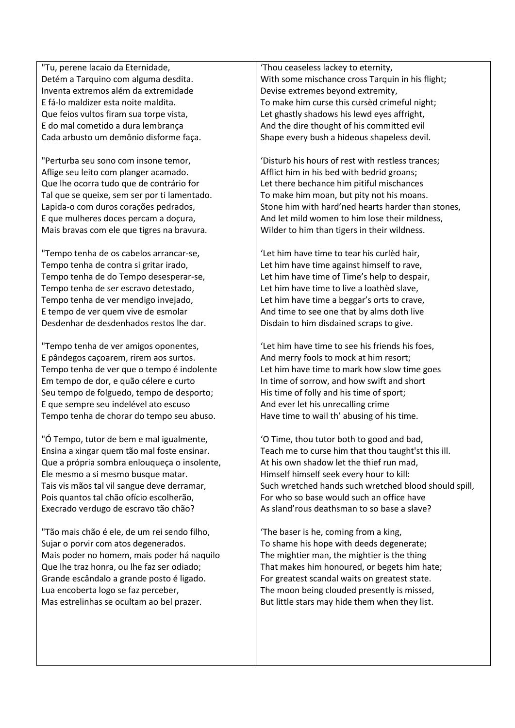"Tu, perene lacaio da Eternidade, Detém a Tarquino com alguma desdita. Inventa extremos além da extremidade E fá-lo maldizer esta noite maldita. Que feios vultos firam sua torpe vista, E do mal cometido a dura lembrança Cada arbusto um demônio disforme faça.

"Perturba seu sono com insone temor, Aflige seu leito com planger acamado. Que lhe ocorra tudo que de contrário for Tal que se queixe, sem ser por ti lamentado. Lapida-o com duros corações pedrados, E que mulheres doces percam a doçura, Mais bravas com ele que tigres na bravura.

"Tempo tenha de os cabelos arrancar-se, Tempo tenha de contra si gritar irado, Tempo tenha de do Tempo desesperar-se, Tempo tenha de ser escravo detestado, Tempo tenha de ver mendigo invejado, E tempo de ver quem vive de esmolar Desdenhar de desdenhados restos lhe dar.

"Tempo tenha de ver amigos oponentes, E pândegos caçoarem, rirem aos surtos. Tempo tenha de ver que o tempo é indolente Em tempo de dor, e quão célere e curto Seu tempo de folguedo, tempo de desporto; E que sempre seu indelével ato escuso Tempo tenha de chorar do tempo seu abuso.

"Ó Tempo, tutor de bem e mal igualmente, Ensina a xingar quem tão mal foste ensinar. Que a própria sombra enlouqueça o insolente, Ele mesmo a si mesmo busque matar. Tais vis mãos tal vil sangue deve derramar, Pois quantos tal chão ofício escolherão, Execrado verdugo de escravo tão chão?

"Tão mais chão é ele, de um rei sendo filho, Sujar o porvir com atos degenerados. Mais poder no homem, mais poder há naquilo Que lhe traz honra, ou lhe faz ser odiado; Grande escândalo a grande posto é ligado. Lua encoberta logo se faz perceber, Mas estrelinhas se ocultam ao bel prazer.

'Thou ceaseless lackey to eternity, With some mischance cross Tarquin in his flight; Devise extremes beyond extremity, To make him curse this cursèd crimeful night; Let ghastly shadows his lewd eyes affright, And the dire thought of his committed evil Shape every bush a hideous shapeless devil.

'Disturb his hours of rest with restless trances; Afflict him in his bed with bedrid groans; Let there bechance him pitiful mischances To make him moan, but pity not his moans. Stone him with hard'ned hearts harder than stones, And let mild women to him lose their mildness, Wilder to him than tigers in their wildness.

'Let him have time to tear his curlèd hair, Let him have time against himself to rave, Let him have time of Time's help to despair, Let him have time to live a loathèd slave, Let him have time a beggar's orts to crave, And time to see one that by alms doth live Disdain to him disdained scraps to give.

'Let him have time to see his friends his foes, And merry fools to mock at him resort; Let him have time to mark how slow time goes In time of sorrow, and how swift and short His time of folly and his time of sport; And ever let his unrecalling crime Have time to wail th' abusing of his time.

'O Time, thou tutor both to good and bad, Teach me to curse him that thou taught'st this ill. At his own shadow let the thief run mad, Himself himself seek every hour to kill: Such wretched hands such wretched blood should spill, For who so base would such an office have As sland'rous deathsman to so base a slave?

'The baser is he, coming from a king, To shame his hope with deeds degenerate; The mightier man, the mightier is the thing That makes him honoured, or begets him hate; For greatest scandal waits on greatest state. The moon being clouded presently is missed, But little stars may hide them when they list.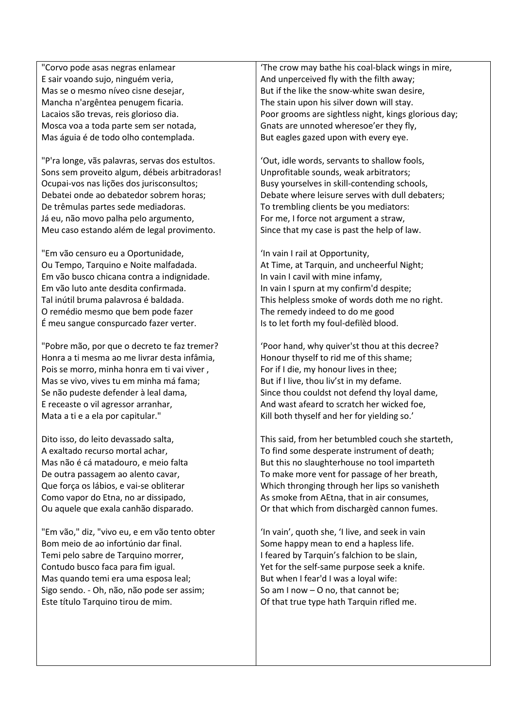"Corvo pode asas negras enlamear E sair voando sujo, ninguém veria, Mas se o mesmo níveo cisne desejar, Mancha n'argêntea penugem ficaria. Lacaios são trevas, reis glorioso dia. Mosca voa a toda parte sem ser notada, Mas águia é de todo olho contemplada.

"P'ra longe, vãs palavras, servas dos estultos. Sons sem proveito algum, débeis arbitradoras! Ocupai-vos nas lições dos jurisconsultos; Debatei onde ao debatedor sobrem horas; De trêmulas partes sede mediadoras. Já eu, não movo palha pelo argumento, Meu caso estando além de legal provimento.

"Em vão censuro eu a Oportunidade, Ou Tempo, Tarquino e Noite malfadada. Em vão busco chicana contra a indignidade. Em vão luto ante desdita confirmada. Tal inútil bruma palavrosa é baldada. O remédio mesmo que bem pode fazer É meu sangue conspurcado fazer verter.

"Pobre mão, por que o decreto te faz tremer? Honra a ti mesma ao me livrar desta infâmia, Pois se morro, minha honra em ti vai viver , Mas se vivo, vives tu em minha má fama; Se não pudeste defender à leal dama, E receaste o vil agressor arranhar, Mata a ti e a ela por capitular."

Dito isso, do leito devassado salta, A exaltado recurso mortal achar, Mas não é cá matadouro, e meio falta De outra passagem ao alento cavar, Que força os lábios, e vai-se obliterar Como vapor do Etna, no ar dissipado, Ou aquele que exala canhão disparado.

"Em vão," diz, "vivo eu, e em vão tento obter Bom meio de ao infortúnio dar final. Temi pelo sabre de Tarquino morrer. Contudo busco faca para fim igual. Mas quando temi era uma esposa leal; Sigo sendo. - Oh, não, não pode ser assim; Este título Tarquino tirou de mim.

'The crow may bathe his coal-black wings in mire, And unperceived fly with the filth away; But if the like the snow-white swan desire, The stain upon his silver down will stay. Poor grooms are sightless night, kings glorious day; Gnats are unnoted wheresoe'er they fly, But eagles gazed upon with every eye.

'Out, idle words, servants to shallow fools, Unprofitable sounds, weak arbitrators; Busy yourselves in skill-contending schools, Debate where leisure serves with dull debaters; To trembling clients be you mediators: For me, I force not argument a straw, Since that my case is past the help of law.

'In vain I rail at Opportunity, At Time, at Tarquin, and uncheerful Night; In vain I cavil with mine infamy, In vain I spurn at my confirm'd despite; This helpless smoke of words doth me no right. The remedy indeed to do me good Is to let forth my foul-defilèd blood.

'Poor hand, why quiver'st thou at this decree? Honour thyself to rid me of this shame; For if I die, my honour lives in thee; But if I live, thou liv'st in my defame. Since thou couldst not defend thy loyal dame, And wast afeard to scratch her wicked foe, Kill both thyself and her for yielding so.'

This said, from her betumbled couch she starteth, To find some desperate instrument of death; But this no slaughterhouse no tool imparteth To make more vent for passage of her breath, Which thronging through her lips so vanisheth As smoke from AEtna, that in air consumes, Or that which from dischargèd cannon fumes.

'In vain', quoth she, 'I live, and seek in vain Some happy mean to end a hapless life. I feared by Tarquin's falchion to be slain, Yet for the self-same purpose seek a knife. But when I fear'd I was a loyal wife: So am I now – O no, that cannot be; Of that true type hath Tarquin rifled me.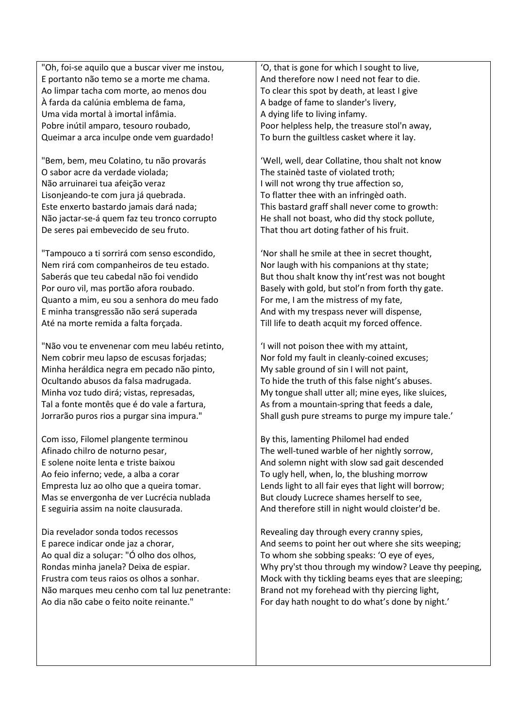"Oh, foi-se aquilo que a buscar viver me instou, E portanto não temo se a morte me chama. Ao limpar tacha com morte, ao menos dou À farda da calúnia emblema de fama, Uma vida mortal à imortal infâmia. Pobre inútil amparo, tesouro roubado, Queimar a arca inculpe onde vem guardado!

"Bem, bem, meu Colatino, tu não provarás O sabor acre da verdade violada; Não arruinarei tua afeição veraz Lisonjeando-te com jura já quebrada. Este enxerto bastardo jamais dará nada; Não jactar-se-á quem faz teu tronco corrupto De seres pai embevecido de seu fruto.

"Tampouco a ti sorrirá com senso escondido, Nem rirá com companheiros de teu estado. Saberás que teu cabedal não foi vendido Por ouro vil, mas portão afora roubado. Quanto a mim, eu sou a senhora do meu fado E minha transgressão não será superada Até na morte remida a falta forçada.

"Não vou te envenenar com meu labéu retinto, Nem cobrir meu lapso de escusas forjadas; Minha heráldica negra em pecado não pinto, Ocultando abusos da falsa madrugada. Minha voz tudo dirá; vistas, represadas, Tal a fonte montês que é do vale a fartura, Jorrarão puros rios a purgar sina impura."

Com isso, Filomel plangente terminou Afinado chilro de noturno pesar, E solene noite lenta e triste baixou Ao feio inferno; vede, a alba a corar Empresta luz ao olho que a queira tomar. Mas se envergonha de ver Lucrécia nublada E seguiria assim na noite clausurada.

Dia revelador sonda todos recessos E parece indicar onde jaz a chorar, Ao qual diz a soluçar: "Ó olho dos olhos, Rondas minha janela? Deixa de espiar. Frustra com teus raios os olhos a sonhar. Não marques meu cenho com tal luz penetrante: Ao dia não cabe o feito noite reinante."

'O, that is gone for which I sought to live, And therefore now I need not fear to die. To clear this spot by death, at least I give A badge of fame to slander's livery, A dying life to living infamy. Poor helpless help, the treasure stol'n away, To burn the guiltless casket where it lay.

'Well, well, dear Collatine, thou shalt not know The stainèd taste of violated troth; I will not wrong thy true affection so, To flatter thee with an infringèd oath. This bastard graff shall never come to growth: He shall not boast, who did thy stock pollute, That thou art doting father of his fruit.

'Nor shall he smile at thee in secret thought, Nor laugh with his companions at thy state; But thou shalt know thy int'rest was not bought Basely with gold, but stol'n from forth thy gate. For me, I am the mistress of my fate, And with my trespass never will dispense, Till life to death acquit my forced offence.

'I will not poison thee with my attaint, Nor fold my fault in cleanly-coined excuses; My sable ground of sin I will not paint, To hide the truth of this false night's abuses. My tongue shall utter all; mine eyes, like sluices, As from a mountain-spring that feeds a dale, Shall gush pure streams to purge my impure tale.'

By this, lamenting Philomel had ended The well-tuned warble of her nightly sorrow, And solemn night with slow sad gait descended To ugly hell, when, lo, the blushing morrow Lends light to all fair eyes that light will borrow; But cloudy Lucrece shames herself to see, And therefore still in night would cloister'd be.

Revealing day through every cranny spies, And seems to point her out where she sits weeping; To whom she sobbing speaks: 'O eye of eyes, Why pry'st thou through my window? Leave thy peeping, Mock with thy tickling beams eyes that are sleeping; Brand not my forehead with thy piercing light, For day hath nought to do what's done by night.'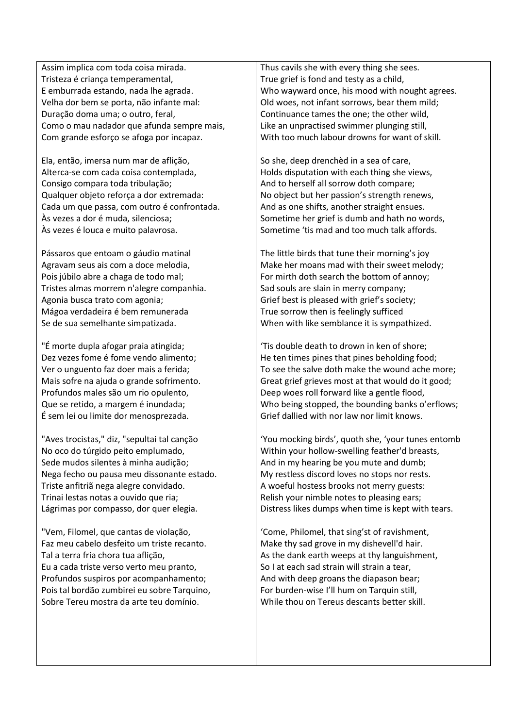Assim implica com toda coisa mirada. Tristeza é criança temperamental, E emburrada estando, nada lhe agrada. Velha dor bem se porta, não infante mal: Duração doma uma; o outro, feral, Como o mau nadador que afunda sempre mais, Com grande esforço se afoga por incapaz.

Ela, então, imersa num mar de aflição, Alterca-se com cada coisa contemplada, Consigo compara toda tribulação; Qualquer objeto reforça a dor extremada: Cada um que passa, com outro é confrontada. Às vezes a dor é muda, silenciosa; Às vezes é louca e muito palavrosa.

Pássaros que entoam o gáudio matinal Agravam seus ais com a doce melodia, Pois júbilo abre a chaga de todo mal; Tristes almas morrem n'alegre companhia. Agonia busca trato com agonia; Mágoa verdadeira é bem remunerada Se de sua semelhante simpatizada.

"É morte dupla afogar praia atingida; Dez vezes fome é fome vendo alimento; Ver o unguento faz doer mais a ferida; Mais sofre na ajuda o grande sofrimento. Profundos males são um rio opulento, Que se retido, a margem é inundada; É sem lei ou limite dor menosprezada.

"Aves trocistas," diz, "sepultai tal canção No oco do túrgido peito emplumado, Sede mudos silentes à minha audição; Nega fecho ou pausa meu dissonante estado. Triste anfitriã nega alegre convidado. Trinai lestas notas a ouvido que ria; Lágrimas por compasso, dor quer elegia.

"Vem, Filomel, que cantas de violação, Faz meu cabelo desfeito um triste recanto. Tal a terra fria chora tua aflição, Eu a cada triste verso verto meu pranto, Profundos suspiros por acompanhamento; Pois tal bordão zumbirei eu sobre Tarquino, Sobre Tereu mostra da arte teu domínio.

Thus cavils she with every thing she sees. True grief is fond and testy as a child, Who wayward once, his mood with nought agrees. Old woes, not infant sorrows, bear them mild; Continuance tames the one; the other wild, Like an unpractised swimmer plunging still, With too much labour drowns for want of skill.

So she, deep drenchèd in a sea of care, Holds disputation with each thing she views, And to herself all sorrow doth compare; No object but her passion's strength renews, And as one shifts, another straight ensues. Sometime her grief is dumb and hath no words, Sometime 'tis mad and too much talk affords.

The little birds that tune their morning's joy Make her moans mad with their sweet melody; For mirth doth search the bottom of annoy; Sad souls are slain in merry company; Grief best is pleased with grief's society; True sorrow then is feelingly sufficed When with like semblance it is sympathized.

'Tis double death to drown in ken of shore; He ten times pines that pines beholding food; To see the salve doth make the wound ache more; Great grief grieves most at that would do it good; Deep woes roll forward like a gentle flood, Who being stopped, the bounding banks o'erflows; Grief dallied with nor law nor limit knows.

'You mocking birds', quoth she, 'your tunes entomb Within your hollow-swelling feather'd breasts, And in my hearing be you mute and dumb; My restless discord loves no stops nor rests. A woeful hostess brooks not merry guests: Relish your nimble notes to pleasing ears; Distress likes dumps when time is kept with tears.

'Come, Philomel, that sing'st of ravishment, Make thy sad grove in my dishevell'd hair. As the dank earth weeps at thy languishment, So I at each sad strain will strain a tear, And with deep groans the diapason bear; For burden-wise I'll hum on Tarquin still, While thou on Tereus descants better skill.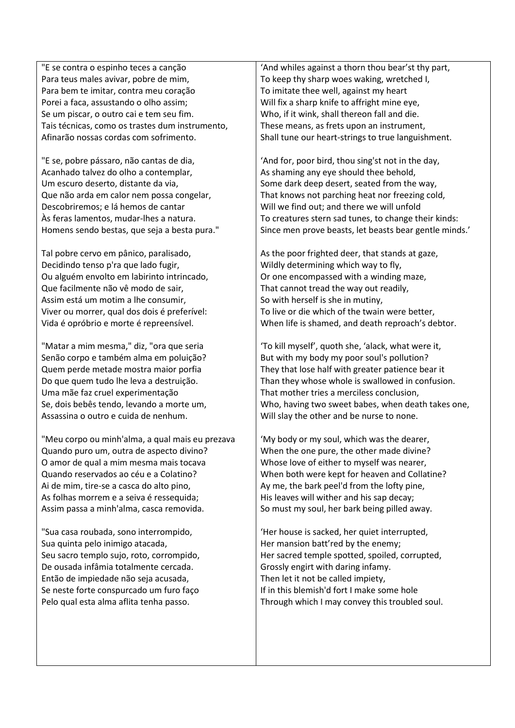"E se contra o espinho teces a canção Para teus males avivar, pobre de mim, Para bem te imitar, contra meu coração Porei a faca, assustando o olho assim; Se um piscar, o outro cai e tem seu fim. Tais técnicas, como os trastes dum instrumento, Afinarão nossas cordas com sofrimento.

"E se, pobre pássaro, não cantas de dia, Acanhado talvez do olho a contemplar, Um escuro deserto, distante da via, Que não arda em calor nem possa congelar, Descobriremos; e lá hemos de cantar Às feras lamentos, mudar-lhes a natura. Homens sendo bestas, que seja a besta pura."

Tal pobre cervo em pânico, paralisado, Decidindo tenso p'ra que lado fugir, Ou alguém envolto em labirinto intrincado, Que facilmente não vê modo de sair, Assim está um motim a lhe consumir, Viver ou morrer, qual dos dois é preferível: Vida é opróbrio e morte é repreensível.

"Matar a mim mesma," diz, "ora que seria Senão corpo e também alma em poluição? Quem perde metade mostra maior porfia Do que quem tudo lhe leva a destruição. Uma mãe faz cruel experimentação Se, dois bebês tendo, levando a morte um, Assassina o outro e cuida de nenhum.

"Meu corpo ou minh'alma, a qual mais eu prezava Quando puro um, outra de aspecto divino? O amor de qual a mim mesma mais tocava Quando reservados ao céu e a Colatino? Ai de mim, tire-se a casca do alto pino, As folhas morrem e a seiva é ressequida; Assim passa a minh'alma, casca removida.

"Sua casa roubada, sono interrompido, Sua quinta pelo inimigo atacada, Seu sacro templo sujo, roto, corrompido, De ousada infâmia totalmente cercada. Então de impiedade não seja acusada, Se neste forte conspurcado um furo faço Pelo qual esta alma aflita tenha passo.

'And whiles against a thorn thou bear'st thy part, To keep thy sharp woes waking, wretched I, To imitate thee well, against my heart Will fix a sharp knife to affright mine eye, Who, if it wink, shall thereon fall and die. These means, as frets upon an instrument, Shall tune our heart-strings to true languishment.

'And for, poor bird, thou sing'st not in the day, As shaming any eye should thee behold, Some dark deep desert, seated from the way, That knows not parching heat nor freezing cold, Will we find out; and there we will unfold To creatures stern sad tunes, to change their kinds: Since men prove beasts, let beasts bear gentle minds.'

As the poor frighted deer, that stands at gaze, Wildly determining which way to fly, Or one encompassed with a winding maze, That cannot tread the way out readily, So with herself is she in mutiny, To live or die which of the twain were better, When life is shamed, and death reproach's debtor.

'To kill myself', quoth she, 'alack, what were it, But with my body my poor soul's pollution? They that lose half with greater patience bear it Than they whose whole is swallowed in confusion. That mother tries a merciless conclusion, Who, having two sweet babes, when death takes one, Will slay the other and be nurse to none.

'My body or my soul, which was the dearer, When the one pure, the other made divine? Whose love of either to myself was nearer, When both were kept for heaven and Collatine? Ay me, the bark peel'd from the lofty pine, His leaves will wither and his sap decay; So must my soul, her bark being pilled away.

'Her house is sacked, her quiet interrupted, Her mansion batt'red by the enemy; Her sacred temple spotted, spoiled, corrupted, Grossly engirt with daring infamy. Then let it not be called impiety, If in this blemish'd fort I make some hole Through which I may convey this troubled soul.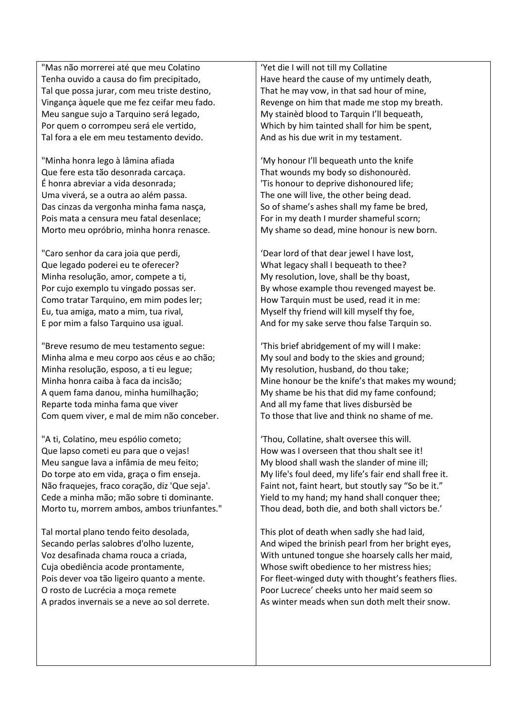"Mas não morrerei até que meu Colatino Tenha ouvido a causa do fim precipitado, Tal que possa jurar, com meu triste destino, Vingança àquele que me fez ceifar meu fado. Meu sangue sujo a Tarquino será legado, Por quem o corrompeu será ele vertido, Tal fora a ele em meu testamento devido.

"Minha honra lego à lâmina afiada Que fere esta tão desonrada carcaça. É honra abreviar a vida desonrada; Uma viverá, se a outra ao além passa. Das cinzas da vergonha minha fama nasça, Pois mata a censura meu fatal desenlace; Morto meu opróbrio, minha honra renasce.

"Caro senhor da cara joia que perdi, Que legado poderei eu te oferecer? Minha resolução, amor, compete a ti, Por cujo exemplo tu vingado possas ser. Como tratar Tarquino, em mim podes ler: Eu, tua amiga, mato a mim, tua rival, E por mim a falso Tarquino usa igual.

"Breve resumo de meu testamento segue: Minha alma e meu corpo aos céus e ao chão; Minha resolução, esposo, a ti eu legue; Minha honra caiba à faca da incisão; A quem fama danou, minha humilhação; Reparte toda minha fama que viver Com quem viver, e mal de mim não conceber.

"A ti, Colatino, meu espólio cometo; Que lapso cometi eu para que o vejas! Meu sangue lava a infâmia de meu feito; Do torpe ato em vida, graça o fim enseja. Não fraquejes, fraco coração, diz 'Que seja'. Cede a minha mão; mão sobre ti dominante. Morto tu, morrem ambos, ambos triunfantes."

Tal mortal plano tendo feito desolada, Secando perlas salobres d'olho luzente, Voz desafinada chama rouca a criada, Cuja obediência acode prontamente, Pois dever voa tão ligeiro quanto a mente. O rosto de Lucrécia a moça remete A prados invernais se a neve ao sol derrete.

'Yet die I will not till my Collatine Have heard the cause of my untimely death, That he may vow, in that sad hour of mine, Revenge on him that made me stop my breath. My stainèd blood to Tarquin I'll bequeath, Which by him tainted shall for him be spent, And as his due writ in my testament.

'My honour I'll bequeath unto the knife That wounds my body so dishonourèd. 'Tis honour to deprive dishonoured life; The one will live, the other being dead. So of shame's ashes shall my fame be bred, For in my death I murder shameful scorn; My shame so dead, mine honour is new born.

'Dear lord of that dear jewel I have lost, What legacy shall I bequeath to thee? My resolution, love, shall be thy boast, By whose example thou revenged mayest be. How Tarquin must be used, read it in me: Myself thy friend will kill myself thy foe, And for my sake serve thou false Tarquin so.

'This brief abridgement of my will I make: My soul and body to the skies and ground; My resolution, husband, do thou take; Mine honour be the knife's that makes my wound; My shame be his that did my fame confound; And all my fame that lives disbursèd be To those that live and think no shame of me.

'Thou, Collatine, shalt oversee this will. How was I overseen that thou shalt see it! My blood shall wash the slander of mine ill; My life's foul deed, my life's fair end shall free it. Faint not, faint heart, but stoutly say "So be it." Yield to my hand; my hand shall conquer thee; Thou dead, both die, and both shall victors be.'

This plot of death when sadly she had laid, And wiped the brinish pearl from her bright eyes, With untuned tongue she hoarsely calls her maid, Whose swift obedience to her mistress hies; For fleet-winged duty with thought's feathers flies. Poor Lucrece' cheeks unto her maid seem so As winter meads when sun doth melt their snow.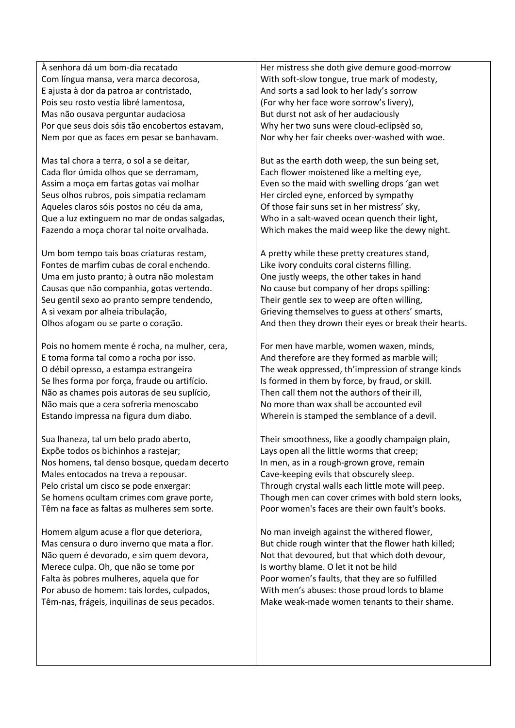À senhora dá um bom-dia recatado Com língua mansa, vera marca decorosa, E ajusta à dor da patroa ar contristado, Pois seu rosto vestia libré lamentosa, Mas não ousava perguntar audaciosa Por que seus dois sóis tão encobertos estavam, Nem por que as faces em pesar se banhavam.

Mas tal chora a terra, o sol a se deitar, Cada flor úmida olhos que se derramam, Assim a moça em fartas gotas vai molhar Seus olhos rubros, pois simpatia reclamam Aqueles claros sóis postos no céu da ama, Que a luz extinguem no mar de ondas salgadas, Fazendo a moça chorar tal noite orvalhada.

Um bom tempo tais boas criaturas restam, Fontes de marfim cubas de coral enchendo. Uma em justo pranto; à outra não molestam Causas que não companhia, gotas vertendo. Seu gentil sexo ao pranto sempre tendendo, A si vexam por alheia tribulação, Olhos afogam ou se parte o coração.

Pois no homem mente é rocha, na mulher, cera, E toma forma tal como a rocha por isso. O débil opresso, a estampa estrangeira Se lhes forma por força, fraude ou artifício. Não as chames pois autoras de seu suplício, Não mais que a cera sofreria menoscabo Estando impressa na figura dum diabo.

Sua lhaneza, tal um belo prado aberto, Expõe todos os bichinhos a rastejar; Nos homens, tal denso bosque, quedam decerto Males entocados na treva a repousar. Pelo cristal um cisco se pode enxergar: Se homens ocultam crimes com grave porte, Têm na face as faltas as mulheres sem sorte.

Homem algum acuse a flor que deteriora, Mas censura o duro inverno que mata a flor. Não quem é devorado, e sim quem devora, Merece culpa. Oh, que não se tome por Falta às pobres mulheres, aquela que for Por abuso de homem: tais lordes, culpados, Têm-nas, frágeis, inquilinas de seus pecados. Her mistress she doth give demure good-morrow With soft-slow tongue, true mark of modesty, And sorts a sad look to her lady's sorrow (For why her face wore sorrow's livery), But durst not ask of her audaciously Why her two suns were cloud-eclipsèd so, Nor why her fair cheeks over-washed with woe.

But as the earth doth weep, the sun being set, Each flower moistened like a melting eye, Even so the maid with swelling drops 'gan wet Her circled eyne, enforced by sympathy Of those fair suns set in her mistress' sky, Who in a salt-waved ocean quench their light, Which makes the maid weep like the dewy night.

A pretty while these pretty creatures stand, Like ivory conduits coral cisterns filling. One justly weeps, the other takes in hand No cause but company of her drops spilling: Their gentle sex to weep are often willing, Grieving themselves to guess at others' smarts, And then they drown their eyes or break their hearts.

For men have marble, women waxen, minds, And therefore are they formed as marble will; The weak oppressed, th'impression of strange kinds Is formed in them by force, by fraud, or skill. Then call them not the authors of their ill, No more than wax shall be accounted evil Wherein is stamped the semblance of a devil.

Their smoothness, like a goodly champaign plain, Lays open all the little worms that creep; In men, as in a rough-grown grove, remain Cave-keeping evils that obscurely sleep. Through crystal walls each little mote will peep. Though men can cover crimes with bold stern looks, Poor women's faces are their own fault's books.

No man inveigh against the withered flower, But chide rough winter that the flower hath killed; Not that devoured, but that which doth devour, Is worthy blame. O let it not be hild Poor women's faults, that they are so fulfilled With men's abuses: those proud lords to blame Make weak-made women tenants to their shame.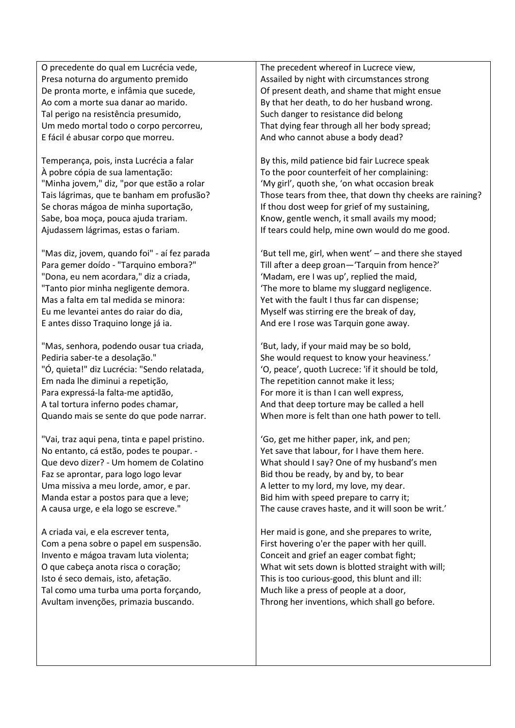O precedente do qual em Lucrécia vede, Presa noturna do argumento premido De pronta morte, e infâmia que sucede, Ao com a morte sua danar ao marido. Tal perigo na resistência presumido, Um medo mortal todo o corpo percorreu, E fácil é abusar corpo que morreu.

Temperança, pois, insta Lucrécia a falar À pobre cópia de sua lamentação: "Minha jovem," diz, "por que estão a rolar Tais lágrimas, que te banham em profusão? Se choras mágoa de minha suportação, Sabe, boa moça, pouca ajuda trariam. Ajudassem lágrimas, estas o fariam.

"Mas diz, jovem, quando foi" - aí fez parada Para gemer doído - "Tarquino embora?" "Dona, eu nem acordara," diz a criada, "Tanto pior minha negligente demora. Mas a falta em tal medida se minora: Eu me levantei antes do raiar do dia, E antes disso Traquino longe já ia.

"Mas, senhora, podendo ousar tua criada, Pediria saber-te a desolação." "Ó, quieta!" diz Lucrécia: "Sendo relatada, Em nada lhe diminui a repetição, Para expressá-la falta-me aptidão, A tal tortura inferno podes chamar, Quando mais se sente do que pode narrar.

"Vai, traz aqui pena, tinta e papel pristino. No entanto, cá estão, podes te poupar. - Que devo dizer? - Um homem de Colatino Faz se aprontar, para logo logo levar Uma missiva a meu lorde, amor, e par. Manda estar a postos para que a leve; A causa urge, e ela logo se escreve."

A criada vai, e ela escrever tenta, Com a pena sobre o papel em suspensão. Invento e mágoa travam luta violenta; O que cabeça anota risca o coração; Isto é seco demais, isto, afetação. Tal como uma turba uma porta forçando, Avultam invenções, primazia buscando.

The precedent whereof in Lucrece view, Assailed by night with circumstances strong Of present death, and shame that might ensue By that her death, to do her husband wrong. Such danger to resistance did belong That dying fear through all her body spread; And who cannot abuse a body dead?

By this, mild patience bid fair Lucrece speak To the poor counterfeit of her complaining: 'My girl', quoth she, 'on what occasion break Those tears from thee, that down thy cheeks are raining? If thou dost weep for grief of my sustaining, Know, gentle wench, it small avails my mood; If tears could help, mine own would do me good.

'But tell me, girl, when went' – and there she stayed Till after a deep groan—'Tarquin from hence?' 'Madam, ere I was up', replied the maid, 'The more to blame my sluggard negligence. Yet with the fault I thus far can dispense; Myself was stirring ere the break of day, And ere I rose was Tarquin gone away.

'But, lady, if your maid may be so bold, She would request to know your heaviness.' 'O, peace', quoth Lucrece: 'if it should be told, The repetition cannot make it less; For more it is than I can well express, And that deep torture may be called a hell When more is felt than one hath power to tell.

'Go, get me hither paper, ink, and pen; Yet save that labour, for I have them here. What should I say? One of my husband's men Bid thou be ready, by and by, to bear A letter to my lord, my love, my dear. Bid him with speed prepare to carry it; The cause craves haste, and it will soon be writ.'

Her maid is gone, and she prepares to write, First hovering o'er the paper with her quill. Conceit and grief an eager combat fight; What wit sets down is blotted straight with will; This is too curious-good, this blunt and ill: Much like a press of people at a door, Throng her inventions, which shall go before.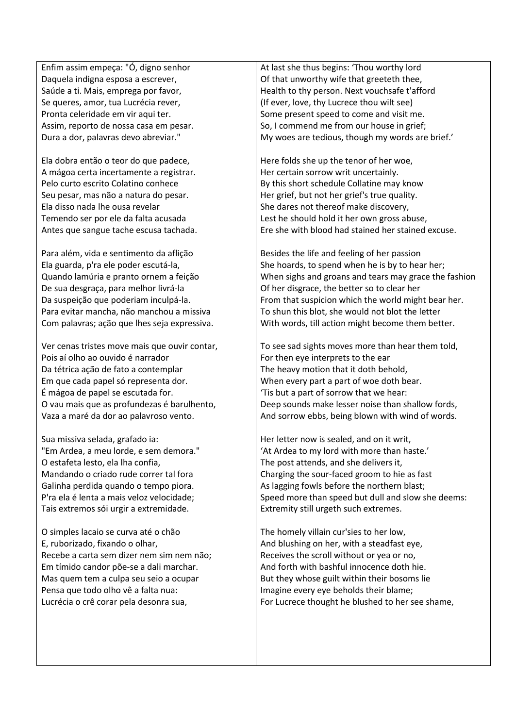Enfim assim empeça: "Ó, digno senhor Daquela indigna esposa a escrever, Saúde a ti. Mais, emprega por favor, Se queres, amor, tua Lucrécia rever, Pronta celeridade em vir aqui ter. Assim, reporto de nossa casa em pesar. Dura a dor, palavras devo abreviar."

Ela dobra então o teor do que padece, A mágoa certa incertamente a registrar. Pelo curto escrito Colatino conhece Seu pesar, mas não a natura do pesar. Ela disso nada lhe ousa revelar Temendo ser por ele da falta acusada Antes que sangue tache escusa tachada.

Para além, vida e sentimento da aflição Ela guarda, p'ra ele poder escutá-la, Quando lamúria e pranto ornem a feição De sua desgraça, para melhor livrá-la Da suspeição que poderiam inculpá-la. Para evitar mancha, não manchou a missiva Com palavras; ação que lhes seja expressiva.

Ver cenas tristes move mais que ouvir contar, Pois aí olho ao ouvido é narrador Da tétrica ação de fato a contemplar Em que cada papel só representa dor. É mágoa de papel se escutada for. O vau mais que as profundezas é barulhento, Vaza a maré da dor ao palavroso vento.

Sua missiva selada, grafado ia: "Em Ardea, a meu lorde, e sem demora." O estafeta lesto, ela lha confia, Mandando o criado rude correr tal fora Galinha perdida quando o tempo piora. P'ra ela é lenta a mais veloz velocidade; Tais extremos sói urgir a extremidade.

O simples lacaio se curva até o chão E, ruborizado, fixando o olhar, Recebe a carta sem dizer nem sim nem não; Em tímido candor põe-se a dali marchar. Mas quem tem a culpa seu seio a ocupar Pensa que todo olho vê a falta nua: Lucrécia o crê corar pela desonra sua,

At last she thus begins: 'Thou worthy lord Of that unworthy wife that greeteth thee, Health to thy person. Next vouchsafe t'afford (If ever, love, thy Lucrece thou wilt see) Some present speed to come and visit me. So, I commend me from our house in grief; My woes are tedious, though my words are brief.'

Here folds she up the tenor of her woe, Her certain sorrow writ uncertainly. By this short schedule Collatine may know Her grief, but not her grief's true quality. She dares not thereof make discovery, Lest he should hold it her own gross abuse, Ere she with blood had stained her stained excuse.

Besides the life and feeling of her passion She hoards, to spend when he is by to hear her; When sighs and groans and tears may grace the fashion Of her disgrace, the better so to clear her From that suspicion which the world might bear her. To shun this blot, she would not blot the letter With words, till action might become them better.

To see sad sights moves more than hear them told, For then eye interprets to the ear The heavy motion that it doth behold, When every part a part of woe doth bear. 'Tis but a part of sorrow that we hear: Deep sounds make lesser noise than shallow fords, And sorrow ebbs, being blown with wind of words.

Her letter now is sealed, and on it writ, 'At Ardea to my lord with more than haste.' The post attends, and she delivers it, Charging the sour-faced groom to hie as fast As lagging fowls before the northern blast; Speed more than speed but dull and slow she deems: Extremity still urgeth such extremes.

The homely villain cur'sies to her low, And blushing on her, with a steadfast eye, Receives the scroll without or yea or no, And forth with bashful innocence doth hie. But they whose guilt within their bosoms lie Imagine every eye beholds their blame; For Lucrece thought he blushed to her see shame,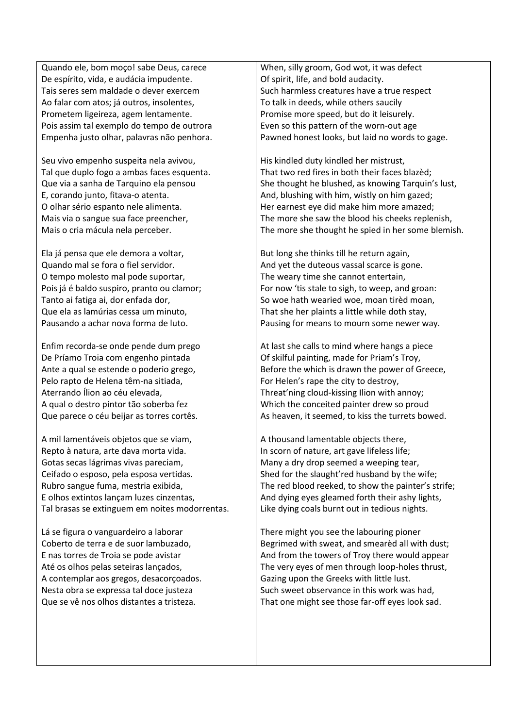Quando ele, bom moço! sabe Deus, carece De espírito, vida, e audácia impudente. Tais seres sem maldade o dever exercem Ao falar com atos; já outros, insolentes, Prometem ligeireza, agem lentamente. Pois assim tal exemplo do tempo de outrora Empenha justo olhar, palavras não penhora.

Seu vivo empenho suspeita nela avivou, Tal que duplo fogo a ambas faces esquenta. Que via a sanha de Tarquino ela pensou E, corando junto, fitava-o atenta. O olhar sério espanto nele alimenta. Mais via o sangue sua face preencher, Mais o cria mácula nela perceber.

Ela já pensa que ele demora a voltar, Quando mal se fora o fiel servidor. O tempo molesto mal pode suportar, Pois já é baldo suspiro, pranto ou clamor; Tanto ai fatiga ai, dor enfada dor, Que ela as lamúrias cessa um minuto, Pausando a achar nova forma de luto.

Enfim recorda-se onde pende dum prego De Príamo Troia com engenho pintada Ante a qual se estende o poderio grego, Pelo rapto de Helena têm-na sitiada, Aterrando Ílion ao céu elevada, A qual o destro pintor tão soberba fez Que parece o céu beijar as torres cortês.

A mil lamentáveis objetos que se viam, Repto à natura, arte dava morta vida. Gotas secas lágrimas vivas pareciam, Ceifado o esposo, pela esposa vertidas. Rubro sangue fuma, mestria exibida, E olhos extintos lançam luzes cinzentas, Tal brasas se extinguem em noites modorrentas.

Lá se figura o vanguardeiro a laborar Coberto de terra e de suor lambuzado, E nas torres de Troia se pode avistar Até os olhos pelas seteiras lançados, A contemplar aos gregos, desacorçoados. Nesta obra se expressa tal doce justeza Que se vê nos olhos distantes a tristeza.

When, silly groom, God wot, it was defect Of spirit, life, and bold audacity. Such harmless creatures have a true respect To talk in deeds, while others saucily Promise more speed, but do it leisurely. Even so this pattern of the worn-out age Pawned honest looks, but laid no words to gage.

His kindled duty kindled her mistrust, That two red fires in both their faces blazèd; She thought he blushed, as knowing Tarquin's lust, And, blushing with him, wistly on him gazed; Her earnest eye did make him more amazed; The more she saw the blood his cheeks replenish, The more she thought he spied in her some blemish.

But long she thinks till he return again, And yet the duteous vassal scarce is gone. The weary time she cannot entertain, For now 'tis stale to sigh, to weep, and groan: So woe hath wearied woe, moan tirèd moan, That she her plaints a little while doth stay, Pausing for means to mourn some newer way.

At last she calls to mind where hangs a piece Of skilful painting, made for Priam's Troy, Before the which is drawn the power of Greece, For Helen's rape the city to destroy, Threat'ning cloud-kissing Ilion with annoy; Which the conceited painter drew so proud As heaven, it seemed, to kiss the turrets bowed.

A thousand lamentable objects there, In scorn of nature, art gave lifeless life; Many a dry drop seemed a weeping tear, Shed for the slaught'red husband by the wife; The red blood reeked, to show the painter's strife; And dying eyes gleamed forth their ashy lights, Like dying coals burnt out in tedious nights.

There might you see the labouring pioner Begrimed with sweat, and smearèd all with dust; And from the towers of Troy there would appear The very eyes of men through loop-holes thrust, Gazing upon the Greeks with little lust. Such sweet observance in this work was had, That one might see those far-off eyes look sad.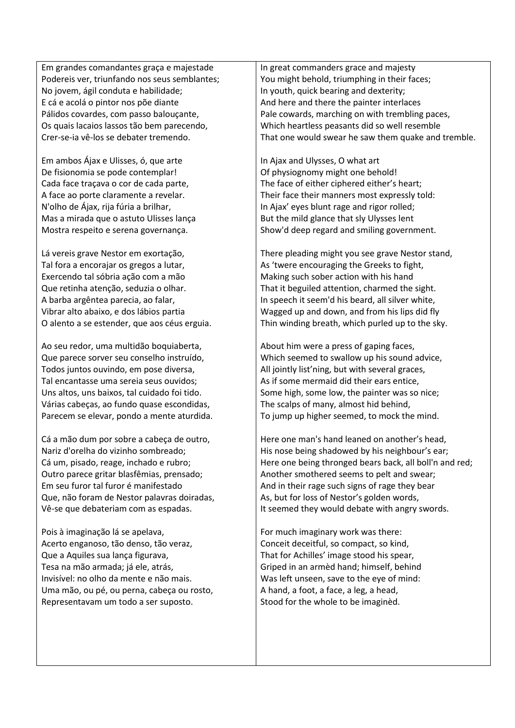Em grandes comandantes graça e majestade Podereis ver, triunfando nos seus semblantes; No jovem, ágil conduta e habilidade; E cá e acolá o pintor nos põe diante Pálidos covardes, com passo balouçante, Os quais lacaios lassos tão bem parecendo, Crer-se-ia vê-los se debater tremendo.

Em ambos Ájax e Ulisses, ó, que arte De fisionomia se pode contemplar! Cada face traçava o cor de cada parte, A face ao porte claramente a revelar. N'olho de Ájax, rija fúria a brilhar, Mas a mirada que o astuto Ulisses lança Mostra respeito e serena governança.

Lá vereis grave Nestor em exortação, Tal fora a encorajar os gregos a lutar, Exercendo tal sóbria ação com a mão Que retinha atenção, seduzia o olhar. A barba argêntea parecia, ao falar, Vibrar alto abaixo, e dos lábios partia O alento a se estender, que aos céus erguia.

Ao seu redor, uma multidão boquiaberta, Que parece sorver seu conselho instruído, Todos juntos ouvindo, em pose diversa, Tal encantasse uma sereia seus ouvidos; Uns altos, uns baixos, tal cuidado foi tido. Várias cabeças, ao fundo quase escondidas, Parecem se elevar, pondo a mente aturdida.

Cá a mão dum por sobre a cabeça de outro, Nariz d'orelha do vizinho sombreado; Cá um, pisado, reage, inchado e rubro; Outro parece gritar blasfêmias, prensado; Em seu furor tal furor é manifestado Que, não foram de Nestor palavras doiradas, Vê-se que debateriam com as espadas.

Pois à imaginação lá se apelava, Acerto enganoso, tão denso, tão veraz, Que a Aquiles sua lança figurava, Tesa na mão armada; já ele, atrás, Invisível: no olho da mente e não mais. Uma mão, ou pé, ou perna, cabeça ou rosto, Representavam um todo a ser suposto.

In great commanders grace and majesty You might behold, triumphing in their faces; In youth, quick bearing and dexterity; And here and there the painter interlaces Pale cowards, marching on with trembling paces, Which heartless peasants did so well resemble That one would swear he saw them quake and tremble.

In Ajax and Ulysses, O what art Of physiognomy might one behold! The face of either ciphered either's heart; Their face their manners most expressly told: In Ajax' eyes blunt rage and rigor rolled; But the mild glance that sly Ulysses lent Show'd deep regard and smiling government.

There pleading might you see grave Nestor stand, As 'twere encouraging the Greeks to fight, Making such sober action with his hand That it beguiled attention, charmed the sight. In speech it seem'd his beard, all silver white, Wagged up and down, and from his lips did fly Thin winding breath, which purled up to the sky.

About him were a press of gaping faces, Which seemed to swallow up his sound advice, All jointly list'ning, but with several graces, As if some mermaid did their ears entice, Some high, some low, the painter was so nice; The scalps of many, almost hid behind, To jump up higher seemed, to mock the mind.

Here one man's hand leaned on another's head, His nose being shadowed by his neighbour's ear; Here one being thronged bears back, all boll'n and red; Another smothered seems to pelt and swear; And in their rage such signs of rage they bear As, but for loss of Nestor's golden words, It seemed they would debate with angry swords.

For much imaginary work was there: Conceit deceitful, so compact, so kind, That for Achilles' image stood his spear, Griped in an armèd hand; himself, behind Was left unseen, save to the eye of mind: A hand, a foot, a face, a leg, a head, Stood for the whole to be imaginèd.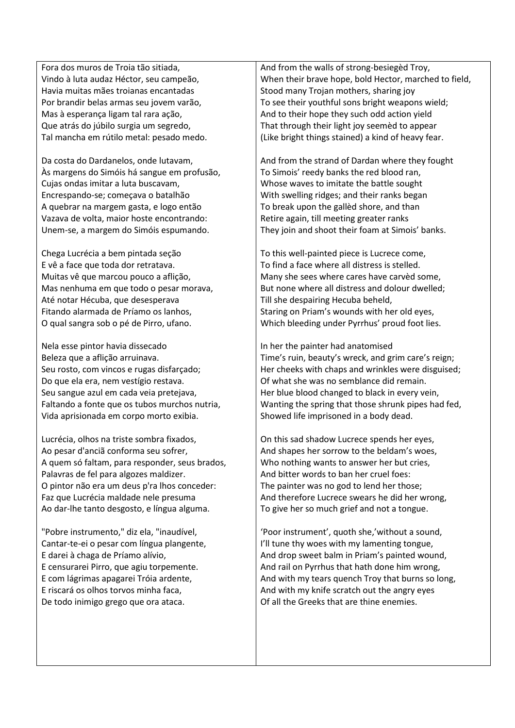Fora dos muros de Troia tão sitiada, Vindo à luta audaz Héctor, seu campeão, Havia muitas mães troianas encantadas Por brandir belas armas seu jovem varão, Mas à esperança ligam tal rara ação, Que atrás do júbilo surgia um segredo, Tal mancha em rútilo metal: pesado medo.

Da costa do Dardanelos, onde lutavam, Às margens do Simóis há sangue em profusão, Cujas ondas imitar a luta buscavam, Encrespando-se; começava o batalhão A quebrar na margem gasta, e logo então Vazava de volta, maior hoste encontrando: Unem-se, a margem do Simóis espumando.

Chega Lucrécia a bem pintada seção E vê a face que toda dor retratava. Muitas vê que marcou pouco a aflição, Mas nenhuma em que todo o pesar morava, Até notar Hécuba, que desesperava Fitando alarmada de Príamo os lanhos, O qual sangra sob o pé de Pirro, ufano.

Nela esse pintor havia dissecado Beleza que a aflição arruinava. Seu rosto, com vincos e rugas disfarçado; Do que ela era, nem vestígio restava. Seu sangue azul em cada veia pretejava, Faltando a fonte que os tubos murchos nutria, Vida aprisionada em corpo morto exibia.

Lucrécia, olhos na triste sombra fixados, Ao pesar d'anciã conforma seu sofrer, A quem só faltam, para responder, seus brados, Palavras de fel para algozes maldizer. O pintor não era um deus p'ra lhos conceder: Faz que Lucrécia maldade nele presuma Ao dar-lhe tanto desgosto, e língua alguma.

"Pobre instrumento," diz ela, "inaudível, Cantar-te-ei o pesar com língua plangente, E darei à chaga de Príamo alívio, E censurarei Pirro, que agiu torpemente. E com lágrimas apagarei Tróia ardente, E riscará os olhos torvos minha faca, De todo inimigo grego que ora ataca.

And from the walls of strong-besiegèd Troy, When their brave hope, bold Hector, marched to field, Stood many Trojan mothers, sharing joy To see their youthful sons bright weapons wield; And to their hope they such odd action yield That through their light joy seemèd to appear (Like bright things stained) a kind of heavy fear.

And from the strand of Dardan where they fought To Simois' reedy banks the red blood ran, Whose waves to imitate the battle sought With swelling ridges; and their ranks began To break upon the gallèd shore, and than Retire again, till meeting greater ranks They join and shoot their foam at Simois' banks.

To this well-painted piece is Lucrece come, To find a face where all distress is stelled. Many she sees where cares have carvèd some, But none where all distress and dolour dwelled; Till she despairing Hecuba beheld, Staring on Priam's wounds with her old eyes, Which bleeding under Pyrrhus' proud foot lies.

In her the painter had anatomised Time's ruin, beauty's wreck, and grim care's reign; Her cheeks with chaps and wrinkles were disguised; Of what she was no semblance did remain. Her blue blood changed to black in every vein, Wanting the spring that those shrunk pipes had fed, Showed life imprisoned in a body dead.

On this sad shadow Lucrece spends her eyes, And shapes her sorrow to the beldam's woes, Who nothing wants to answer her but cries, And bitter words to ban her cruel foes: The painter was no god to lend her those; And therefore Lucrece swears he did her wrong, To give her so much grief and not a tongue.

'Poor instrument', quoth she,'without a sound, I'll tune thy woes with my lamenting tongue, And drop sweet balm in Priam's painted wound, And rail on Pyrrhus that hath done him wrong, And with my tears quench Troy that burns so long, And with my knife scratch out the angry eyes Of all the Greeks that are thine enemies.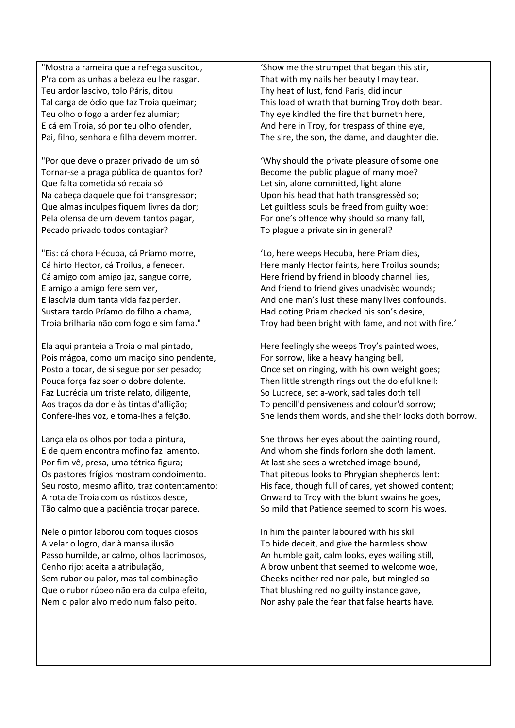"Mostra a rameira que a refrega suscitou, P'ra com as unhas a beleza eu lhe rasgar. Teu ardor lascivo, tolo Páris, ditou Tal carga de ódio que faz Troia queimar; Teu olho o fogo a arder fez alumiar; E cá em Troia, só por teu olho ofender, Pai, filho, senhora e filha devem morrer.

"Por que deve o prazer privado de um só Tornar-se a praga pública de quantos for? Que falta cometida só recaia só Na cabeça daquele que foi transgressor; Que almas inculpes fiquem livres da dor; Pela ofensa de um devem tantos pagar, Pecado privado todos contagiar?

"Eis: cá chora Hécuba, cá Príamo morre, Cá hirto Hector, cá Troilus, a fenecer, Cá amigo com amigo jaz, sangue corre, E amigo a amigo fere sem ver, E lascívia dum tanta vida faz perder. Sustara tardo Príamo do filho a chama, Troia brilharia não com fogo e sim fama."

Ela aqui pranteia a Troia o mal pintado, Pois mágoa, como um maciço sino pendente, Posto a tocar, de si segue por ser pesado; Pouca força faz soar o dobre dolente. Faz Lucrécia um triste relato, diligente, Aos traços da dor e às tintas d'aflição; Confere-lhes voz, e toma-lhes a feição.

Lança ela os olhos por toda a pintura, E de quem encontra mofino faz lamento. Por fim vê, presa, uma tétrica figura; Os pastores frígios mostram condoimento. Seu rosto, mesmo aflito, traz contentamento; A rota de Troia com os rústicos desce, Tão calmo que a paciência troçar parece.

Nele o pintor laborou com toques ciosos A velar o logro, dar à mansa ilusão Passo humilde, ar calmo, olhos lacrimosos, Cenho rijo: aceita a atribulação, Sem rubor ou palor, mas tal combinação Que o rubor rúbeo não era da culpa efeito, Nem o palor alvo medo num falso peito.

'Show me the strumpet that began this stir, That with my nails her beauty I may tear. Thy heat of lust, fond Paris, did incur This load of wrath that burning Troy doth bear. Thy eye kindled the fire that burneth here, And here in Troy, for trespass of thine eye, The sire, the son, the dame, and daughter die.

'Why should the private pleasure of some one Become the public plague of many moe? Let sin, alone committed, light alone Upon his head that hath transgressèd so; Let guiltless souls be freed from guilty woe: For one's offence why should so many fall, To plague a private sin in general?

'Lo, here weeps Hecuba, here Priam dies, Here manly Hector faints, here Troilus sounds; Here friend by friend in bloody channel lies, And friend to friend gives unadvisèd wounds; And one man's lust these many lives confounds. Had doting Priam checked his son's desire, Troy had been bright with fame, and not with fire.'

Here feelingly she weeps Troy's painted woes, For sorrow, like a heavy hanging bell, Once set on ringing, with his own weight goes; Then little strength rings out the doleful knell: So Lucrece, set a-work, sad tales doth tell To pencill'd pensiveness and colour'd sorrow; She lends them words, and she their looks doth borrow.

She throws her eyes about the painting round, And whom she finds forlorn she doth lament. At last she sees a wretched image bound, That piteous looks to Phrygian shepherds lent: His face, though full of cares, yet showed content; Onward to Troy with the blunt swains he goes, So mild that Patience seemed to scorn his woes.

In him the painter laboured with his skill To hide deceit, and give the harmless show An humble gait, calm looks, eyes wailing still, A brow unbent that seemed to welcome woe, Cheeks neither red nor pale, but mingled so That blushing red no guilty instance gave, Nor ashy pale the fear that false hearts have.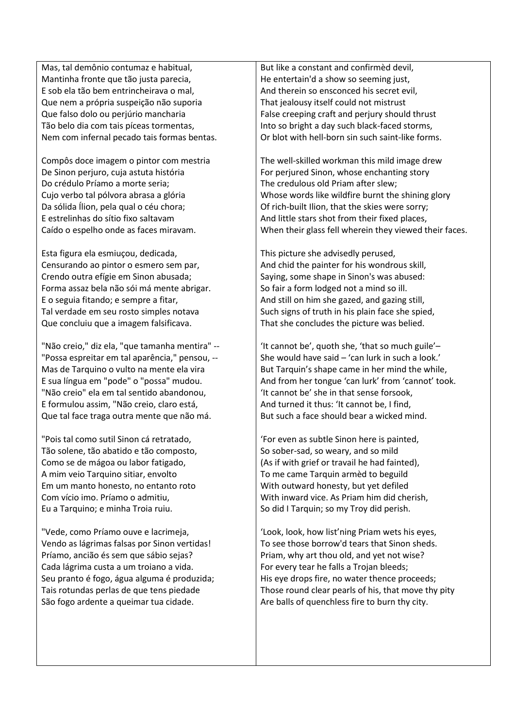Mas, tal demônio contumaz e habitual, Mantinha fronte que tão justa parecia, E sob ela tão bem entrincheirava o mal, Que nem a própria suspeição não suporia Que falso dolo ou perjúrio mancharia Tão belo dia com tais píceas tormentas, Nem com infernal pecado tais formas bentas.

Compôs doce imagem o pintor com mestria De Sinon perjuro, cuja astuta história Do crédulo Príamo a morte seria; Cujo verbo tal pólvora abrasa a glória Da sólida Ílion, pela qual o céu chora; E estrelinhas do sítio fixo saltavam Caído o espelho onde as faces miravam.

Esta figura ela esmiuçou, dedicada, Censurando ao pintor o esmero sem par, Crendo outra efígie em Sinon abusada; Forma assaz bela não sói má mente abrigar. E o seguia fitando; e sempre a fitar, Tal verdade em seu rosto simples notava Que concluiu que a imagem falsificava.

"Não creio," diz ela, "que tamanha mentira" -- "Possa espreitar em tal aparência," pensou, -- Mas de Tarquino o vulto na mente ela vira E sua língua em "pode" o "possa" mudou. "Não creio" ela em tal sentido abandonou, E formulou assim, "Não creio, claro está, Que tal face traga outra mente que não má.

"Pois tal como sutil Sinon cá retratado, Tão solene, tão abatido e tão composto, Como se de mágoa ou labor fatigado, A mim veio Tarquino sitiar, envolto Em um manto honesto, no entanto roto Com vício imo. Príamo o admitiu, Eu a Tarquino; e minha Troia ruiu.

"Vede, como Príamo ouve e lacrimeja, Vendo as lágrimas falsas por Sinon vertidas! Príamo, ancião és sem que sábio sejas? Cada lágrima custa a um troiano a vida. Seu pranto é fogo, água alguma é produzida; Tais rotundas perlas de que tens piedade São fogo ardente a queimar tua cidade.

But like a constant and confirmèd devil, He entertain'd a show so seeming just, And therein so ensconced his secret evil, That jealousy itself could not mistrust False creeping craft and perjury should thrust Into so bright a day such black-faced storms, Or blot with hell-born sin such saint-like forms.

The well-skilled workman this mild image drew For perjured Sinon, whose enchanting story The credulous old Priam after slew; Whose words like wildfire burnt the shining glory Of rich-built Ilion, that the skies were sorry; And little stars shot from their fixed places, When their glass fell wherein they viewed their faces.

This picture she advisedly perused, And chid the painter for his wondrous skill, Saying, some shape in Sinon's was abused: So fair a form lodged not a mind so ill. And still on him she gazed, and gazing still, Such signs of truth in his plain face she spied, That she concludes the picture was belied.

'It cannot be', quoth she, 'that so much guile'– She would have said – 'can lurk in such a look.' But Tarquin's shape came in her mind the while, And from her tongue 'can lurk' from 'cannot' took. 'It cannot be' she in that sense forsook, And turned it thus: 'It cannot be, I find, But such a face should bear a wicked mind.

'For even as subtle Sinon here is painted, So sober-sad, so weary, and so mild (As if with grief or travail he had fainted), To me came Tarquin armèd to beguild With outward honesty, but yet defiled With inward vice. As Priam him did cherish, So did I Tarquin; so my Troy did perish.

'Look, look, how list'ning Priam wets his eyes, To see those borrow'd tears that Sinon sheds. Priam, why art thou old, and yet not wise? For every tear he falls a Trojan bleeds; His eye drops fire, no water thence proceeds; Those round clear pearls of his, that move thy pity Are balls of quenchless fire to burn thy city.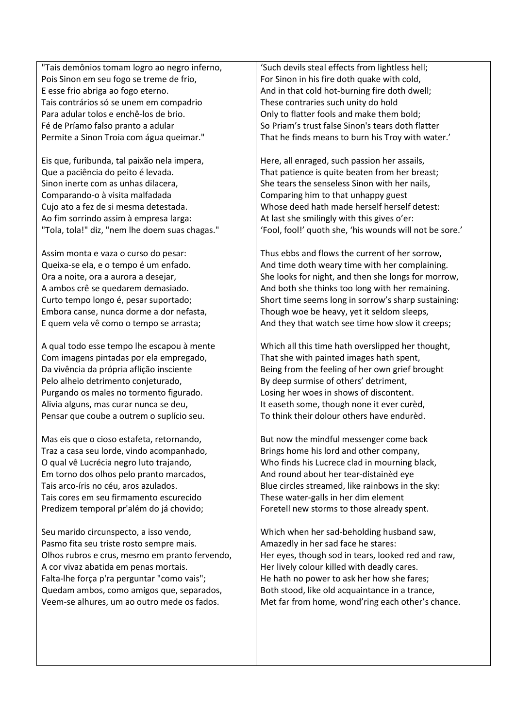"Tais demônios tomam logro ao negro inferno, Pois Sinon em seu fogo se treme de frio, E esse frio abriga ao fogo eterno. Tais contrários só se unem em compadrio Para adular tolos e enchê-los de brio. Fé de Príamo falso pranto a adular Permite a Sinon Troia com água queimar."

Eis que, furibunda, tal paixão nela impera, Que a paciência do peito é levada. Sinon inerte com as unhas dilacera, Comparando-o à visita malfadada Cujo ato a fez de si mesma detestada. Ao fim sorrindo assim à empresa larga: "Tola, tola!" diz, "nem lhe doem suas chagas."

Assim monta e vaza o curso do pesar: Queixa-se ela, e o tempo é um enfado. Ora a noite, ora a aurora a desejar, A ambos crê se quedarem demasiado. Curto tempo longo é, pesar suportado; Embora canse, nunca dorme a dor nefasta, E quem vela vê como o tempo se arrasta;

A qual todo esse tempo lhe escapou à mente Com imagens pintadas por ela empregado, Da vivência da própria aflição insciente Pelo alheio detrimento conjeturado, Purgando os males no tormento figurado. Alivia alguns, mas curar nunca se deu, Pensar que coube a outrem o suplício seu.

Mas eis que o cioso estafeta, retornando, Traz a casa seu lorde, vindo acompanhado, O qual vê Lucrécia negro luto trajando, Em torno dos olhos pelo pranto marcados, Tais arco-íris no céu, aros azulados. Tais cores em seu firmamento escurecido Predizem temporal pr'além do já chovido;

Seu marido circunspecto, a isso vendo, Pasmo fita seu triste rosto sempre mais. Olhos rubros e crus, mesmo em pranto fervendo, A cor vivaz abatida em penas mortais. Falta-lhe força p'ra perguntar "como vais"; Quedam ambos, como amigos que, separados, Veem-se alhures, um ao outro mede os fados.

'Such devils steal effects from lightless hell; For Sinon in his fire doth quake with cold, And in that cold hot-burning fire doth dwell; These contraries such unity do hold Only to flatter fools and make them bold; So Priam's trust false Sinon's tears doth flatter That he finds means to burn his Troy with water.'

Here, all enraged, such passion her assails, That patience is quite beaten from her breast; She tears the senseless Sinon with her nails, Comparing him to that unhappy guest Whose deed hath made herself herself detest: At last she smilingly with this gives o'er: 'Fool, fool!' quoth she, 'his wounds will not be sore.'

Thus ebbs and flows the current of her sorrow, And time doth weary time with her complaining. She looks for night, and then she longs for morrow, And both she thinks too long with her remaining. Short time seems long in sorrow's sharp sustaining: Though woe be heavy, yet it seldom sleeps, And they that watch see time how slow it creeps;

Which all this time hath overslipped her thought, That she with painted images hath spent, Being from the feeling of her own grief brought By deep surmise of others' detriment, Losing her woes in shows of discontent. It easeth some, though none it ever curèd, To think their dolour others have endurèd.

But now the mindful messenger come back Brings home his lord and other company, Who finds his Lucrece clad in mourning black, And round about her tear-distainèd eye Blue circles streamed, like rainbows in the sky: These water-galls in her dim element Foretell new storms to those already spent.

Which when her sad-beholding husband saw, Amazedly in her sad face he stares: Her eyes, though sod in tears, looked red and raw, Her lively colour killed with deadly cares. He hath no power to ask her how she fares; Both stood, like old acquaintance in a trance, Met far from home, wond'ring each other's chance.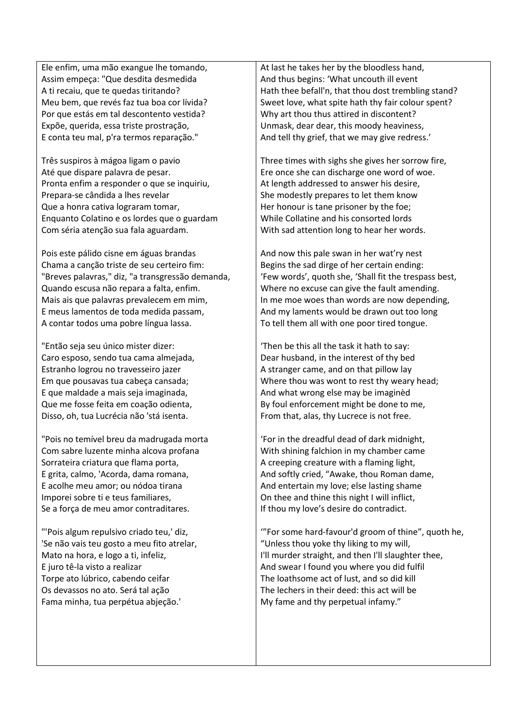Ele enfim, uma mão exangue lhe tomando, Assim empeça: "Que desdita desmedida A ti recaiu, que te quedas tiritando? Meu bem, que revés faz tua boa cor lívida? Por que estás em tal descontento vestida? Expõe, querida, essa triste prostração, E conta teu mal, p'ra termos reparação."

Três suspiros à mágoa ligam o pavio Até que dispare palavra de pesar. Pronta enfim a responder o que se inquiriu, Prepara-se cândida a lhes revelar Que a honra cativa lograram tomar, Enquanto Colatino e os lordes que o guardam Com séria atenção sua fala aguardam.

Pois este pálido cisne em águas brandas Chama a canção triste de seu certeiro fim: "Breves palavras," diz, "a transgressão demanda, Quando escusa não repara a falta, enfim. Mais ais que palavras prevalecem em mim, E meus lamentos de toda medida passam, A contar todos uma pobre língua lassa.

"Então seja seu único mister dizer: Caro esposo, sendo tua cama almejada, Estranho logrou no travesseiro jazer Em que pousavas tua cabeça cansada; E que maldade a mais seja imaginada, Que me fosse feita em coação odienta, Disso, oh, tua Lucrécia não 'stá isenta.

"Pois no temível breu da madrugada morta Com sabre luzente minha alcova profana Sorrateira criatura que flama porta, E grita, calmo, 'Acorda, dama romana, E acolhe meu amor; ou nódoa tirana Imporei sobre ti e teus familiares, Se a força de meu amor contraditares.

"'Pois algum repulsivo criado teu,' diz, 'Se não vais teu gosto a meu fito atrelar, Mato na hora, e logo a ti, infeliz, E juro tê-la visto a realizar Torpe ato lúbrico, cabendo ceifar Os devassos no ato. Será tal ação Fama minha, tua perpétua abjeção.'

At last he takes her by the bloodless hand, And thus begins: 'What uncouth ill event Hath thee befall'n, that thou dost trembling stand? Sweet love, what spite hath thy fair colour spent? Why art thou thus attired in discontent? Unmask, dear dear, this moody heaviness, And tell thy grief, that we may give redress.'

Three times with sighs she gives her sorrow fire, Ere once she can discharge one word of woe. At length addressed to answer his desire, She modestly prepares to let them know Her honour is tane prisoner by the foe; While Collatine and his consorted lords With sad attention long to hear her words.

And now this pale swan in her wat'ry nest Begins the sad dirge of her certain ending: 'Few words', quoth she, 'Shall fit the trespass best, Where no excuse can give the fault amending. In me moe woes than words are now depending, And my laments would be drawn out too long To tell them all with one poor tired tongue.

'Then be this all the task it hath to say: Dear husband, in the interest of thy bed A stranger came, and on that pillow lay Where thou was wont to rest thy weary head; And what wrong else may be imaginèd By foul enforcement might be done to me, From that, alas, thy Lucrece is not free.

'For in the dreadful dead of dark midnight, With shining falchion in my chamber came A creeping creature with a flaming light, And softly cried, "Awake, thou Roman dame, And entertain my love; else lasting shame On thee and thine this night I will inflict, If thou my love's desire do contradict.

'"For some hard-favour'd groom of thine", quoth he, "Unless thou yoke thy liking to my will, I'll murder straight, and then I'll slaughter thee, And swear I found you where you did fulfil The loathsome act of lust, and so did kill The lechers in their deed: this act will be My fame and thy perpetual infamy."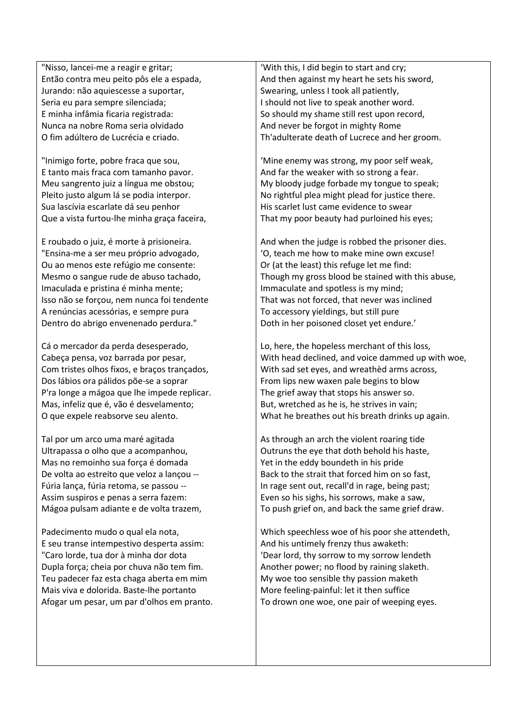"Nisso, lancei-me a reagir e gritar; Então contra meu peito pôs ele a espada, Jurando: não aquiescesse a suportar, Seria eu para sempre silenciada; E minha infâmia ficaria registrada: Nunca na nobre Roma seria olvidado O fim adúltero de Lucrécia e criado.

"Inimigo forte, pobre fraca que sou, E tanto mais fraca com tamanho pavor. Meu sangrento juiz a língua me obstou; Pleito justo algum lá se podia interpor. Sua lascívia escarlate dá seu penhor Que a vista furtou-lhe minha graça faceira,

E roubado o juiz, é morte à prisioneira. "Ensina-me a ser meu próprio advogado, Ou ao menos este refúgio me consente: Mesmo o sangue rude de abuso tachado, Imaculada e pristina é minha mente; Isso não se forçou, nem nunca foi tendente A renúncias acessórias, e sempre pura Dentro do abrigo envenenado perdura."

Cá o mercador da perda desesperado, Cabeça pensa, voz barrada por pesar, Com tristes olhos fixos, e braços trançados, Dos lábios ora pálidos põe-se a soprar P'ra longe a mágoa que lhe impede replicar. Mas, infeliz que é, vão é desvelamento; O que expele reabsorve seu alento.

Tal por um arco uma maré agitada Ultrapassa o olho que a acompanhou, Mas no remoinho sua força é domada De volta ao estreito que veloz a lançou -- Fúria lança, fúria retoma, se passou -- Assim suspiros e penas a serra fazem: Mágoa pulsam adiante e de volta trazem,

Padecimento mudo o qual ela nota, E seu transe intempestivo desperta assim: "Caro lorde, tua dor à minha dor dota Dupla força; cheia por chuva não tem fim. Teu padecer faz esta chaga aberta em mim Mais viva e dolorida. Baste-lhe portanto Afogar um pesar, um par d'olhos em pranto.

'With this, I did begin to start and cry; And then against my heart he sets his sword, Swearing, unless I took all patiently, I should not live to speak another word. So should my shame still rest upon record, And never be forgot in mighty Rome Th'adulterate death of Lucrece and her groom.

'Mine enemy was strong, my poor self weak, And far the weaker with so strong a fear. My bloody judge forbade my tongue to speak; No rightful plea might plead for justice there. His scarlet lust came evidence to swear That my poor beauty had purloined his eyes;

And when the judge is robbed the prisoner dies. 'O, teach me how to make mine own excuse! Or (at the least) this refuge let me find: Though my gross blood be stained with this abuse, Immaculate and spotless is my mind; That was not forced, that never was inclined To accessory yieldings, but still pure Doth in her poisoned closet yet endure.'

Lo, here, the hopeless merchant of this loss, With head declined, and voice dammed up with woe, With sad set eyes, and wreathèd arms across, From lips new waxen pale begins to blow The grief away that stops his answer so. But, wretched as he is, he strives in vain; What he breathes out his breath drinks up again.

As through an arch the violent roaring tide Outruns the eye that doth behold his haste, Yet in the eddy boundeth in his pride Back to the strait that forced him on so fast, In rage sent out, recall'd in rage, being past; Even so his sighs, his sorrows, make a saw, To push grief on, and back the same grief draw.

Which speechless woe of his poor she attendeth, And his untimely frenzy thus awaketh: 'Dear lord, thy sorrow to my sorrow lendeth Another power; no flood by raining slaketh. My woe too sensible thy passion maketh More feeling-painful: let it then suffice To drown one woe, one pair of weeping eyes.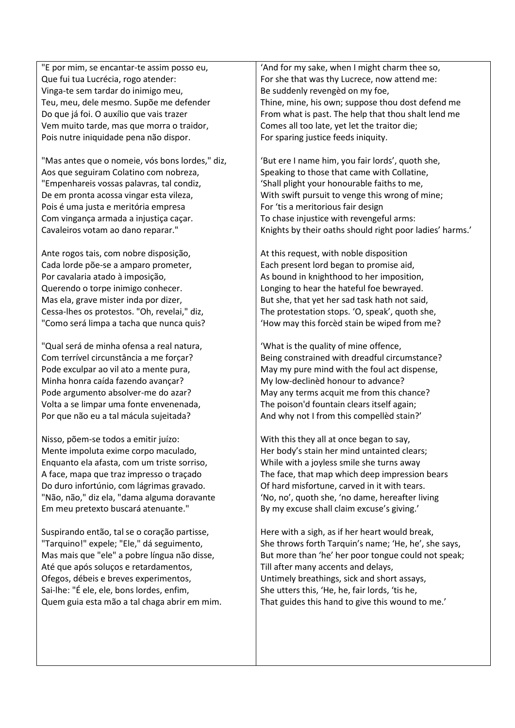"E por mim, se encantar-te assim posso eu, Que fui tua Lucrécia, rogo atender: Vinga-te sem tardar do inimigo meu, Teu, meu, dele mesmo. Supõe me defender Do que já foi. O auxílio que vais trazer Vem muito tarde, mas que morra o traidor, Pois nutre iniquidade pena não dispor.

"Mas antes que o nomeie, vós bons lordes," diz, Aos que seguiram Colatino com nobreza, "Empenhareis vossas palavras, tal condiz, De em pronta acossa vingar esta vileza, Pois é uma justa e meritória empresa Com vingança armada a injustiça caçar. Cavaleiros votam ao dano reparar."

Ante rogos tais, com nobre disposição, Cada lorde põe-se a amparo prometer, Por cavalaria atado à imposição, Querendo o torpe inimigo conhecer. Mas ela, grave mister inda por dizer, Cessa-lhes os protestos. "Oh, revelai," diz, "Como será limpa a tacha que nunca quis?

"Qual será de minha ofensa a real natura, Com terrível circunstância a me forçar? Pode exculpar ao vil ato a mente pura, Minha honra caída fazendo avançar? Pode argumento absolver-me do azar? Volta a se limpar uma fonte envenenada, Por que não eu a tal mácula sujeitada?

Nisso, põem-se todos a emitir juízo: Mente impoluta exime corpo maculado, Enquanto ela afasta, com um triste sorriso, A face, mapa que traz impresso o traçado Do duro infortúnio, com lágrimas gravado. "Não, não," diz ela, "dama alguma doravante Em meu pretexto buscará atenuante."

Suspirando então, tal se o coração partisse, "Tarquino!" expele; "Ele," dá seguimento, Mas mais que "ele" a pobre língua não disse, Até que após soluços e retardamentos, Ofegos, débeis e breves experimentos, Sai-lhe: "É ele, ele, bons lordes, enfim, Quem guia esta mão a tal chaga abrir em mim.

'And for my sake, when I might charm thee so, For she that was thy Lucrece, now attend me: Be suddenly revengèd on my foe, Thine, mine, his own; suppose thou dost defend me From what is past. The help that thou shalt lend me Comes all too late, yet let the traitor die; For sparing justice feeds iniquity.

'But ere I name him, you fair lords', quoth she, Speaking to those that came with Collatine, 'Shall plight your honourable faiths to me, With swift pursuit to venge this wrong of mine; For 'tis a meritorious fair design To chase injustice with revengeful arms: Knights by their oaths should right poor ladies' harms.'

At this request, with noble disposition Each present lord began to promise aid, As bound in knighthood to her imposition, Longing to hear the hateful foe bewrayed. But she, that yet her sad task hath not said, The protestation stops. 'O, speak', quoth she, 'How may this forcèd stain be wiped from me?

'What is the quality of mine offence, Being constrained with dreadful circumstance? May my pure mind with the foul act dispense, My low-declinèd honour to advance? May any terms acquit me from this chance? The poison'd fountain clears itself again; And why not I from this compellèd stain?'

With this they all at once began to say, Her body's stain her mind untainted clears; While with a joyless smile she turns away The face, that map which deep impression bears Of hard misfortune, carved in it with tears. 'No, no', quoth she, 'no dame, hereafter living By my excuse shall claim excuse's giving.'

Here with a sigh, as if her heart would break, She throws forth Tarquin's name; 'He, he', she says, But more than 'he' her poor tongue could not speak; Till after many accents and delays, Untimely breathings, sick and short assays, She utters this, 'He, he, fair lords, 'tis he, That guides this hand to give this wound to me.'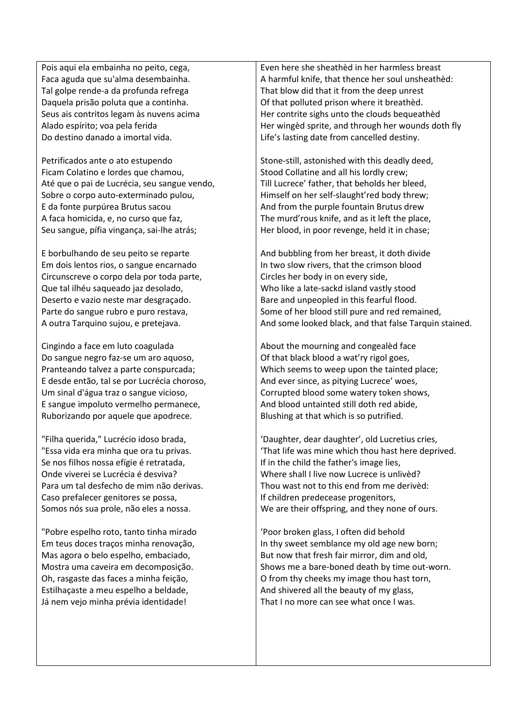Pois aqui ela embainha no peito, cega, Faca aguda que su'alma desembainha. Tal golpe rende-a da profunda refrega Daquela prisão poluta que a continha. Seus ais contritos legam às nuvens acima Alado espírito; voa pela ferida Do destino danado a imortal vida.

Petrificados ante o ato estupendo Ficam Colatino e lordes que chamou, Até que o pai de Lucrécia, seu sangue vendo, Sobre o corpo auto-exterminado pulou, E da fonte purpúrea Brutus sacou A faca homicida, e, no curso que faz, Seu sangue, pífia vingança, sai-lhe atrás;

E borbulhando de seu peito se reparte Em dois lentos rios, o sangue encarnado Circunscreve o corpo dela por toda parte, Que tal ilhéu saqueado jaz desolado, Deserto e vazio neste mar desgraçado. Parte do sangue rubro e puro restava, A outra Tarquino sujou, e pretejava.

Cingindo a face em luto coagulada Do sangue negro faz-se um aro aquoso, Pranteando talvez a parte conspurcada; E desde então, tal se por Lucrécia choroso, Um sinal d'água traz o sangue vicioso, E sangue impoluto vermelho permanece, Ruborizando por aquele que apodrece.

"Filha querida," Lucrécio idoso brada, "Essa vida era minha que ora tu privas. Se nos filhos nossa efígie é retratada, Onde viverei se Lucrécia é desviva? Para um tal desfecho de mim não derivas. Caso prefalecer genitores se possa, Somos nós sua prole, não eles a nossa.

"Pobre espelho roto, tanto tinha mirado Em teus doces traços minha renovação, Mas agora o belo espelho, embaciado, Mostra uma caveira em decomposição. Oh, rasgaste das faces a minha feição, Estilhaçaste a meu espelho a beldade, Já nem vejo minha prévia identidade!

Even here she sheathèd in her harmless breast A harmful knife, that thence her soul unsheathèd: That blow did that it from the deep unrest Of that polluted prison where it breathèd. Her contrite sighs unto the clouds bequeathèd Her wingèd sprite, and through her wounds doth fly Life's lasting date from cancelled destiny.

Stone-still, astonished with this deadly deed, Stood Collatine and all his lordly crew; Till Lucrece' father, that beholds her bleed, Himself on her self-slaught'red body threw; And from the purple fountain Brutus drew The murd'rous knife, and as it left the place, Her blood, in poor revenge, held it in chase;

And bubbling from her breast, it doth divide In two slow rivers, that the crimson blood Circles her body in on every side, Who like a late-sackd island vastly stood Bare and unpeopled in this fearful flood. Some of her blood still pure and red remained, And some looked black, and that false Tarquin stained.

About the mourning and congealèd face Of that black blood a wat'ry rigol goes, Which seems to weep upon the tainted place; And ever since, as pitying Lucrece' woes, Corrupted blood some watery token shows, And blood untainted still doth red abide, Blushing at that which is so putrified.

'Daughter, dear daughter', old Lucretius cries, 'That life was mine which thou hast here deprived. If in the child the father's image lies, Where shall I live now Lucrece is unlivèd? Thou wast not to this end from me derivèd: If children predecease progenitors, We are their offspring, and they none of ours.

'Poor broken glass, I often did behold In thy sweet semblance my old age new born; But now that fresh fair mirror, dim and old, Shows me a bare-boned death by time out-worn. O from thy cheeks my image thou hast torn, And shivered all the beauty of my glass, That I no more can see what once I was.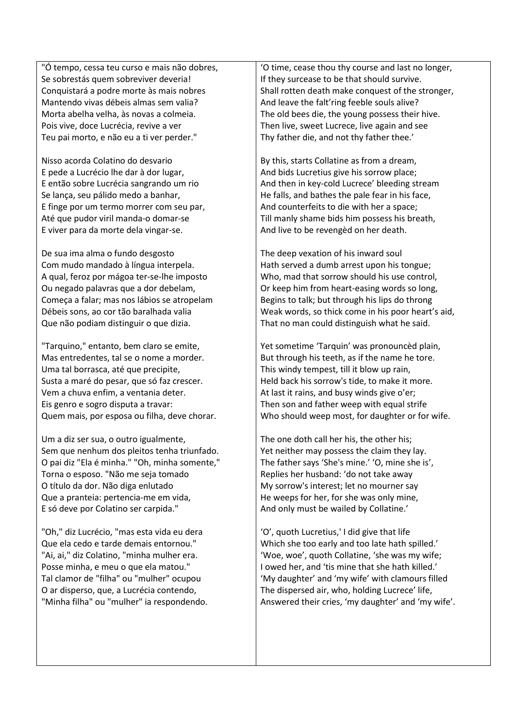"Ó tempo, cessa teu curso e mais não dobres, Se sobrestás quem sobreviver deveria! Conquistará a podre morte às mais nobres Mantendo vivas débeis almas sem valia? Morta abelha velha, às novas a colmeia. Pois vive, doce Lucrécia, revive a ver Teu pai morto, e não eu a ti ver perder."

Nisso acorda Colatino do desvario E pede a Lucrécio lhe dar à dor lugar, E então sobre Lucrécia sangrando um rio Se lança, seu pálido medo a banhar, E finge por um termo morrer com seu par, Até que pudor viril manda-o domar-se E viver para da morte dela vingar-se.

De sua ima alma o fundo desgosto Com mudo mandado à língua interpela. A qual, feroz por mágoa ter-se-lhe imposto Ou negado palavras que a dor debelam, Começa a falar; mas nos lábios se atropelam Débeis sons, ao cor tão baralhada valia Que não podiam distinguir o que dizia.

"Tarquino," entanto, bem claro se emite, Mas entredentes, tal se o nome a morder. Uma tal borrasca, até que precipite, Susta a maré do pesar, que só faz crescer. Vem a chuva enfim, a ventania deter. Eis genro e sogro disputa a travar: Quem mais, por esposa ou filha, deve chorar.

Um a diz ser sua, o outro igualmente, Sem que nenhum dos pleitos tenha triunfado. O pai diz "Ela é minha." "Oh, minha somente," Torna o esposo. "Não me seja tomado O título da dor. Não diga enlutado Que a pranteia: pertencia-me em vida, E só deve por Colatino ser carpida."

"Oh," diz Lucrécio, "mas esta vida eu dera Que ela cedo e tarde demais entornou." "Ai, ai," diz Colatino, "minha mulher era. Posse minha, e meu o que ela matou." Tal clamor de "filha" ou "mulher" ocupou O ar disperso, que, a Lucrécia contendo, "Minha filha" ou "mulher" ia respondendo.

'O time, cease thou thy course and last no longer, If they surcease to be that should survive. Shall rotten death make conquest of the stronger, And leave the falt'ring feeble souls alive? The old bees die, the young possess their hive. Then live, sweet Lucrece, live again and see Thy father die, and not thy father thee.'

By this, starts Collatine as from a dream, And bids Lucretius give his sorrow place; And then in key-cold Lucrece' bleeding stream He falls, and bathes the pale fear in his face, And counterfeits to die with her a space; Till manly shame bids him possess his breath, And live to be revengèd on her death.

The deep vexation of his inward soul Hath served a dumb arrest upon his tongue; Who, mad that sorrow should his use control, Or keep him from heart-easing words so long, Begins to talk; but through his lips do throng Weak words, so thick come in his poor heart's aid, That no man could distinguish what he said.

Yet sometime 'Tarquin' was pronouncèd plain, But through his teeth, as if the name he tore. This windy tempest, till it blow up rain, Held back his sorrow's tide, to make it more. At last it rains, and busy winds give o'er; Then son and father weep with equal strife Who should weep most, for daughter or for wife.

The one doth call her his, the other his; Yet neither may possess the claim they lay. The father says 'She's mine.' 'O, mine she is', Replies her husband: 'do not take away My sorrow's interest; let no mourner say He weeps for her, for she was only mine, And only must be wailed by Collatine.'

'O', quoth Lucretius,' I did give that life Which she too early and too late hath spilled.' 'Woe, woe', quoth Collatine, 'she was my wife; I owed her, and 'tis mine that she hath killed.' 'My daughter' and 'my wife' with clamours filled The dispersed air, who, holding Lucrece' life, Answered their cries, 'my daughter' and 'my wife'.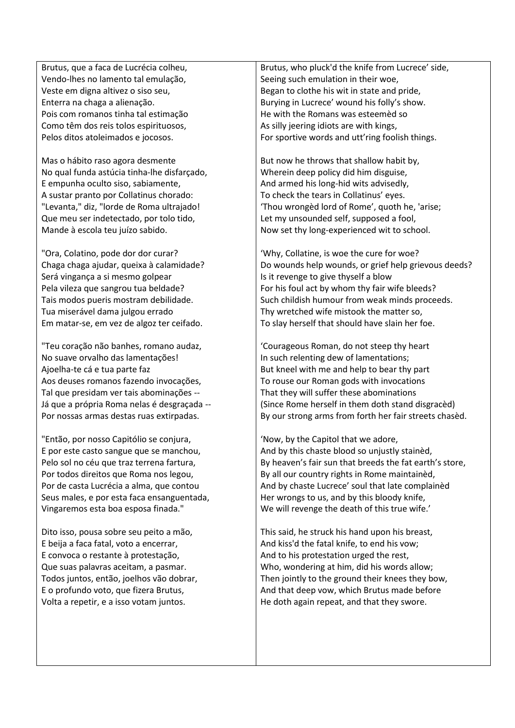Brutus, que a faca de Lucrécia colheu, Vendo-lhes no lamento tal emulação, Veste em digna altivez o siso seu, Enterra na chaga a alienação. Pois com romanos tinha tal estimação Como têm dos reis tolos espirituosos, Pelos ditos atoleimados e jocosos.

Mas o hábito raso agora desmente No qual funda astúcia tinha-lhe disfarçado, E empunha oculto siso, sabiamente, A sustar pranto por Collatinus chorado: "Levanta," diz, "lorde de Roma ultrajado! Que meu ser indetectado, por tolo tido, Mande à escola teu juízo sabido.

"Ora, Colatino, pode dor dor curar? Chaga chaga ajudar, queixa à calamidade? Será vingança a si mesmo golpear Pela vileza que sangrou tua beldade? Tais modos pueris mostram debilidade. Tua miserável dama julgou errado Em matar-se, em vez de algoz ter ceifado.

"Teu coração não banhes, romano audaz, No suave orvalho das lamentações! Ajoelha-te cá e tua parte faz Aos deuses romanos fazendo invocações, Tal que presidam ver tais abominações -- Já que a própria Roma nelas é desgraçada -- Por nossas armas destas ruas extirpadas.

"Então, por nosso Capitólio se conjura, E por este casto sangue que se manchou, Pelo sol no céu que traz terrena fartura, Por todos direitos que Roma nos legou, Por de casta Lucrécia a alma, que contou Seus males, e por esta faca ensanguentada, Vingaremos esta boa esposa finada."

Dito isso, pousa sobre seu peito a mão, E beija a faca fatal, voto a encerrar, E convoca o restante à protestação, Que suas palavras aceitam, a pasmar. Todos juntos, então, joelhos vão dobrar, E o profundo voto, que fizera Brutus, Volta a repetir, e a isso votam juntos.

Brutus, who pluck'd the knife from Lucrece' side, Seeing such emulation in their woe, Began to clothe his wit in state and pride, Burying in Lucrece' wound his folly's show. He with the Romans was esteemèd so As silly jeering idiots are with kings, For sportive words and utt'ring foolish things.

But now he throws that shallow habit by, Wherein deep policy did him disguise, And armed his long-hid wits advisedly, To check the tears in Collatinus' eyes. 'Thou wrongèd lord of Rome', quoth he, 'arise; Let my unsounded self, supposed a fool, Now set thy long-experienced wit to school.

'Why, Collatine, is woe the cure for woe? Do wounds help wounds, or grief help grievous deeds? Is it revenge to give thyself a blow For his foul act by whom thy fair wife bleeds? Such childish humour from weak minds proceeds. Thy wretched wife mistook the matter so, To slay herself that should have slain her foe.

'Courageous Roman, do not steep thy heart In such relenting dew of lamentations; But kneel with me and help to bear thy part To rouse our Roman gods with invocations That they will suffer these abominations (Since Rome herself in them doth stand disgracèd) By our strong arms from forth her fair streets chasèd.

'Now, by the Capitol that we adore, And by this chaste blood so unjustly stainèd, By heaven's fair sun that breeds the fat earth's store, By all our country rights in Rome maintainèd, And by chaste Lucrece' soul that late complainèd Her wrongs to us, and by this bloody knife, We will revenge the death of this true wife.'

This said, he struck his hand upon his breast, And kiss'd the fatal knife, to end his vow; And to his protestation urged the rest, Who, wondering at him, did his words allow; Then jointly to the ground their knees they bow, And that deep vow, which Brutus made before He doth again repeat, and that they swore.